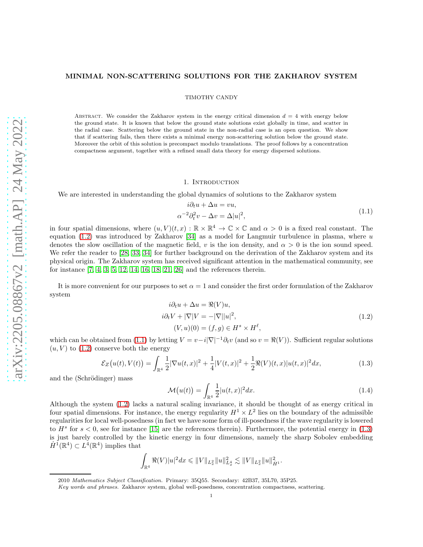# MINIMAL NON-SCATTERING SOLUTIONS FOR THE ZAKHAROV SYSTEM

TIMOTHY CANDY

ABSTRACT. We consider the Zakharov system in the energy critical dimension  $d = 4$  with energy below the ground state. It is known that below the ground state solutions exist globally in time, and scatter in the radial case. Scattering below the ground state in the non-radial case is an open question. We show that if scattering fails, then there exists a minimal energy non-scattering solution below the ground state. Moreover the orbit of this solution is precompact modulo translations. The proof follows by a concentration compactness argument, together with a refined small data theory for energy dispersed solutions.

# 1. INTRODUCTION

We are interested in understanding the global dynamics of solutions to the Zakharov system

$$
i\partial_t u + \Delta u = vu,
$$
  
\n
$$
\alpha^{-2} \partial_t^2 v - \Delta v = \Delta |u|^2,
$$
\n(1.1)

<span id="page-0-1"></span>in four spatial dimensions, where  $(u, V)(t, x) : \mathbb{R} \times \mathbb{R}^4 \to \mathbb{C} \times \mathbb{C}$  and  $\alpha > 0$  is a fixed real constant. The equation  $(1.2)$  was introduced by Zakharov [\[34\]](#page-40-0) as a model for Langmuir turbulence in plasma, where u denotes the slow oscillation of the magnetic field, v is the ion density, and  $\alpha > 0$  is the ion sound speed. We refer the reader to [\[28,](#page-40-1) [33,](#page-40-2) [34\]](#page-40-0) for further background on the derivation of the Zakharov system and its physical origin. The Zakharov system has received significant attention in the mathematical community, see for instance [\[7,](#page-39-0) [4,](#page-39-1) [3,](#page-39-2) [5,](#page-39-3) [12,](#page-39-4) [14,](#page-39-5) [16,](#page-39-6) [18,](#page-40-3) [21,](#page-40-4) [26\]](#page-40-5) and the references therein.

It is more convenient for our purposes to set  $\alpha = 1$  and consider the first order formulation of the Zakharov system

$$
i\partial_t u + \Delta u = \Re(V)u,
$$
  
\n
$$
i\partial_t V + |\nabla|V = -|\nabla||u|^2,
$$
  
\n
$$
(V, u)(0) = (f, g) \in H^s \times H^\ell,
$$
\n(1.2)

<span id="page-0-0"></span>which can be obtained from [\(1.1\)](#page-0-1) by letting  $V = v-i|\nabla|^{-1}\partial_t v$  (and so  $v = \Re(V)$ ). Sufficient regular solutions  $(u, V)$  to  $(1.2)$  conserve both the energy

<span id="page-0-2"></span>
$$
\mathcal{E}_Z(u(t), V(t)) = \int_{\mathbb{R}^4} \frac{1}{2} |\nabla u(t, x)|^2 + \frac{1}{4} |V(t, x)|^2 + \frac{1}{2} \Re(V)(t, x) |u(t, x)|^2 dx, \tag{1.3}
$$

and the (Schrödinger) mass

$$
\mathcal{M}\big(u(t)\big) = \int_{\mathbb{R}^4} \frac{1}{2} |u(t,x)|^2 dx. \tag{1.4}
$$

Although the system [\(1.2\)](#page-0-0) lacks a natural scaling invariance, it should be thought of as energy critical in four spatial dimensions. For instance, the energy regularity  $H^1 \times L^2$  lies on the boundary of the admissible regularities for local well-posedness (in fact we have some form of ill-posedness if the wave regularity is lowered to  $H^s$  for  $s < 0$ , see for instance [\[15\]](#page-39-7) are the references therein). Furthermore, the potential energy in [\(1.3\)](#page-0-2) is just barely controlled by the kinetic energy in four dimensions, namely the sharp Sobolev embedding  $\dot{H}^1(\mathbb{R}^4) \subset L^4(\mathbb{R}^4)$  implies that

$$
\int_{\mathbb{R}^4} \Re(V)|u|^2 dx \leqslant ||V||_{L_x^2} ||u||_{L_x^4}^2 \lesssim ||V||_{L_x^2} ||u||_{\dot{H}^1}^2.
$$

<sup>2010</sup> Mathematics Subject Classification. Primary: 35Q55. Secondary: 42B37, 35L70, 35P25.

Key words and phrases. Zakharov system, global well-posedness, concentration compactness, scattering.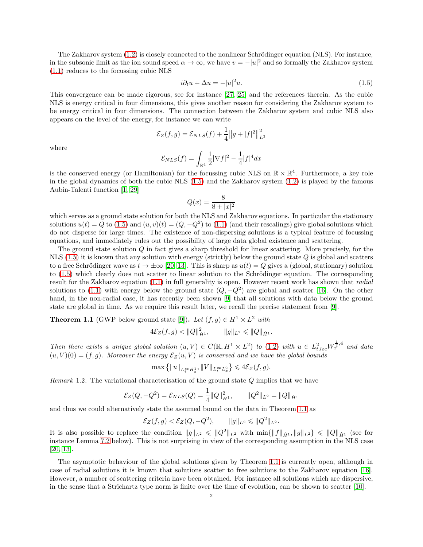The Zakharov system  $(1.2)$  is closely connected to the nonlinear Schrödinger equation (NLS). For instance, in the subsonic limit as the ion sound speed  $\alpha \to \infty$ , we have  $v = -|u|^2$  and so formally the Zakharov system [\(1.1\)](#page-0-1) reduces to the focussing cubic NLS

<span id="page-1-0"></span>
$$
i\partial_t u + \Delta u = -|u|^2 u. \tag{1.5}
$$

This convergence can be made rigorous, see for instance [\[27,](#page-40-6) [25\]](#page-40-7) and the references therein. As the cubic NLS is energy critical in four dimensions, this gives another reason for considering the Zakharov system to be energy critical in four dimensions. The connection between the Zakharov system and cubic NLS also appears on the level of the energy, for instance we can write

$$
\mathcal{E}_Z(f,g) = \mathcal{E}_{NLS}(f) + \frac{1}{4} ||g + |f||^2 ||_{L^2}^2
$$

where

$$
\mathcal{E}_{NLS}(f)=\int_{\mathbb{R}^4}\frac{1}{2}|\nabla f|^2-\frac{1}{4}|f|^4dx
$$

is the conserved energy (or Hamiltonian) for the focussing cubic NLS on  $\mathbb{R} \times \mathbb{R}^4$ . Furthermore, a key role in the global dynamics of both the cubic NLS [\(1.5\)](#page-1-0) and the Zakharov system [\(1.2\)](#page-0-0) is played by the famous Aubin-Talenti function [\[1,](#page-39-8) [29\]](#page-40-8)

$$
Q(x) = \frac{8}{8+|x|^2}
$$

which serves as a ground state solution for both the NLS and Zakharov equations. In particular the stationary solutions  $u(t) = Q$  to  $(1.5)$  and  $(u, v)(t) = (Q, -Q^2)$  to  $(1.1)$  (and their rescalings) give global solutions which do not disperse for large times. The existence of non-dispersing solutions is a typical feature of focussing equations, and immediately rules out the possibility of large data global existence and scattering.

The ground state solution Q in fact gives a sharp threshold for linear scattering. More precisely, for the NLS  $(1.5)$  it is known that any solution with energy (strictly) below the ground state Q is global and scatters to a free Schrödinger wave as  $t \to \pm \infty$  [\[20,](#page-40-9) [13\]](#page-39-9). This is sharp as  $u(t) = Q$  gives a (global, stationary) solution to [\(1.5\)](#page-1-0) which clearly does not scatter to linear solution to the Schrödinger equation. The corresponding result for the Zakharov equation [\(1.1\)](#page-0-1) in full generality is open. However recent work has shown that *radial* solutions to [\(1.1\)](#page-0-1) with energy below the ground state  $(Q, -Q^2)$  are global and scatter [\[16\]](#page-39-6). On the other hand, in the non-radial case, it has recently been shown [\[9\]](#page-39-10) that all solutions with data below the ground state are global in time. As we require this result later, we recall the precise statement from [\[9\]](#page-39-10).

<span id="page-1-1"></span>**Theorem 1.1** (GWP below ground state [\[9\]](#page-39-10)). *Let*  $(f, g) \in H^1 \times L^2$  *with* 

$$
4\mathcal{E}_Z(f,g) < ||Q||_{\dot{H}^1}^2, \qquad ||g||_{L^2} \le ||Q||_{\dot{H}^1}.
$$

*Then there exists a unique global solution*  $(u, V) \in C(\mathbb{R}, H^1 \times L^2)$  *to* [\(1.2\)](#page-0-0) *with*  $u \in L^2_{t, loc} W_x^{\frac{1}{2}, 4}$  *and data*  $(u, V)(0) = (f, g)$ *. Moreover the energy*  $\mathcal{E}_Z(u, V)$  *is conserved and we have the global bounds* 

$$
\max\left\{\|u\|_{L^\infty_t \dot H^1_x}, \|V\|_{L^\infty_t L^2_x}\right\} \leqslant 4\mathcal E_Z(f,g).
$$

*Remark* 1.2*.* The variational characterisation of the ground state Q implies that we have

$$
\mathcal{E}_Z(Q, -Q^2) = \mathcal{E}_{NLS}(Q) = \frac{1}{4} ||Q||_{\dot{H}^1}^2, \qquad ||Q^2||_{L^2} = ||Q||_{\dot{H}^1}
$$

and thus we could alternatively state the assumed bound on the data in Theorem [1.1](#page-1-1) as

$$
\mathcal{E}_Z(f,g) < \mathcal{E}_Z(Q, -Q^2), \qquad \|g\|_{L^2} \leq \|Q^2\|_{L^2}.
$$

It is also possible to replace the condition  $||g||_{L^2} \le ||Q^2||_{L^2}$  with  $\min\{||f||_{\dot{H}^1}, ||g||_{L^2}\} \le ||Q||_{\dot{H}^1}$  (see for instance Lemma [7.2](#page-31-0) below). This is not surprising in view of the corresponding assumption in the NLS case [\[20,](#page-40-9) [13\]](#page-39-9).

The asymptotic behaviour of the global solutions given by Theorem [1.1](#page-1-1) is currently open, although in case of radial solutions it is known that solutions scatter to free solutions to the Zakharov equation [\[16\]](#page-39-6). However, a number of scattering criteria have been obtained. For instance all solutions which are dispersive, in the sense that a Strichartz type norm is finite over the time of evolution, can be shown to scatter [\[10\]](#page-39-11).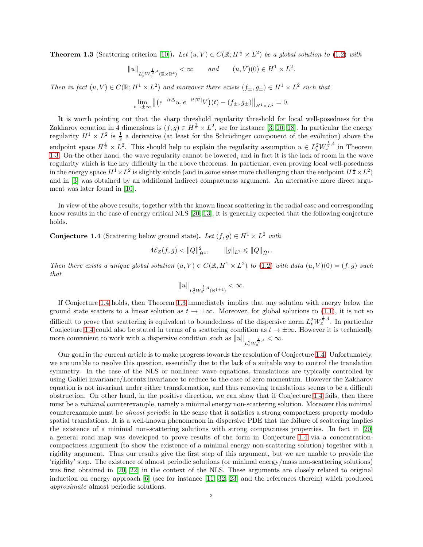<span id="page-2-0"></span>**Theorem 1.3** (Scattering criterion [\[10\]](#page-39-11)). Let  $(u, V) \in C(\mathbb{R}; H^{\frac{1}{2}} \times L^2)$  be a global solution to [\(1.2\)](#page-0-0) with

$$
||u||_{L^2_t W_x^{\frac{1}{2},4}(\mathbb{R}\times\mathbb{R}^4)} < \infty \quad and \quad (u,V)(0) \in H^1 \times L^2.
$$

*Then in fact*  $(u, V) \in C(\mathbb{R}; H^1 \times L^2)$  *and moreover there exists*  $(f_{\pm}, g_{\pm}) \in H^1 \times L^2$  *such that* 

$$
\lim_{t \to \pm \infty} \left\| \left( e^{-it\Delta} u, e^{-it|\nabla|} V \right)(t) - \left( f_{\pm}, g_{\pm} \right) \right\|_{H^1 \times L^2} = 0.
$$

It is worth pointing out that the sharp threshold regularity threshold for local well-posedness for the Zakharov equation in 4 dimensions is  $(f, g) \in H^{\frac{1}{2}} \times L^2$ , see for instance [\[3,](#page-39-2) [10,](#page-39-11) [18\]](#page-40-3). In particular the energy regularity  $H^1 \times L^2$  is  $\frac{1}{2}$  a derivative (at least for the Schrödinger component of the evolution) above the endpoint space  $H^{\frac{1}{2}} \times L^2$ . This should help to explain the regularity assumption  $u \in L^2_t W^{\frac{1}{2},4}_x$  in Theorem [1.3.](#page-2-0) On the other hand, the wave regularity cannot be lowered, and in fact it is the lack of room in the wave regularity which is the key difficulty in the above theorems. In particular, even proving local well-posedness in the energy space  $H^1 \times L^2$  is slightly subtle (and in some sense more challenging than the endpoint  $H^{\frac{1}{2}} \times L^2$ ) and in [\[3\]](#page-39-2) was obtained by an additional indirect compactness argument. An alternative more direct argument was later found in [\[10\]](#page-39-11).

In view of the above results, together with the known linear scattering in the radial case and corresponding know results in the case of energy critical NLS [\[20,](#page-40-9) [13\]](#page-39-9), it is generally expected that the following conjecture holds.

<span id="page-2-1"></span>**Conjecture 1.4** (Scattering below ground state). Let  $(f, g) \in H^1 \times L^2$  with

$$
4\mathcal{E}_Z(f,g) < ||Q||_{\dot{H}^1}^2, \qquad ||g||_{L^2} \leq ||Q||_{\dot{H}^1}.
$$

*Then there exists a unique global solution*  $(u, V) \in C(\mathbb{R}, H^1 \times L^2)$  *to* [\(1.2\)](#page-0-0) *with data*  $(u, V)(0) = (f, g)$  *such that*

$$
||u||_{L^2_t W^{\frac{1}{2},4}_x(\mathbb{R}^{1+4})} < \infty.
$$

If Conjecture [1.4](#page-2-1) holds, then Theorem [1.3](#page-2-0) immediately implies that any solution with energy below the ground state scatters to a linear solution as  $t \to \pm \infty$ . Moreover, for global solutions to [\(1.1\)](#page-0-1), it is not so difficult to prove that scattering is equivalent to boundedness of the dispersive norm  $L_t^2 W_x^{\frac{1}{2},4}$ . In particular Conjecture [1.4](#page-2-1) could also be stated in terms of a scattering condition as  $t \to \pm \infty$ . However it is technically more convenient to work with a dispersive condition such as  $||u||_{L_t^2 W_x^{\frac{1}{2},4}} < \infty$ .

Our goal in the current article is to make progress towards the resolution of Conjecture [1.4.](#page-2-1) Unfortunately, we are unable to resolve this question, essentially due to the lack of a suitable way to control the translation symmetry. In the case of the NLS or nonlinear wave equations, translations are typically controlled by using Galilei invariance/Lorentz invariance to reduce to the case of zero momentum. However the Zakharov equation is not invariant under either transformation, and thus removing translations seems to be a difficult obstruction. On other hand, in the positive direction, we can show that if Conjecture [1.4](#page-2-1) fails, then there must be a *minimal* counterexample, namely a minimal energy non-scattering solution. Moreover this minimal counterexample must be *almost periodic* in the sense that it satisfies a strong compactness property modulo spatial translations. It is a well-known phenomenon in dispersive PDE that the failure of scattering implies the existence of a minimal non-scattering solutions with strong compactness properties. In fact in [\[20\]](#page-40-9) a general road map was developed to prove results of the form in Conjecture [1.4](#page-2-1) via a concentrationcompactness argument (to show the existence of a minimal energy non-scattering solution) together with a rigidity argument. Thus our results give the first step of this argument, but we are unable to provide the 'rigidity' step. The existence of almost periodic solutions (or minimal energy/mass non-scattering solutions) was first obtained in [\[20,](#page-40-9) [22\]](#page-40-10) in the context of the NLS. These arguments are closely related to original induction on energy approach [\[6\]](#page-39-12) (see for instance [\[11,](#page-39-13) [32,](#page-40-11) [23\]](#page-40-12) and the references therein) which produced *approximate* almost periodic solutions.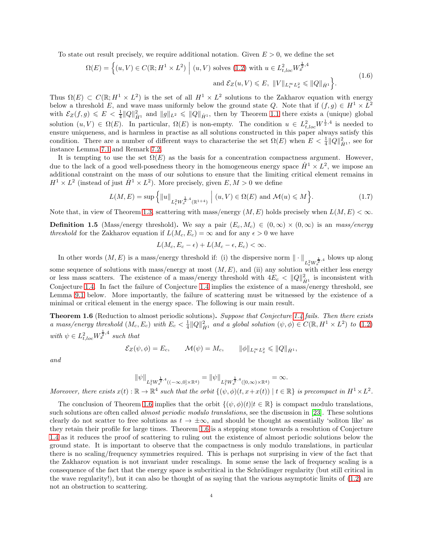To state out result precisely, we require additional notation. Given  $E > 0$ , we define the set

$$
\Omega(E) = \left\{ (u, V) \in C(\mathbb{R}; H^1 \times L^2) \; \middle| \; (u, V) \text{ solves (1.2) with } u \in L^2_{t, loc} W_x^{\frac{1}{2}, 4} \right\}
$$
\n
$$
\text{and } \mathcal{E}_Z(u, V) \le E, \; \|V\|_{L_t^\infty L_x^2} \le \|Q\|_{\dot{H}^1} \right\}.
$$
\n(1.6)

<span id="page-3-3"></span>Thus  $\Omega(E) \subset C(\mathbb{R}; H^1 \times L^2)$  is the set of all  $H^1 \times L^2$  solutions to the Zakharov equation with energy below a threshold E, and wave mass uniformly below the ground state Q. Note that if  $(f, g) \in H^1 \times L^2$ with  $\mathcal{E}_Z(f,g) \leqslant E \leqslant \frac{1}{4} ||Q||_{\dot{H}^1}^2$  and  $||g||_{L^2} \leqslant ||Q||_{\dot{H}^1}$ , then by Theorem [1.1](#page-1-1) there exists a (unique) global solution  $(u, V) \in \Omega(E)$ . In particular,  $\Omega(E)$  is non-empty. The condition  $u \in L^2_{t, loc} W^{\frac{1}{2}, 4}$  is needed to ensure uniqueness, and is harmless in practise as all solutions constructed in this paper always satisfy this condition. There are a number of different ways to characterise the set  $\Omega(E)$  when  $E < \frac{1}{4} ||Q||_{\dot{H}^1}^2$ , see for instance Lemma [7.1](#page-31-1) and Remark [7.2.](#page-31-0)

It is tempting to use the set  $\Omega(E)$  as the basis for a concentration compactness argument. However, due to the lack of a good well-posedness theory in the homogeneous energy space  $\dot{H}^1 \times L^2$ , we impose an additional constraint on the mass of our solutions to ensure that the limiting critical element remains in  $H^1 \times L^2$  (instead of just  $\dot{H}^1 \times L^2$ ). More precisely, given  $E, M > 0$  we define

<span id="page-3-2"></span>
$$
L(M, E) = \sup \left\{ ||u||_{L_t^2 W_x^{\frac{1}{2}, 4}(\mathbb{R}^{1+4})} \middle| (u, V) \in \Omega(E) \text{ and } \mathcal{M}(u) \leq M \right\}.
$$
 (1.7)

Note that, in view of Theorem [1.3,](#page-2-0) scattering with mass/energy  $(M, E)$  holds precisely when  $L(M, E) < \infty$ .

<span id="page-3-1"></span>**Definition 1.5** (Mass/energy threshold). We say a pair  $(E_c, M_c) \in (0, \infty) \times (0, \infty)$  is an *mass/energy threshold* for the Zakharov equation if  $L(M_c, E_c) = \infty$  and for any  $\epsilon > 0$  we have

$$
L(M_c, E_c - \epsilon) + L(M_c - \epsilon, E_c) < \infty.
$$

In other words  $(M, E)$  is a mass/energy threshold if: (i) the dispersive norm  $\|\cdot\|_{L^2_t W^{\frac{1}{2}, 4}_x}$  blows up along some sequence of solutions with mass/energy at most  $(M, E)$ , and (ii) any solution with either less energy or less mass scatters. The existence of a mass/energy threshold with  $4E_c < ||Q||_{\dot{H}^1}^2$  is inconsistent with Conjecture [1.4.](#page-2-1) In fact the failure of Conjecture [1.4](#page-2-1) implies the existence of a mass/energy threshold, see Lemma [9.1](#page-37-0) below. More importantly, the failure of scattering must be witnessed by the existence of a minimal or critical element in the energy space. The following is our main result.

<span id="page-3-0"></span>Theorem 1.6 (Reduction to almost periodic solutions). *Suppose that Conjecture [1.4](#page-2-1) fails. Then there exists a* mass/energy threshold  $(M_c, E_c)$  with  $E_c < \frac{1}{4} ||Q||_{\dot{H}^1}^2$  and a global solution  $(\psi, \phi) \in C(\mathbb{R}, H^1 \times L^2)$  to  $(1.2)$ with  $\psi \in L^2_{t, loc} W_x^{\frac{1}{2}, 4}$  such that

$$
\mathcal{E}_Z(\psi,\phi) = E_c, \qquad \mathcal{M}(\psi) = M_c, \qquad \|\phi\|_{L_t^\infty L_x^2} \leq \|Q\|_{\dot{H}^1},
$$

*and*

$$
\|\psi\|_{L^2_t W^{\frac{1}{2},4}_x((-\infty,0]\times\mathbb{R}^4)} = \|\psi\|_{L^2_t W^{\frac{1}{2},4}_x([0,\infty)\times\mathbb{R}^4)} = \infty.
$$

*Moreover, there exists*  $x(t) : \mathbb{R} \to \mathbb{R}^4$  such that the orbit  $\{(\psi, \phi)(t, x + x(t)) \mid t \in \mathbb{R}\}\)$  is precompact in  $H^1 \times L^2$ .

The conclusion of Theorem [1.6](#page-3-0) implies that the orbit  $\{(\psi, \phi)(t) | t \in \mathbb{R}\}\$ is compact modulo translations, such solutions are often called *almost periodic modulo translations*, see the discussion in [\[23\]](#page-40-12). These solutions clearly do not scatter to free solutions as  $t \to \pm \infty$ , and should be thought as essentially 'soliton like' as they retain their profile for large times. Theorem [1.6](#page-3-0) is a stepping stone towards a resolution of Conjecture [1.4](#page-2-1) as it reduces the proof of scattering to ruling out the existence of almost periodic solutions below the ground state. It is important to observe that the compactness is only modulo translations, in particular there is no scaling/frequency symmetries required. This is perhaps not surprising in view of the fact that the Zakharov equation is not invariant under rescalings. In some sense the lack of frequency scaling is a consequence of the fact that the energy space is subcritical in the Schrödinger regularity (but still critical in the wave regularity!), but it can also be thought of as saying that the various asymptotic limits of [\(1.2\)](#page-0-0) are not an obstruction to scattering.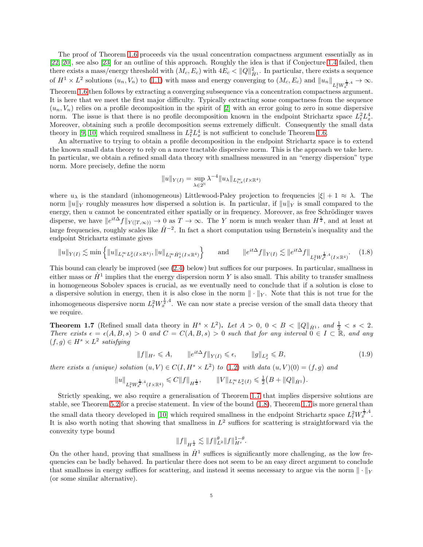The proof of Theorem [1.6](#page-3-0) proceeds via the usual concentration compactness argument essentially as in [\[22,](#page-40-10) [20\]](#page-40-9), see also [\[23\]](#page-40-12) for an outline of this approach. Roughly the idea is that if Conjecture [1.4](#page-2-1) failed, then there exists a mass/energy threshold with  $(M_c, E_c)$  with  $4E_c < ||Q||_{\dot{H}^1}^2$ . In particular, there exists a sequence of  $H^1 \times L^2$  solutions  $(u_n, V_n)$  to [\(1.1\)](#page-0-1) with mass and energy converging to  $(M_c, E_c)$  and  $||u_n||_{L^2_t W_x^{\frac{1}{2}, 4}} \to \infty$ .

Theorem [1.6](#page-3-0) then follows by extracting a converging subsequence via a concentration compactness argument. It is here that we meet the first major difficulty. Typically extracting some compactness from the sequence  $(u_n, V_n)$  relies on a profile decomposition in the spirit of [\[2\]](#page-39-14) with an error going to zero in some dispersive norm. The issue is that there is no profile decomposition known in the endpoint Strichartz space  $L_t^2 L_x^4$ . Moreover, obtaining such a profile decomposition seems extremely difficult. Consequently the small data theory in [\[9,](#page-39-10) [10\]](#page-39-11) which required smallness in  $L_t^2 L_x^4$  is not sufficient to conclude Theorem [1.6.](#page-3-0)

An alternative to trying to obtain a profile decomposition in the endpoint Strichartz space is to extend the known small data theory to rely on a more tractable dispersive norm. This is the approach we take here. In particular, we obtain a refined small data theory with smallness measured in an "energy dispersion" type norm. More precisely, define the norm

$$
||u||_{Y(I)} = \sup_{\lambda \in 2^{\mathbb{N}}} \lambda^{-4} ||u_{\lambda}||_{L^{\infty}_{t,x}(I \times \mathbb{R}^{4})}
$$

where  $u_{\lambda}$  is the standard (inhomogeneous) Littlewood-Paley projection to frequencies  $|\xi| + 1 \approx \lambda$ . The norm  $||u||_Y$  roughly measures how dispersed a solution is. In particular, if  $||u||_Y$  is small compared to the energy, then  $u$  cannot be concentrated either spatially or in frequency. Moreover, as free Schrödinger waves disperse, we have  $||e^{it\Delta}f||_{Y([T,\infty))} \to 0$  as  $T \to \infty$ . The Y norm is much weaker than  $H^{\frac{1}{2}}$ , and at least at large frequencies, roughly scales like  $\dot{H}^{-2}$ . In fact a short computation using Bernstein's inequality and the endpoint Strichartz estimate gives

<span id="page-4-1"></span>
$$
||u||_{Y(I)} \lesssim \min\left\{||u||_{L_t^{\infty}L_x^2(I\times\mathbb{R}^4)}, ||u||_{L_t^{\infty}\dot{H}_x^1(I\times\mathbb{R}^4)}\right\} \quad \text{and} \quad ||e^{it\Delta}f||_{Y(I)} \lesssim ||e^{it\Delta}f||_{L_t^2W_x^{\frac{1}{2},4}(I\times\mathbb{R}^4)}.\tag{1.8}
$$

This bound can clearly be improved (see [\(2.4\)](#page-9-0) below) but suffices for our purposes. In particular, smallness in either mass or  $\dot{H}^1$  implies that the energy dispersion norm Y is also small. This ability to transfer smallness in homogeneous Sobolev spaces is crucial, as we eventually need to conclude that if a solution is close to a dispersive solution in energy, then it is also close in the norm  $\|\cdot\|_Y$ . Note that this is not true for the inhomogeneous dispersive norm  $L_t^2 W_x^{\frac{1}{2},4}$ . We can now state a precise version of the small data theory that we require.

<span id="page-4-0"></span>**Theorem 1.7** (Refined small data theory in  $H^s \times L^2$ ). Let  $A > 0$ ,  $0 < B < ||Q||_{\dot{H}^1}$ , and  $\frac{1}{2} < s < 2$ . *There exists*  $\epsilon = \epsilon(A, B, s) > 0$  *and*  $C = C(A, B, s) > 0$  *such that for any interval*  $0 \in I \subset \mathbb{R}$ *, and any*  $(f,g) \in H^s \times L^2$  satisfying

$$
||f||_{H^s} \leqslant A, \qquad ||e^{it\Delta}f||_{Y(I)} \leqslant \epsilon, \qquad ||g||_{L^2_x} \leqslant B,
$$
\n
$$
(1.9)
$$

*there exists a (unique) solution*  $(u, V) \in C(I, H^s \times L^2)$  *to* [\(1.2\)](#page-0-0) *with data*  $(u, V)(0) = (f, g)$  *and* 

$$
||u||_{L^2_t W^{\frac{1}{2},4}_x(I \times \mathbb{R}^4)} \leqslant C||f||_{H^{\frac{1}{2}}}, \qquad ||V||_{L^\infty_t L^2_x(I)} \leqslant \frac{1}{2}\left(B + ||Q||_{\dot{H}^1}\right).
$$

Strictly speaking, we also require a generalisation of Theorem [1.7](#page-4-0) that implies dispersive solutions are stable, see Theorem [5.2](#page-26-0) for a precise statement. In view of the bound [\(1.8\)](#page-4-1), Theorem [1.7](#page-4-0) is more general than the small data theory developed in [\[10\]](#page-39-11) which required smallness in the endpoint Strichartz space  $L_t^2 W_x^{\frac{1}{2},4}$ . It is also worth noting that showing that smallness in  $L^2$  suffices for scattering is straightforward via the convexity type bound

$$
||f||_{H^{\frac{1}{2}}} \lesssim ||f||_{L^2}^{\theta} ||f||_{H^s}^{1-\theta}.
$$

On the other hand, proving that smallness in  $\dot{H}^1$  suffices is significantly more challenging, as the low frequencies can be badly behaved. In particular there does not seem to be an easy direct argument to conclude that smallness in energy suffices for scattering, and instead it seems necessary to argue via the norm  $\|\cdot\|_Y$ (or some similar alternative).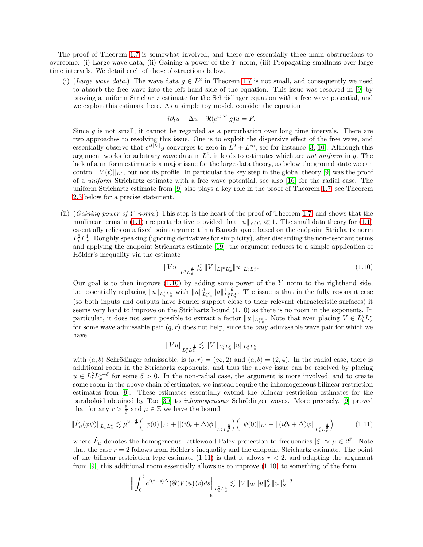The proof of Theorem [1.7](#page-4-0) is somewhat involved, and there are essentially three main obstructions to overcome: (i) Large wave data, (ii) Gaining a power of the Y norm, (iii) Propagating smallness over large time intervals. We detail each of these obstructions below.

(i) (*Large wave data.*) The wave data  $g \in L^2$  in Theorem [1.7](#page-4-0) is not small, and consequently we need to absorb the free wave into the left hand side of the equation. This issue was resolved in [\[9\]](#page-39-10) by proving a uniform Strichartz estimate for the Schrödinger equation with a free wave potential, and we exploit this estimate here. As a simple toy model, consider the equation

$$
i\partial_t u + \Delta u - \Re(e^{it|\nabla|}g)u = F.
$$

Since  $q$  is not small, it cannot be regarded as a perturbation over long time intervals. There are two approaches to resolving this issue. One is to exploit the dispersive effect of the free wave, and essentially observe that  $e^{it|\nabla|}g$  converges to zero in  $L^2 + L^{\infty}$ , see for instance [\[3,](#page-39-2) [10\]](#page-39-11). Although this argument works for arbitrary wave data in  $L^2$ , it leads to estimates which are *not uniform* in g. The lack of a uniform estimate is a major issue for the large data theory, as below the ground state we can control  $||V(t)||_{L^2}$ , but not its profile. In particular the key step in the global theory [\[9\]](#page-39-10) was the proof of a *uniform* Strichartz estimate with a free wave potential, see also [\[16\]](#page-39-6) for the radial case. The uniform Strichartz estimate from [\[9\]](#page-39-10) also plays a key role in the proof of Theorem [1.7,](#page-4-0) see Theorem [2.3](#page-11-0) below for a precise statement.

(ii) (*Gaining power of* Y *norm.*) This step is the heart of the proof of Theorem [1.7,](#page-4-0) and shows that the nonlinear terms in [\(1.1\)](#page-0-1) are perturbative provided that  $||u||_{Y(I)} \ll 1$ . The small data theory for (1.1) essentially relies on a fixed point argument in a Banach space based on the endpoint Strichartz norm  $L_t^2 L_x^4$ . Roughly speaking (ignoring derivatives for simplicity), after discarding the non-resonant terms and applying the endpoint Strichartz estimate [\[19\]](#page-40-13), the argument reduces to a simple application of Hölder's inequality via the estimate

<span id="page-5-0"></span>
$$
||Vu||_{L_t^2 L_x^{\frac{4}{3}}} \lesssim ||V||_{L_t^\infty L_x^2} ||u||_{L_t^2 L_x^4}.
$$
\n(1.10)

Our goal is to then improve  $(1.10)$  by adding some power of the Y norm to the righthand side, i.e. essentially replacing  $||u||_{L_t^2 L_x^4}$  with  $||u||_{L_t^{\infty}}^{\theta} ||u||_{L_t^2 L_x^4}^{1-\theta}$ . The issue is that in the fully resonant case (so both inputs and outputs have Fourier support close to their relevant characteristic surfaces) it seems very hard to improve on the Strichartz bound [\(1.10\)](#page-5-0) as there is no room in the exponents. In particular, it does not seem possible to extract a factor  $||u||_{L^{\infty}_{t,x}}$ . Note that even placing  $V \in L^q_t L^r_x$ for some wave admissable pair  $(q, r)$  does not help, since the *only* admissable wave pair for which we have

$$
\|Vu\|_{L^2_tL^{\frac{4}{3}}_x}\lesssim \|V\|_{L^q_tL^r_x}\|u\|_{L^a_tL^b_x}
$$

with  $(a, b)$  Schrödinger admissable, is  $(q, r) = (\infty, 2)$  and  $(a, b) = (2, 4)$ . In the radial case, there is additional room in the Strichartz exponents, and thus the above issue can be resolved by placing  $u \in L_t^2 L_x^{4-\delta}$  for some  $\delta > 0$ . In the non-radial case, the argument is more involved, and to create some room in the above chain of estimates, we instead require the inhomogeneous bilinear restriction estimates from [\[9\]](#page-39-10). These estimates essentially extend the bilinear restriction estimates for the paraboloid obtained by Tao [\[30\]](#page-40-14) to *inhomogeneous* Schrödinger waves. More precisely, [\[9\]](#page-39-10) proved that for any  $r > \frac{5}{3}$  and  $\mu \in \mathbb{Z}$  we have the bound

<span id="page-5-1"></span>
$$
\|\dot{P}_{\mu}(\phi\psi)\|_{L_{t}^{1}L_{x}^{r}} \lesssim \mu^{2-\frac{4}{r}}\Big(\|\phi(0)\|_{L^{2}} + \|(i\partial_{t} + \Delta)\phi\|_{L_{t}^{2}L_{x}^{\frac{4}{3}}}\Big)\Big(\|\psi(0)\|_{L^{2}} + \|(i\partial_{t} + \Delta)\psi\|_{L_{t}^{2}L_{x}^{\frac{4}{3}}}\Big) \tag{1.11}
$$

where  $\dot{P}_{\mu}$  denotes the homogeneous Littlewood-Paley projection to frequencies  $|\xi| \approx \mu \in 2^{\mathbb{Z}}$ . Note that the case  $r = 2$  follows from Hölder's inequality and the endpoint Strichartz estimate. The point of the bilinear restriction type estimate  $(1.11)$  is that it allows  $r < 2$ , and adapting the argument from [\[9\]](#page-39-10), this additional room essentially allows us to improve [\(1.10\)](#page-5-0) to something of the form

$$
\Bigl\|\int_0^t e^{i(t-s)\Delta}\bigl(\Re(V)u\bigr)(s)ds\Bigr\|_{L^2_tL^4_x}\lesssim \|V\|_W\|u\|_Y^{\theta}\|u\|_S^{1-\theta}
$$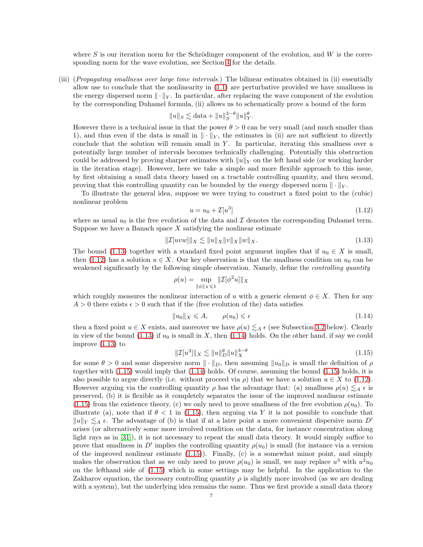where S is our iteration norm for the Schrödinger component of the evolution, and W is the corresponding norm for the wave evolution, see Section [4](#page-20-0) for the details.

(iii) (*Propagating smallness over large time intervals.*) The bilinear estimates obtained in (ii) essentially allow use to conclude that the nonlinearity in [\(1.1\)](#page-0-1) are perturbative provided we have smallness in the energy dispersed norm  $\|\cdot\|_Y$ . In particular, after replacing the wave component of the evolution by the corresponding Duhamel formula, (ii) allows us to schematically prove a bound of the form

$$
||u||_S \lesssim \text{data} + ||u||_S^{3-\theta} ||u||_Y^{\theta}.
$$

However there is a technical issue in that the power  $\theta > 0$  can be very small (and much smaller than 1), and thus even if the data is small in  $\|\cdot\|_Y$ , the estimates in (ii) are not sufficient to directly conclude that the solution will remain small in  $Y$ . In particular, iterating this smallness over a potentially large number of intervals becomes technically challenging. Potentially this obstruction could be addressed by proving sharper estimates with  $||u||_Y$  on the left hand side (or working harder in the iteration stage). However, here we take a simple and more flexible approach to this issue, by first obtaining a small data theory based on a tractable controlling quantity, and then second, proving that this controlling quantity can be bounded by the energy dispersed norm  $\|\cdot\|_Y$ .

To illustrate the general idea, suppose we were trying to construct a fixed point to the (cubic) nonlinear problem

<span id="page-6-1"></span>
$$
u = u_0 + \mathcal{I}[u^3] \tag{1.12}
$$

where as usual  $u_0$  is the free evolution of the data and  $\mathcal I$  denotes the corresponding Duhamel term. Suppose we have a Banach space  $X$  satisfying the nonlinear estimate

<span id="page-6-0"></span>
$$
\|\mathcal{I}[uvw]\|_X \lesssim \|u\|_X \|v\|_X \|w\|_X. \tag{1.13}
$$

The bound [\(1.13\)](#page-6-0) together with a standard fixed point argument implies that if  $u_0 \in X$  is small, then [\(1.12\)](#page-6-1) has a solution  $u \in X$ . Our key observation is that the smallness condition on  $u_0$  can be weakened significantly by the following simple observation. Namely, define the *controlling quantity*

$$
\rho(u)=\sup_{\|\phi\|_X\leqslant 1}\|\mathcal{I}[\phi^2 u]\|_X
$$

which roughly measures the nonlinear interaction of u with a generic element  $\phi \in X$ . Then for any  $A > 0$  there exists  $\epsilon > 0$  such that if the (free evolution of the) data satisfies

<span id="page-6-2"></span>
$$
||u_0||_X \leq A, \qquad \rho(u_0) \leq \epsilon \tag{1.14}
$$

then a fixed point  $u \in X$  exists, and moreover we have  $\rho(u) \leq A \epsilon$  (see Subsection [3.2](#page-13-0) below). Clearly in view of the bound [\(1.13\)](#page-6-0) if  $u_0$  is small in X, then [\(1.14\)](#page-6-2) holds. On the other hand, if say we could improve [\(1.13\)](#page-6-0) to

<span id="page-6-3"></span>
$$
\|\mathcal{I}[u^3]\|_X \lesssim \|u\|_D^{\theta} \|u\|_X^{3-\theta} \tag{1.15}
$$

for some  $\theta > 0$  and some dispersive norm  $\|\cdot\|_D$ , then assuming  $\|u_0\|_D$  is small the definition of  $\rho$ together with [\(1.15\)](#page-6-3) would imply that [\(1.14\)](#page-6-2) holds. Of course, assuming the bound [\(1.15\)](#page-6-3) holds, it is also possible to argue directly (i.e. without proceed via  $\rho$ ) that we have a solution  $u \in X$  to [\(1.12\)](#page-6-1). However arguing via the controlling quantity  $\rho$  has the advantage that: (a) smallness  $\rho(u) \leq A \epsilon$  is preserved, (b) it is flexible as it completely separates the issue of the improved nonlinear estimate  $(1.15)$  from the existence theory, (c) we only need to prove smallness of the free evolution  $\rho(u_0)$ . To illustrate (a), note that if  $\theta < 1$  in [\(1.15\)](#page-6-3), then arguing via Y it is not possible to conclude that  $||u||_Y \lesssim_A \epsilon$ . The advantage of (b) is that if at a later point a more convenient dispersive norm D' arises (or alternatively some more involved condition on the data, for instance concentration along light rays as in [\[31\]](#page-40-15)), it is not necessary to repeat the small data theory. It would simply suffice to prove that smallness in  $D'$  implies the controlling quantity  $\rho(u_0)$  is small (for instance via a version of the improved nonlinear estimate  $(1.15)$ ). Finally,  $(c)$  is a somewhat minor point, and simply makes the observation that as we only need to prove  $\rho(u_0)$  is small, we may replace  $u^3$  with  $u^2u_0$ on the lefthand side of [\(1.15\)](#page-6-3) which in some settings may be helpful. In the application to the Zakharov equation, the necessary controlling quantity  $\rho$  is slightly more involved (as we are dealing with a system), but the underlying idea remains the same. Thus we first provide a small data theory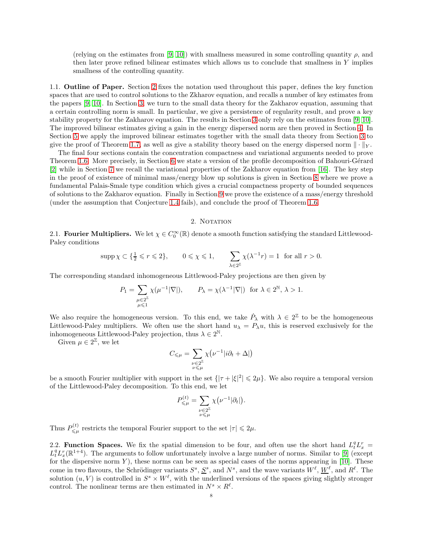(relying on the estimates from [\[9,](#page-39-10) [10\]](#page-39-11)) with smallness measured in some controlling quantity  $\rho$ , and then later prove refined bilinear estimates which allows us to conclude that smallness in  $Y$  implies smallness of the controlling quantity.

1.1. Outline of Paper. Section [2](#page-7-0) fixes the notation used throughout this paper, defines the key function spaces that are used to control solutions to the Zkharov equation, and recalls a number of key estimates from the papers [\[9,](#page-39-10) [10\]](#page-39-11). In Section [3,](#page-12-0) we turn to the small data theory for the Zakharov equation, assuming that a certain controlling norm is small. In particular, we give a persistence of regularity result, and prove a key stability property for the Zakharov equation. The results in Section [3](#page-12-0) only rely on the estimates from [\[9,](#page-39-10) [10\]](#page-39-11). The improved bilinear estimates giving a gain in the energy dispersed norm are then proved in Section [4.](#page-20-0) In Section [5](#page-26-1) we apply the improved bilinear estimates together with the small data theory from Section [3](#page-12-0) to give the proof of Theorem [1.7,](#page-4-0) as well as give a stability theory based on the energy dispersed norm  $\|\cdot\|_Y$ .

The final four sections contain the concentration compactness and variational arguments needed to prove Theorem [1.6.](#page-3-0) More precisely, in Section [6](#page-27-0) we state a version of the profile decomposition of Bahouri-Gérard [\[2\]](#page-39-14) while in Section [7](#page-30-0) we recall the variational properties of the Zakharov equation from [\[16\]](#page-39-6). The key step in the proof of existence of minimal mass/energy blow up solutions is given in Section [8](#page-32-0) where we prove a fundamental Palais-Smale type condition which gives a crucial compactness property of bounded sequences of solutions to the Zakharov equation. Finally in Section [9](#page-37-1) we prove the existence of a mass/energy threshold (under the assumption that Conjecture [1.4](#page-2-1) fails), and conclude the proof of Theorem [1.6.](#page-3-0)

## 2. NOTATION

<span id="page-7-0"></span>2.1. **Fourier Multipliers.** We let  $\chi \in C_0^{\infty}(\mathbb{R})$  denote a smooth function satisfying the standard Littlewood-Paley conditions

$$
\mathrm{supp}\,\chi\subset\{\tfrac{1}{2}\leqslant r\leqslant 2\},\qquad 0\leqslant\chi\leqslant 1,\qquad \sum_{\lambda\in 2^\mathbb{Z}}\chi(\lambda^{-1}r)=1\ \text{ for all }r>0.
$$

The corresponding standard inhomogeneous Littlewood-Paley projections are then given by

$$
P_1 = \sum_{\substack{\mu \in 2^{\mathbb{Z}} \\ \mu \leq 1}} \chi(\mu^{-1} |\nabla|), \qquad P_{\lambda} = \chi(\lambda^{-1} |\nabla|) \text{ for } \lambda \in 2^{\mathbb{N}}, \lambda > 1.
$$

We also require the homogeneous version. To this end, we take  $\dot{P}_\lambda$  with  $\lambda \in 2^{\mathbb{Z}}$  to be the homogeneous Littlewood-Paley multipliers. We often use the short hand  $u_{\lambda} = P_{\lambda}u$ , this is reserved exclusively for the inhomogeneous Littlewood-Paley projection, thus  $\lambda \in 2^{\mathbb{N}}$ .

Given  $\mu \in 2^{\mathbb{Z}}$ , we let

$$
C_{\leq \mu} = \sum_{\substack{\nu \in 2^{\mathbb{Z}} \\ \nu \leq \mu}} \chi(\nu^{-1} |i\partial_t + \Delta|)
$$

be a smooth Fourier multiplier with support in the set  $\{|\tau + |\xi|^2 | \leq 2\mu\}$ . We also require a temporal version of the Littlewood-Paley decomposition. To this end, we let

$$
P_{\leq \mu}^{(t)} = \sum_{\substack{\nu \in 2^{\mathbb{Z}} \\ \nu \leq \mu}} \chi(\nu^{-1}|\partial_t|).
$$

Thus  $P_{\leq u}^{(t)}$  $\mathcal{L}_{\leq \mu}^{(t)}$  restricts the temporal Fourier support to the set  $|\tau| \leq 2\mu$ .

2.2. **Function Spaces.** We fix the spatial dimension to be four, and often use the short hand  $L_t^q L_x^r =$  $L_t^q L_x^r(\mathbb{R}^{1+4})$ . The arguments to follow unfortunately involve a large number of norms. Similar to [\[9\]](#page-39-10) (except for the dispersive norm  $Y$ ), these norms can be seen as special cases of the norms appearing in [\[10\]](#page-39-11). These come in two flavours, the Schrödinger variants  $S^s$ ,  $S^s$ , and  $N^s$ , and the wave variants  $W^{\ell}$ ,  $W^{\ell}$ , and  $R^{\ell}$ . The solution  $(u, V)$  is controlled in  $S^s \times W^{\ell}$ , with the underlined versions of the spaces giving slightly stronger control. The nonlinear terms are then estimated in  $N^s \times R^{\ell}$ .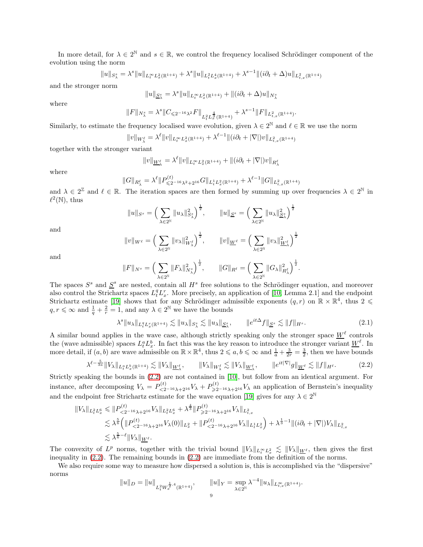In more detail, for  $\lambda \in 2^{\mathbb{N}}$  and  $s \in \mathbb{R}$ , we control the frequency localised Schrödinger component of the evolution using the norm

$$
||u||_{S_{\lambda}^s} = \lambda^s ||u||_{L_t^{\infty} L_x^2(\mathbb{R}^{1+4})} + \lambda^s ||u||_{L_t^2 L_x^4(\mathbb{R}^{1+4})} + \lambda^{s-1} ||(i\partial_t + \Delta)u||_{L_{t,x}^2(\mathbb{R}^{1+4})}
$$

and the stronger norm

$$
\|u\|_{\underline{S}^s_{\lambda}}=\lambda^s\|u\|_{L^\infty_tL^2_x(\mathbb{R}^{1+4})}+\|(i\partial_t+\Delta)u\|_{N^s_{\lambda}}
$$

where

$$
||F||_{N_{\lambda}^s} = \lambda^s ||C_{\leq 2^{-16} \lambda^2} F||_{L_{t}^{2} L_{x}^{\frac{4}{3}}(\mathbb{R}^{1+4})} + \lambda^{s-1} ||F||_{L_{t,x}^{2}(\mathbb{R}^{1+4})}.
$$

Similarly, to estimate the frequency localised wave evolution, given  $\lambda \in 2^{\mathbb{N}}$  and  $\ell \in \mathbb{R}$  we use the norm

$$
||v||_{W_{\lambda}^{\ell}} = \lambda^{\ell} ||v||_{L_{t}^{\infty} L_{x}^{2}(\mathbb{R}^{1+4})} + \lambda^{\ell-1} ||(i\partial_{t} + |\nabla|)v||_{L_{t,x}^{2}(\mathbb{R}^{1+4})}
$$

together with the stronger variant

$$
||v||_{\underline{W}^{\ell}_{\lambda}} = \lambda^{\ell} ||v||_{L^{\infty}_t L^2_x(\mathbb{R}^{1+4})} + ||(i\partial_t + |\nabla|)v||_{R^{\ell}_{\lambda}}
$$

where

$$
||G||_{R^{\ell}_{\lambda}} = \lambda^{\ell} ||P^{(t)}_{\leqslant 2^{-16} \lambda^2 + 2^{16}} G||_{L^1_t L^2_x(\mathbb{R}^{1+4})} + \lambda^{\ell-1} ||G||_{L^2_{t,x}(\mathbb{R}^{1+4})}
$$

and  $\lambda \in 2^{\mathbb{Z}}$  and  $\ell \in \mathbb{R}$ . The iteration spaces are then formed by summing up over frequencies  $\lambda \in 2^{\mathbb{N}}$  in  $\ell^2(\mathbb{N}),$  thus

$$
||u||_{S^s} = \left(\sum_{\lambda \in 2^{\mathbb{N}}} ||u_{\lambda}||_{S_{\lambda}^s}^2\right)^{\frac{1}{2}}, \qquad ||u||_{\underline{S}^s} = \left(\sum_{\lambda \in 2^{\mathbb{N}}} ||u_{\lambda}||_{\underline{S}_{\lambda}^s}^2\right)^{\frac{1}{2}}
$$

and

$$
\|v\|_{W^\ell}=\Big(\sum_{\lambda\in 2^\mathbb{N}}\|v_\lambda\|_{W_\lambda^\ell}^2\Big)^\frac{1}{2},\qquad \|v\|_{\underline{W}^\ell}=\Big(\sum_{\lambda\in 2^\mathbb{N}}\|v_\lambda\|_{\underline{W}_\lambda^\ell}^2\Big)^\frac{1}{2}
$$

and

$$
||F||_{N^s} = \Big(\sum_{\lambda \in 2^{\mathbb{N}}} ||F_{\lambda}||_{N^s_{\lambda}}^2\Big)^{\frac{1}{2}}, \qquad ||G||_{R^{\ell}} = \Big(\sum_{\lambda \in 2^{\mathbb{N}}} ||G_{\lambda}||_{R^{\ell}_{\lambda}}^2\Big)^{\frac{1}{2}}.
$$

The spaces  $S^s$  and  $S^s$  are nested, contain all  $H^s$  free solutions to the Schrödinger equation, and moreover also control the Strichartz spaces  $L_t^q L_x^r$ . More precisely, an application of [\[10,](#page-39-11) Lemma 2.1] and the endpoint Strichartz estimate [\[19\]](#page-40-13) shows that for any Schrödinger admissible exponents  $(q, r)$  on  $\mathbb{R} \times \mathbb{R}^4$ , thus  $2 \leq$  $q, r \leq \infty$  and  $\frac{1}{q} + \frac{2}{r} = 1$ , and any  $\lambda \in 2^{\mathbb{N}}$  we have the bounds

<span id="page-8-1"></span>
$$
\lambda^s \|u_\lambda\|_{L_t^q L_x^r(\mathbb{R}^{1+4})} \lesssim \|u_\lambda\|_{S^s_\lambda} \lesssim \|u_\lambda\|_{\underline{S}^s_\lambda}, \qquad \|e^{it\Delta}f\|_{\underline{S}^s} \lesssim \|f\|_{H^s}.
$$

A similar bound applies in the wave case, although strictly speaking only the stronger space  $\underline{W}^{\ell}$  controls the (wave admissible) spaces  $L_t^a L_x^b$ . In fact this was the key reason to introduce the stronger variant  $\underline{W}^{\ell}$ . In more detail, if  $(a, b)$  are wave admissible on  $\mathbb{R} \times \mathbb{R}^4$ , thus  $2 \leq a, b \leq \infty$  and  $\frac{1}{a} + \frac{3}{2r} = \frac{3}{2}$ , then we have bounds

<span id="page-8-0"></span>
$$
\lambda^{\ell - \frac{5}{3a}} \|V_{\lambda}\|_{L_t^a L_x^b(\mathbb{R}^{1+4})} \lesssim \|V_{\lambda}\|_{\underline{W}_{\lambda}^{\ell}}, \qquad \|V_{\lambda}\|_{W_{\lambda}^{\ell}} \lesssim \|V_{\lambda}\|_{\underline{W}_{\lambda}^{\ell}}, \qquad \|e^{it|\nabla|}g\|_{\underline{W}^{\ell}} \lesssim \|f\|_{H^{\ell}}.
$$
\n(2.2)

Strictly speaking the bounds in [\(2.2\)](#page-8-0) are not contained in [\[10\]](#page-39-11), but follow from an identical argument. For instance, after decomposing  $V_{\lambda} = P_{\leq 2^{-16}\lambda+2^{16}}^{(t)} V_{\lambda} + P_{\geq 2^{-16}\lambda+2^{16}}^{(t)} V_{\lambda}$  an application of Bernstein's inequality and the endpoint free Strichartz estimate for the wave equation [\[19\]](#page-40-13) gives for any  $\lambda \in 2^{\mathbb{N}}$ 

$$
\|V_{\lambda}\|_{L_{t}^{2}L_{x}^{6}} \leq \|P_{\leq 2^{-16}\lambda+2^{16}}^{(t)}V_{\lambda}\|_{L_{t}^{2}L_{x}^{6}} + \lambda^{\frac{4}{3}} \|P_{\geq 2^{-16}\lambda+2^{16}}^{(t)}V_{\lambda}\|_{L_{t,x}^{2}}
$$
  

$$
\lesssim \lambda^{\frac{5}{6}} \left( \|P_{\leq 2^{-16}\lambda+2^{16}}^{(t)}V_{\lambda}(0)\|_{L_{x}^{2}} + \|P_{\leq 2^{-16}\lambda+2^{16}}^{(t)}V_{\lambda}\|_{L_{t}^{1}L_{x}^{2}} \right) + \lambda^{\frac{1}{3}-1} \|(i\partial_{t} + |\nabla|)V_{\lambda}\|_{L_{t,x}^{2}}
$$
  

$$
\lesssim \lambda^{\frac{5}{6}-\ell} \|V_{\lambda}\|_{\underline{W}^{\ell}}.
$$

The convexity of  $L^p$  norms, together with the trivial bound  $||V_\lambda||_{L_t^\infty L_x^2} \lesssim ||V_\lambda||_{\underline{W}^\ell}$ , then gives the first inequality in [\(2.2\)](#page-8-0). The remaining bounds in [\(2.2\)](#page-8-0) are immediate from the definition of the norms.

We also require some way to measure how dispersed a solution is, this is accomplished via the "dispersive" norms

$$
||u||_D = ||u||_{L_t^2 W_x^{\frac{1}{2},4}(\mathbb{R}^{1+4})}, \t ||u||_Y = \sup_{\lambda \in 2^{\mathbb{N}}} \lambda^{-4} ||u_\lambda||_{L_{t,x}^{\infty}(\mathbb{R}^{1+4})}.
$$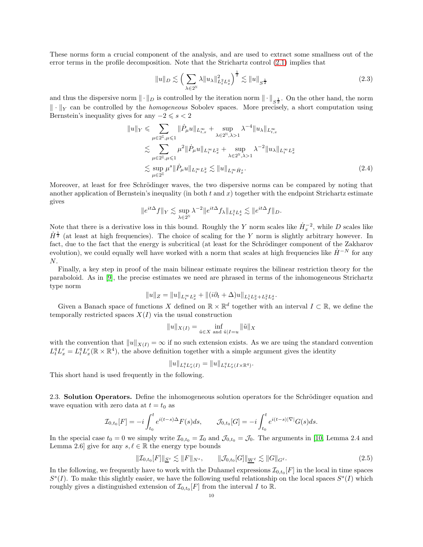These norms form a crucial component of the analysis, and are used to extract some smallness out of the error terms in the profile decomposition. Note that the Strichartz control [\(2.1\)](#page-8-1) implies that

<span id="page-9-2"></span>
$$
||u||_{D} \lesssim \left(\sum_{\lambda \in 2^{\mathbb{N}}} \lambda ||u_{\lambda}||_{L_{t}^{2} L_{x}^{4}}^{2}\right)^{\frac{1}{2}} \lesssim ||u||_{S^{\frac{1}{2}}} \tag{2.3}
$$

and thus the dispersive norm  $\|\cdot\|_D$  is controlled by the iteration norm  $\|\cdot\|_{S^{\frac{1}{2}}}$ . On the other hand, the norm  $\|\cdot\|_Y$  can be controlled by the *homogeneous* Sobolev spaces. More precisely, a short computation using Bernstein's inequality gives for any  $-2 \leq s < 2$ 

$$
||u||_Y \leq \sum_{\mu \in 2^{\mathbb{Z}}, \mu \leq 1} ||\dot{P}_{\mu}u||_{L^{\infty}_{t,x}} + \sup_{\lambda \in 2^{\mathbb{N}}, \lambda > 1} \lambda^{-4} ||u_{\lambda}||_{L^{\infty}_{t,x}} \n\leq \sum_{\mu \in 2^{\mathbb{Z}}, \mu \leq 1} \mu^{2} ||\dot{P}_{\mu}u||_{L^{\infty}_{t} L^{2}_{x}} + \sup_{\lambda \in 2^{\mathbb{N}}, \lambda > 1} \lambda^{-2} ||u_{\lambda}||_{L^{\infty}_{t} L^{2}_{x}} \n\leq \sup_{\mu \in 2^{\mathbb{Z}}} \mu^{s} ||\dot{P}_{\mu}u||_{L^{\infty}_{t} L^{2}_{x}} \leq ||u||_{L^{\infty}_{t} \dot{H}^{s}_{x}}.
$$
\n(2.4)

Moreover, at least for free Schrödinger waves, the two dispersive norms can be compared by noting that another application of Bernstein's inequality (in both  $t$  and  $x$ ) together with the endpoint Strichartz estimate gives

<span id="page-9-0"></span>
$$
\|e^{it\Delta}f\|_Y \lesssim \sup_{\lambda \in 2^{\mathbb{N}}} \lambda^{-2} \|e^{it\Delta}f_\lambda\|_{L^2_tL^4_x} \lesssim \|e^{it\Delta}f\|_D.
$$

Note that there is a derivative loss in this bound. Roughly the Y norm scales like  $\dot{H}_x^{-2}$ , while D scales like  $\dot{H}^{\frac{1}{2}}$  (at least at high frequencies). The choice of scaling for the Y norm is slightly arbitrary however. In fact, due to the fact that the energy is subcritical (at least for the Schrödinger component of the Zakharov evolution), we could equally well have worked with a norm that scales at high frequencies like  $H^{-N}$  for any  $N$ 

Finally, a key step in proof of the main bilinear estimate requires the bilinear restriction theory for the paraboloid. As in [\[9\]](#page-39-10), the precise estimates we need are phrased in terms of the inhomogeneous Strichartz type norm

$$
||u||_Z = ||u||_{L_t^{\infty}L_x^2} + ||(i\partial_t + \Delta)u||_{L_t^1L_x^2 + L_t^2L_x^4}.
$$

Given a Banach space of functions X defined on  $\mathbb{R} \times \mathbb{R}^d$  together with an interval  $I \subset \mathbb{R}$ , we define the temporally restricted spaces  $X(I)$  via the usual construction

$$
||u||_{X(I)} = \inf_{\tilde{u} \in X \text{ and } \tilde{u}|I=u} ||\tilde{u}||_X
$$

with the convention that  $||u||_{X(I)} = \infty$  if no such extension exists. As we are using the standard convention  $L_t^q L_x^r = L_t^q L_x^r (\mathbb{R} \times \mathbb{R}^4)$ , the above definition together with a simple argument gives the identity

$$
||u||_{L_t^q L_x^r(I)} = ||u||_{L_t^q L_x^r(I \times \mathbb{R}^4)}.
$$

This short hand is used frequently in the following.

2.3. **Solution Operators.** Define the inhomogeneous solution operators for the Schrödinger equation and wave equation with zero data at  $t = t_0$  as

$$
\mathcal{I}_{0,t_0}[F] = -i \int_{t_0}^t e^{i(t-s)\Delta} F(s) ds, \qquad \mathcal{J}_{0,t_0}[G] = -i \int_{t_0}^t e^{i(t-s)|\nabla|} G(s) ds.
$$

In the special case  $t_0 = 0$  we simply write  $\mathcal{I}_{0,t_0} = \mathcal{I}_0$  and  $\mathcal{J}_{0,t_0} = \mathcal{J}_0$ . The arguments in [\[10,](#page-39-11) Lemma 2.4 and Lemma 2.6] give for any  $s, \ell \in \mathbb{R}$  the energy type bounds

<span id="page-9-1"></span>
$$
\|\mathcal{I}_{0,t_0}[F]\|_{\underline{S}^s} \lesssim \|F\|_{N^s}, \qquad \|\mathcal{J}_{0,t_0}[G]\|_{\underline{W}^\ell} \lesssim \|G\|_{G^\ell}.
$$
\n(2.5)

In the following, we frequently have to work with the Duhamel expressions  $\mathcal{I}_{0,t_0}[F]$  in the local in time spaces  $S<sup>s</sup>(I)$ . To make this slightly easier, we have the following useful relationship on the local spaces  $S<sup>s</sup>(I)$  which roughly gives a distinguished extension of  $\mathcal{I}_{0,t_0}[F]$  from the interval I to R.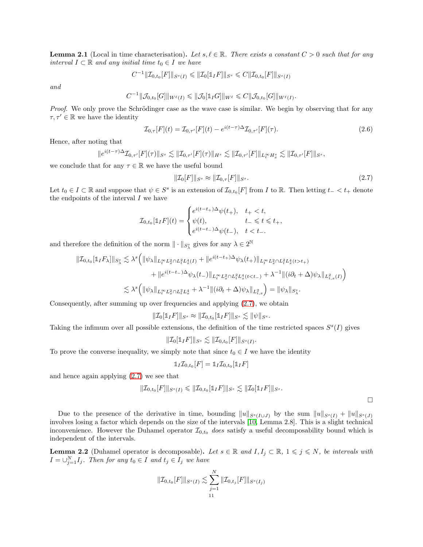<span id="page-10-1"></span>**Lemma 2.1** (Local in time characterisation). Let  $s, \ell \in \mathbb{R}$ . There exists a constant  $C > 0$  such that for any *interval*  $I \subset \mathbb{R}$  *and any initial time*  $t_0 \in I$  *we have* 

$$
C^{-1} \|\mathcal{I}_{0,t_0}[F]\|_{S^s(I)} \leq \|\mathcal{I}_0[\mathbb{1}_I F]\|_{S^s} \leq C \|\mathcal{I}_{0,t_0}[F]\|_{S^s(I)}
$$

*and*

$$
C^{-1} \|\mathcal{J}_{0,t_0}[G]\|_{W^{\ell}(I)} \leq \|\mathcal{J}_0[\mathbb{1}_I G]\|_{W^{\ell}} \leq C \|\mathcal{J}_{0,t_0}[G]\|_{W^{\ell}(I)}.
$$

*Proof.* We only prove the Schrödinger case as the wave case is similar. We begin by observing that for any  $\tau, \tau' \in \mathbb{R}$  we have the identity

$$
\mathcal{I}_{0,\tau}[F](t) = \mathcal{I}_{0,\tau'}[F](t) - e^{i(t-\tau)\Delta} \mathcal{I}_{0,\tau'}[F](\tau).
$$
\n(2.6)

Hence, after noting that

$$
\|e^{i(t-\tau)\Delta}\mathcal{I}_{0,\tau'}[F](\tau)\|_{S^s}\lesssim \|\mathcal{I}_{0,\tau'}[F](\tau)\|_{H^s}\lesssim \|\mathcal{I}_{0,\tau'}[F]\|_{L^\infty_tH^s_x}\lesssim \|\mathcal{I}_{0,\tau'}[F]\|_{S^s},
$$

we conclude that for any  $\tau \in \mathbb{R}$  we have the useful bound

<span id="page-10-0"></span>
$$
\|\mathcal{I}_0[F]\|_{S^s} \approx \|\mathcal{I}_{0,\tau}[F]\|_{S^s}.\tag{2.7}
$$

Let  $t_0 \in I \subset \mathbb{R}$  and suppose that  $\psi \in S^s$  is an extension of  $\mathcal{I}_{0,t_0}[F]$  from I to  $\mathbb{R}$ . Then letting  $t_- < t_+$  denote the endpoints of the interval I we have

$$
\mathcal{I}_{0,t_0}[\mathbb{1}_I F](t) = \begin{cases} e^{i(t-t_+) \Delta} \psi(t_+), & t_+ < t, \\ \psi(t), & t_- \leqslant t \leqslant t_+, \\ e^{i(t-t_-) \Delta} \psi(t_-), & t < t_-. \end{cases}
$$

and therefore the definition of the norm  $\|\cdot\|_{S^s_\lambda}$  gives for any  $\lambda \in 2^{\mathbb{N}}$ 

$$
\begin{split} \|\mathcal{I}_{0,t_0}[1_I F_\lambda]\|_{S^s_\lambda} &\lesssim \lambda^s \Big( \|\psi_\lambda\|_{L^\infty_t L^2_x \cap L^2_t L^4_x(I)} + \|e^{i(t-t_+) \Delta} \psi_\lambda(t_+) \|_{L^\infty_t L^2_x \cap L^2_t L^4_x(t > t_+)} \\ &\qquad + \|e^{i(t-t_-) \Delta} \psi_\lambda(t_-) \|_{L^\infty_t L^2_x \cap L^2_t L^4_x(t < t_-)} + \lambda^{-1} \| (i \partial_t + \Delta) \psi_\lambda \|_{L^2_{t,x}(I)} \Big) \\ &\lesssim \lambda^s \Big( \|\psi_\lambda\|_{L^\infty_t L^2_x \cap L^2_t L^4_x} + \lambda^{-1} \| (i \partial_t + \Delta) \psi_\lambda \|_{L^2_{t,x}} \Big) = \| \psi_\lambda \|_{S^s_\lambda}. \end{split}
$$

Consequently, after summing up over frequencies and applying [\(2.7\)](#page-10-0), we obtain

$$
\|\mathcal{I}_0[\mathbb{1}_I F]\|_{S^s} \approx \|\mathcal{I}_{0,t_0}[\mathbb{1}_I F]\|_{S^s} \lesssim \|\psi\|_{S^s}.
$$

Taking the infimum over all possible extensions, the definition of the time restricted spaces  $S<sup>s</sup>(I)$  gives

$$
\|\mathcal{I}_0[\mathbb{1}_I F]\|_{S^s} \lesssim \|\mathcal{I}_{0,t_0}[F]\|_{S^s(I)}.
$$

To prove the converse inequality, we simply note that since  $t_0 \in I$  we have the identity

$$
\mathbb{1}_I \mathcal{I}_{0,t_0}[F] = \mathbb{1}_I \mathcal{I}_{0,t_0}[\mathbb{1}_I F]
$$

and hence again applying [\(2.7\)](#page-10-0) we see that

$$
\|\mathcal{I}_{0,t_0}[F]\|_{S^s(I)} \leq \|\mathcal{I}_{0,t_0}[\mathbb{1}_I F]\|_{S^s} \lesssim \|\mathcal{I}_0[\mathbb{1}_I F]\|_{S^s}.
$$

 $\Box$ 

Due to the presence of the derivative in time, bounding  $||u||_{S<sup>s(I\cup J)</sup>}$  by the sum  $||u||_{S<sup>s(I)</sup>} + ||u||_{S<sup>s(J)</sup>}$ involves losing a factor which depends on the size of the intervals [\[10,](#page-39-11) Lemma 2.8]. This is a slight technical inconvenience. However the Duhamel operator  $\mathcal{I}_{0,t_0}$  *does* satisfy a useful decomposability bound which is independent of the intervals.

<span id="page-10-2"></span>**Lemma 2.2** (Duhamel operator is decomposable). Let  $s \in \mathbb{R}$  and  $I, I_j \subset \mathbb{R}$ ,  $1 \leq j \leq N$ , be intervals with  $I = \bigcup_{j=1}^{N} I_j$ *. Then for any*  $t_0 \in I$  *and*  $t_j \in I_j$  *we have* 

$$
\|\mathcal{I}_{0,t_0}[F]\|_{S^s(I)} \lesssim \sum_{j=1}^N \|\mathcal{I}_{0,t_j}[F]\|_{S^s(I_j)}
$$
  
11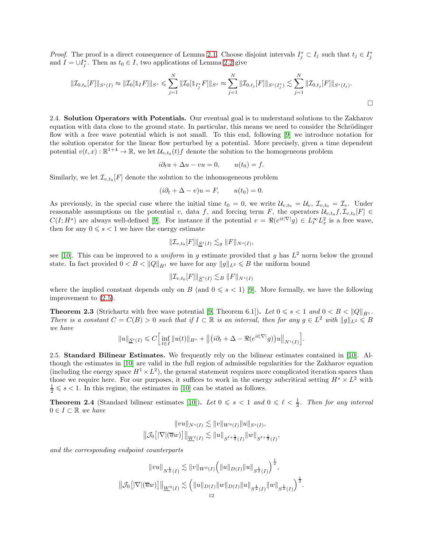*Proof.* The proof is a direct consequence of Lemma [2.1.](#page-10-1) Choose disjoint intervals  $I_j^* \subset I_j$  such that  $t_j \in I_j^*$ and  $I = \bigcup_{j}^{*}$ . Then as  $t_0 \in I$ , two applications of Lemma [2.2](#page-10-2) give

$$
||\mathcal{I}_{0,t_0}[F]||_{S^s(I)} \approx ||\mathcal{I}_0[\mathbb{1}_I F]||_{S^s} \leq \sum_{j=1}^N ||\mathcal{I}_0[\mathbb{1}_{I_j^*} F]||_{S^s} \approx \sum_{j=1}^N ||\mathcal{I}_{0,t_j}[F]||_{S^s(I_j^*)} \lesssim \sum_{j=1}^N ||\mathcal{I}_{0,t_j}[F]||_{S^s(I_j)}.
$$

2.4. Solution Operators with Potentials. Our eventual goal is to understand solutions to the Zakharov equation with data close to the ground state. In particular, this means we need to consider the Schrödinger flow with a free wave potential which is not small. To this end, following [\[9\]](#page-39-10) we introduce notation for the solution operator for the linear flow perturbed by a potential. More precisely, given a time dependent potential  $v(t, x): \mathbb{R}^{1+4} \to \mathbb{R}$ , we let  $\mathcal{U}_{v,t_0}(t) f$  denote the solution to the homogeneous problem

$$
i\partial_t u + \Delta u - vu = 0, \qquad u(t_0) = f.
$$

Similarly, we let  $\mathcal{I}_{v,t_0}[F]$  denote the solution to the inhomogeneous problem

$$
(i\partial_t + \Delta - v)u = F, \qquad u(t_0) = 0.
$$

As previously, in the special case where the initial time  $t_0 = 0$ , we write  $\mathcal{U}_{v,t_0} = \mathcal{U}_v$ ,  $\mathcal{I}_{v,t_0} = \mathcal{I}_v$ . Under reasonable assumptions on the potential v, data f, and forcing term F, the operators  $\mathcal{U}_{v,t_0}f, \mathcal{I}_{v,t_0}[F] \in$  $C(I; H<sup>s</sup>)$  are always well-defined [\[9\]](#page-39-10). For instance if the potential  $v = \Re(e^{it|\nabla|}g) \in L_t^{\infty}L_x^2$  is a free wave, then for any  $0 \le s < 1$  we have the energy estimate

$$
\|\mathcal{I}_{v,t_0}[F]\|_{\underline{S}^s(I)} \lesssim_g \|F\|_{N^s(I)},
$$

see [\[10\]](#page-39-11). This can be improved to a *uniform* in g estimate provided that g has  $L^2$  norm below the ground state. In fact provided  $0 < B < ||Q||_{\dot{H}^1}$  we have for any  $||g||_{L^2} \le B$  the uniform bound

$$
\|\mathcal{I}_{v,t_0}[F]\|_{\underline{S}^s(I)} \lesssim_B \|F\|_{N^s(I)}
$$

where the implied constant depends only on B (and  $0 \le s < 1$ ) [\[9\]](#page-39-10). More formally, we have the following improvement to [\(2.5\)](#page-9-1).

<span id="page-11-0"></span>**Theorem 2.3** (Strichartz with free wave potential [\[9,](#page-39-10) Theorem 6.1]). Let  $0 \le s \le 1$  and  $0 \le B \le ||Q||_{\dot{H}^1}$ . *There is a constant*  $C = C(B) > 0$  *such that if*  $I \subset \mathbb{R}$  *is an interval, then for any*  $g \in L^2$  *with*  $||g||_{L^2} \le B$ *we have*

$$
||u||_{\underline{S}^s(I)} \leqslant C \Big[\inf_{t\in I} ||u(t)||_{H^s} + \big\|\big( i\partial_t + \Delta - \Re(e^{it|\nabla|} g)\big)u\big\|_{N^s(I)}\Big].
$$

2.5. Standard Bilinear Estimates. We frequently rely on the bilinear estimates contained in [\[10\]](#page-39-11). Although the estimates in [\[10\]](#page-39-11) are valid in the full region of admissible regularities for the Zakharov equation (including the energy space  $H^1 \times L^2$ ), the general statement requires more complicated iteration spaces than those we require here. For our purposes, it suffices to work in the energy subcritical setting  $H^s \times L^2$  with  $\frac{1}{2} \leq s < 1$ . In this regime, the estimates in [\[10\]](#page-39-11) can be stated as follows.

<span id="page-11-1"></span>**Theorem 2.4** (Standard bilinear estimates [\[10\]](#page-39-11)). Let  $0 \le s \le 1$  and  $0 \le \ell \le \frac{1}{2}$ . Then for any interval 0 ∈ I ⊂ R *we have*

$$
||vu||_{N^{s}(I)} \lesssim ||v||_{W^{0}(I)} ||u||_{S^{s}(I)},
$$
  

$$
||\mathcal{J}_0[|\nabla|(\overline{u}w)]||_{\underline{W}^{\ell}(I)} \lesssim ||u||_{S^{\ell+\frac{1}{2}}(I)} ||w||_{S^{\ell+\frac{1}{2}}(I)},
$$

*and the corresponding endpoint counterparts*

$$
||vu||_{N^{\frac{1}{2}}(I)} \lesssim ||v||_{W^{0}(I)} (||u||_{D(I)} ||u||_{S^{\frac{1}{2}}(I)})^{\frac{1}{2}},
$$
  

$$
||\mathcal{J}_0[|\nabla|(\overline{u}w)]||_{\underline{W}^{0}(I)} \lesssim (||u||_{D(I)} ||w||_{D(I)} ||u||_{S^{\frac{1}{2}}(I)} ||w||_{S^{\frac{1}{2}}(I)})^{\frac{1}{2}}.
$$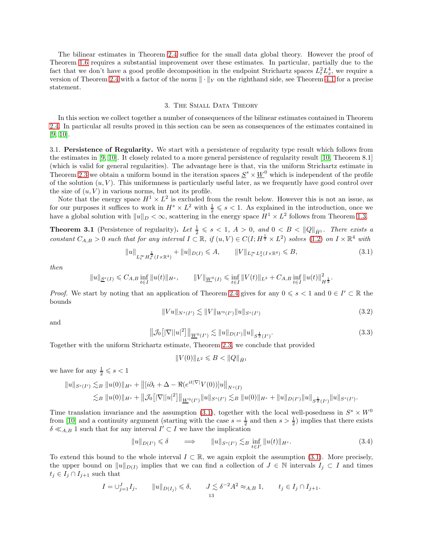The bilinear estimates in Theorem [2.4](#page-11-1) suffice for the small data global theory. However the proof of Theorem [1.6](#page-3-0) requires a substantial improvement over these estimates. In particular, partially due to the fact that we don't have a good profile decomposition in the endpoint Strichartz spaces  $L_t^2 L_x^4$ , we require a version of Theorem [2.4](#page-11-1) with a factor of the norm  $\|\cdot\|_Y$  on the righthand side, see Theorem [4.1](#page-21-0) for a precise statement.

#### 3. The Small Data Theory

<span id="page-12-0"></span>In this section we collect together a number of consequences of the bilinear estimates contained in Theorem [2.4.](#page-11-1) In particular all results proved in this section can be seen as consequences of the estimates contained in [\[9,](#page-39-10) [10\]](#page-39-11).

3.1. Persistence of Regularity. We start with a persistence of regularity type result which follows from the estimates in [\[9,](#page-39-10) [10\]](#page-39-11). It closely related to a more general persistence of regularity result [\[10,](#page-39-11) Theorem 8.1] (which is valid for general regularities). The advantage here is that, via the uniform Strichartz estimate in Theorem [2.3](#page-11-0) we obtain a uniform bound in the iteration spaces  $S^s \times \underline{W}^0$  which is independent of the profile of the solution  $(u, V)$ . This uniformness is particularly useful later, as we frequently have good control over the size of  $(u, V)$  in various norms, but not its profile.

Note that the energy space  $H^1 \times L^2$  is excluded from the result below. However this is not an issue, as for our purposes it suffices to work in  $H^s \times L^2$  with  $\frac{1}{2} \leqslant s < 1$ . As explained in the introduction, once we have a global solution with  $||u||_D < \infty$ , scattering in the energy space  $H^1 \times L^2$  follows from Theorem [1.3.](#page-2-0)

<span id="page-12-5"></span>**Theorem 3.1** (Persistence of regularity). Let  $\frac{1}{2} \le s < 1$ ,  $A > 0$ , and  $0 < B < ||Q||_{\dot{H}^1}$ . There exists a *constant*  $C_{A,B} > 0$  *such that for any interval*  $I \subset \mathbb{R}$ , if  $(u, V) \in C(I; H^{\frac{1}{2}} \times L^2)$  *solves* [\(1.2\)](#page-0-0) *on*  $I \times \mathbb{R}^4$  *with* 

<span id="page-12-1"></span>
$$
||u||_{L_t^{\infty} H_x^{\frac{1}{2}}(I \times \mathbb{R}^4)} + ||u||_{D(I)} \leqslant A, \qquad ||V||_{L_t^{\infty} L_x^2(I \times \mathbb{R}^4)} \leqslant B,
$$
\n(3.1)

*then*

$$
||u||_{\underline{S}^s(I)} \leq C_{A,B} \inf_{t \in I} ||u(t)||_{H^s}, \qquad ||V||_{\underline{W}^0(I)} \leq \inf_{t \in I} ||V(t)||_{L^2} + C_{A,B} \inf_{t \in I} ||u(t)||_{H^{\frac{1}{2}}}^2
$$

*Proof.* We start by noting that an application of Theorem [2.4](#page-11-1) gives for any  $0 \le s < 1$  and  $0 \in I' \subset \mathbb{R}$  the bounds

<span id="page-12-4"></span>
$$
||Vu||_{N^{s}(I')} \lesssim ||V||_{W^{0}(I')}||u||_{S^{s}(I')} \tag{3.2}
$$

.

and

<span id="page-12-3"></span>
$$
\|\mathcal{J}_0[|\nabla||u|^2]\|_{\underline{W}^0(I')} \lesssim \|u\|_{D(I')} \|u\|_{S^{\frac{1}{2}}(I')}.
$$
\n(3.3)

Together with the uniform Strichartz estimate, Theorem [2.3,](#page-11-0) we conclude that provided

$$
||V(0)||_{L^2} \le B < ||Q||_{\dot{H}^1}
$$

we have for any  $\frac{1}{2} \leqslant s < 1$ 

$$
||u||_{S^{s}(I')} \lesssim_{B} ||u(0)||_{H^{s}} + ||[i\partial_{t} + \Delta - \Re(e^{it|\nabla|}V(0))]u||_{N^{s}(I)}
$$
  

$$
\lesssim_{B} ||u(0)||_{H^{s}} + ||\mathcal{J}_{0} [|\nabla||u|^{2}]||_{\underline{W}^{0}(I')} ||u||_{S^{s}(I')} \lesssim_{B} ||u(0)||_{H^{s}} + ||u||_{D(I')} ||u||_{S^{\frac{1}{2}}(I')} ||u||_{S^{s}(I')}.
$$

Time translation invariance and the assumption [\(3.1\)](#page-12-1), together with the local well-posedness in  $S^s \times W^0$ from [\[10\]](#page-39-11) and a continuity argument (starting with the case  $s = \frac{1}{2}$  and then  $s > \frac{1}{2}$ ) implies that there exists  $\delta \ll_{A,B} 1$  such that for any interval  $I' \subset I$  we have the implication

<span id="page-12-2"></span>
$$
||u||_{D(I')} \leq \delta \qquad \Longrightarrow \qquad ||u||_{S^s(I')} \lesssim_B \inf_{t \in I'} ||u(t)||_{H^s}.
$$
\n(3.4)

To extend this bound to the whole interval  $I \subset \mathbb{R}$ , we again exploit the assumption [\(3.1\)](#page-12-1). More precisely, the upper bound on  $||u||_{D(I)}$  implies that we can find a collection of  $J \in \mathbb{N}$  intervals  $I_j \subset I$  and times  $t_j \in I_j \cap I_{j+1}$  such that

$$
I = \bigcup_{j=1}^{J} I_j, \qquad ||u||_{D(I_j)} \leq \delta, \qquad J \lesssim \delta^{-2} A^2 \approx_{A,B} 1, \qquad t_j \in I_j \cap I_{j+1}.
$$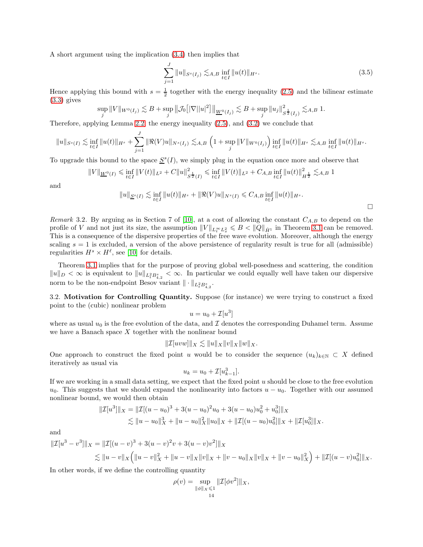A short argument using the implication [\(3.4\)](#page-12-2) then implies that

$$
\sum_{j=1}^{J} \|u\|_{S^{s}(I_j)} \lesssim_{A,B} \inf_{t \in I} \|u(t)\|_{H^s}.
$$
\n(3.5)

Hence applying this bound with  $s = \frac{1}{2}$  together with the energy inequality [\(2.5\)](#page-9-1) and the bilinear estimate  $(3.3)$  gives

$$
\sup_{j} ||V||_{W^{0}(I_{j})} \lesssim B + \sup_{j} ||\mathcal{J}_{0} [|\nabla ||u|^{2}]||_{\underline{W}^{0}(I_{j})} \lesssim B + \sup_{j} ||u_{j}||_{S^{\frac{1}{2}}(I_{j})}^{2} \lesssim_{A,B} 1.
$$

Therefore, applying Lemma [2.2,](#page-10-2) the energy inequality [\(2.5\)](#page-9-1), and [\(3.2\)](#page-12-4) we conclude that

$$
||u||_{S^{s}(I)} \lesssim \inf_{t \in I} ||u(t)||_{H^{s}} + \sum_{j=1}^{J} ||\Re(V)u||_{N^{s}(I_{j})} \lesssim_{A,B} \left(1 + \sup_{j} ||V||_{W^{0}(I_{j})}\right) \inf_{t \in I} ||u(t)||_{H^{s}} \lesssim_{A,B} \inf_{t \in I} ||u(t)||_{H^{s}}.
$$

To upgrade this bound to the space  $S^s(I)$ , we simply plug in the equation once more and observe that

$$
||V||_{\underline{W}^{0}(I)} \leq \inf_{t \in I} ||V(t)||_{L^{2}} + C||u||_{S^{\frac{1}{2}}(I)}^{2} \leq \inf_{t \in I} ||V(t)||_{L^{2}} + C_{A,B} \inf_{t \in I} ||u(t)||_{H^{\frac{1}{2}}}^{2} \lesssim_{A,B} 1
$$

and

$$
||u||_{\underline{S}^s(I)} \lesssim \inf_{t \in I} ||u(t)||_{H^s} + ||\Re(V)u||_{N^s(I)} \leq C_{A,B} \inf_{t \in I} ||u(t)||_{H^s}.
$$

*Remark* 3.2. By arguing as in Section 7 of [\[10\]](#page-39-11), at a cost of allowing the constant  $C_{A,B}$  to depend on the profile of V and not just its size, the assumption  $||V||_{L_t^{\infty}L_x^2} \leq B < ||Q||_{\dot{H}^1}$  in Theorem [3.1](#page-12-5) can be removed. This is a consequence of the dispersive properties of the free wave evolution. Moreover, although the energy scaling  $s = 1$  is excluded, a version of the above persistence of regularity result is true for all (admissible) regularities  $H^s \times H^{\ell}$ , see [\[10\]](#page-39-11) for details.

Theorem [3.1](#page-12-5) implies that for the purpose of proving global well-posedness and scattering, the condition  $||u||_D < \infty$  is equivalent to  $||u||_{L_t^2 B_{4,2}^s} < \infty$ . In particular we could equally well have taken our dispersive norm to be the non-endpoint Besov variant  $\|\cdot\|_{L^2_t B^s_{4,2}}$ .

<span id="page-13-0"></span>3.2. Motivation for Controlling Quantity. Suppose (for instance) we were trying to construct a fixed point to the (cubic) nonlinear problem

$$
u = u_0 + \mathcal{I}[u^3]
$$

where as usual  $u_0$  is the free evolution of the data, and  $\mathcal I$  denotes the corresponding Duhamel term. Assume we have a Banach space  $X$  together with the nonlinear bound

$$
\|\mathcal{I}[uvw]\|_X \lesssim \|u\|_X \|v\|_X \|w\|_X.
$$

One approach to construct the fixed point u would be to consider the sequence  $(u_k)_{k\in\mathbb{N}}\subset X$  defined iteratively as usual via

$$
u_k = u_0 + \mathcal{I}[u_{k-1}^3].
$$

If we are working in a small data setting, we expect that the fixed point  $u$  should be close to the free evolution  $u_0$ . This suggests that we should expand the nonlinearity into factors  $u - u_0$ . Together with our assumed nonlinear bound, we would then obtain

$$
||\mathcal{I}[u^3]||_X = ||\mathcal{I}[(u - u_0)^3 + 3(u - u_0)^2 u_0 + 3(u - u_0)u_0^2 + u_0^3]||_X
$$
  
\$\leq ||u - u\_0||\_X^3 + ||u - u\_0||\_X^2 ||u\_0||\_X + ||\mathcal{I}[(u - u\_0)u\_0^2]||\_X + ||\mathcal{I}[u\_0^3]||\_X.\$

and

$$
\begin{aligned} \|\mathcal{I}[u^3 - v^3]\|_X &= \|\mathcal{I}[(u - v)^3 + 3(u - v)^2v + 3(u - v)v^2]\|_X \\ &\lesssim \|u - v\|_X \left(\|u - v\|_X^2 + \|u - v\|_X\|v\|_X + \|v - u_0\|_X\|v\|_X + \|v - u_0\|_X^2\right) + \|\mathcal{I}[(u - v)u_0^2]\|_X. \end{aligned}
$$

In other words, if we define the controlling quantity

$$
\rho(v) = \sup_{\|\phi\|_X \le 1} \| \mathcal{I}[\phi v^2] \|_X,
$$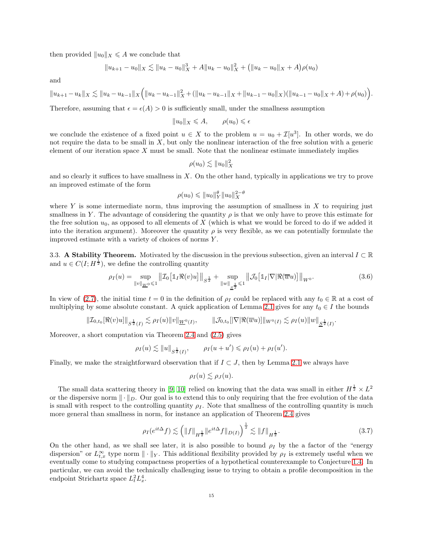then provided  $||u_0||_X \leq A$  we conclude that

$$
||u_{k+1} - u_0||_X \lesssim ||u_k - u_0||_X^3 + A||u_k - u_0||_X^2 + (||u_k - u_0||_X + A)\rho(u_0)
$$

and

$$
||u_{k+1}-u_k||_X \lesssim ||u_k-u_{k-1}||_X \Big(||u_k-u_{k-1}||_X^2 + (||u_k-u_{k-1}||_X + ||u_{k-1}-u_0||_X)(||u_{k-1}-u_0||_X + A) + \rho(u_0)\Big).
$$

Therefore, assuming that  $\epsilon = \epsilon(A) > 0$  is sufficiently small, under the smallness assumption

$$
||u_0||_X \leqslant A, \qquad \rho(u_0) \leqslant \epsilon
$$

we conclude the existence of a fixed point  $u \in X$  to the problem  $u = u_0 + \mathcal{I}[u^3]$ . In other words, we do not require the data to be small in  $X$ , but only the nonlinear interaction of the free solution with a generic element of our iteration space  $X$  must be small. Note that the nonlinear estimate immediately implies

$$
\rho(u_0) \lesssim \|u_0\|_X^2
$$

and so clearly it suffices to have smallness in  $X$ . On the other hand, typically in applications we try to prove an improved estimate of the form

$$
\rho(u_0) \leqslant \|u_0\|_Y^{\theta} \|u_0\|_X^{2-\theta}
$$

where Y is some intermediate norm, thus improving the assumption of smallness in X to requiring just smallness in Y. The advantage of considering the quantity  $\rho$  is that we only have to prove this estimate for the free solution  $u_0$ , as opposed to all elements of X (which is what we would be forced to do if we added it into the iteration argument). Moreover the quantity  $\rho$  is very flexible, as we can potentially formulate the improved estimate with a variety of choices of norms Y .

3.3. A Stability Theorem. Motivated by the discussion in the previous subsection, given an interval  $I \subset \mathbb{R}$ and  $u \in C(I; H^{\frac{1}{2}})$ , we define the controlling quantity

<span id="page-14-0"></span>
$$
\rho_I(u) = \sup_{\|v\|_{\underline{W}^0} \leq 1} \| \mathcal{I}_0 \big[ \mathbb{1}_I \Re(v) u \big] \|_{S^{\frac{1}{2}}} + \sup_{\|w\|_{\underline{S}^{\frac{1}{2}}} \leq 1} \| \mathcal{J}_0 \big[ \mathbb{1}_I |\nabla| \Re(\overline{w} u) \big] \|_{W^0}.
$$
\n(3.6)

In view of [\(2.7\)](#page-10-0), the initial time  $t = 0$  in the definition of  $\rho_I$  could be replaced with any  $t_0 \in \mathbb{R}$  at a cost of multiplying by some absolute constant. A quick application of Lemma [2.1](#page-10-1) gives for any  $t_0 \in I$  the bounds

$$
\|{\cal I}_{0,t_0}[\Re(v)u]\|_{S^{\frac{1}{2}}(I)}\lesssim \rho_I(u)\|v\|_{\underline{W}^0(I)},\qquad \|\cal J_{0,t_0}[|\nabla|\Re(\overline w u)]\|_{W^0(I)}\lesssim \rho_I(u)\|w\|_{\underline{S}^{\frac{1}{2}}(I)}.
$$

Moreover, a short computation via Theorem [2.4](#page-11-1) and [\(2.5\)](#page-9-1) gives

$$
\rho_I(u) \lesssim \|u\|_{S^{\frac{1}{2}}(I)}, \qquad \rho_I(u+u') \leqslant \rho_I(u) + \rho_I(u').
$$

Finally, we make the straightforward observation that if  $I \subset J$ , then by Lemma [2.1](#page-10-1) we always have

$$
\rho_I(u) \lesssim \rho_J(u).
$$

The small data scattering theory in [\[9,](#page-39-10) [10\]](#page-39-11) relied on knowing that the data was small in either  $H^{\frac{1}{2}} \times L^2$ or the dispersive norm  $\|\cdot\|_D$ . Our goal is to extend this to only requiring that the free evolution of the data is small with respect to the controlling quantity  $\rho_I$ . Note that smallness of the controlling quantity is much more general than smallness in norm, for instance an application of Theorem [2.4](#page-11-1) gives

$$
\rho_I(e^{it\Delta} f) \lesssim \left( \|f\|_{H^{\frac{1}{2}}} \|e^{it\Delta} f\|_{D(I)} \right)^{\frac{1}{2}} \lesssim \|f\|_{H^{\frac{1}{2}}}.
$$
\n(3.7)

On the other hand, as we shall see later, it is also possible to bound  $\rho_I$  by the a factor of the "energy" dispersion" or  $L_{t,x}^{\infty}$  type norm  $\|\cdot\|_Y$ . This additional flexibility provided by  $\rho_I$  is extremely useful when we eventually come to studying compactness properties of a hypothetical counterexample to Conjecture [1.4.](#page-2-1) In particular, we can avoid the technically challenging issue to trying to obtain a profile decomposition in the endpoint Strichartz space  $L_t^2 L_x^4$ .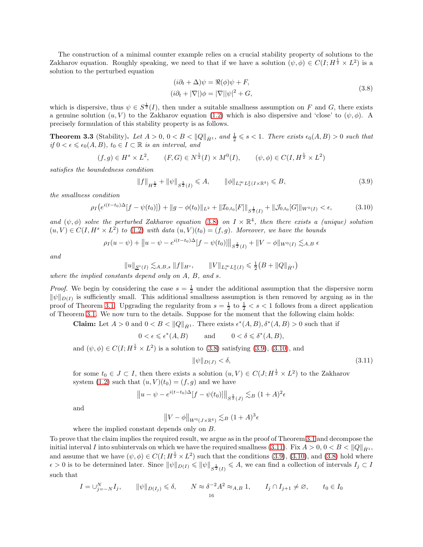The construction of a minimal counter example relies on a crucial stability property of solutions to the Zakharov equation. Roughly speaking, we need to that if we have a solution  $(\psi, \phi) \in C(I; H^{\frac{1}{2}} \times L^2)$  is a solution to the perturbed equation

$$
(i\partial_t + \Delta)\psi = \Re(\phi)\psi + F,
$$
  
\n
$$
(i\partial_t + |\nabla|)\phi = |\nabla||\psi|^2 + G,
$$
\n(3.8)

<span id="page-15-0"></span>which is dispersive, thus  $\psi \in S^{\frac{1}{2}}(I)$ , then under a suitable smallness assumption on F and G, there exists a genuine solution  $(u, V)$  to the Zakharov equation [\(1.2\)](#page-0-0) which is also dispersive and 'close' to  $(\psi, \phi)$ . A precisely formulation of this stability property is as follows.

<span id="page-15-4"></span>**Theorem 3.3** (Stability). Let  $A > 0$ ,  $0 < B < ||Q||_{\dot{H}^1}$ , and  $\frac{1}{2} \leq s < 1$ . There exists  $\epsilon_0(A, B) > 0$  such that *if*  $0 < \epsilon \leq \epsilon_0(A, B)$ ,  $t_0 \in I \subset \mathbb{R}$  *is an interval, and* 

$$
(f,g) \in H^s \times L^2
$$
,  $(F,G) \in N^{\frac{1}{2}}(I) \times M^0(I)$ ,  $(\psi, \phi) \in C(I, H^{\frac{1}{2}} \times L^2)$ 

*satisfies the boundedness condition*

<span id="page-15-1"></span>
$$
||f||_{H^{\frac{1}{2}}} + ||\psi||_{S^{\frac{1}{2}}(I)} \leq A, \qquad ||\phi||_{L_t^{\infty} L_x^2(I \times \mathbb{R}^4)} \leq B,
$$
\n(3.9)

*the smallness condition*

<span id="page-15-2"></span>
$$
\rho_I\big(e^{i(t-t_0)\Delta}[f-\psi(t_0)]\big)+\|g-\phi(t_0)\|_{L^2}+\|Z_{0,t_0}[F]\|_{S^{\frac{1}{2}}(I)}+\|\mathcal{J}_{0,t_0}[G]\|_{W^0(I)}<\epsilon,\tag{3.10}
$$

and  $(\psi, \phi)$  solve the perturbed Zakharov equation [\(3.8\)](#page-15-0) on  $I \times \mathbb{R}^4$ , then there exists a (unique) solution  $(u, V) \in C(I, H^s \times L^2)$  to [\(1.2\)](#page-0-0) with data  $(u, V)(t_0) = (f, g)$ *. Moreover, we have the bounds* 

$$
\rho_I(u - \psi) + ||u - \psi - e^{i(t - t_0)\Delta} [f - \psi(t_0)]||_{S^{\frac{1}{2}}(I)} + ||V - \phi||_{W^0(I)} \lesssim_{A,B} \epsilon
$$

*and*

$$
||u||_{\underline{S}^{s}(I)} \lesssim_{A,B,s} ||f||_{H^{s}}, \qquad ||V||_{L_{t}^{\infty}L_{x}^{2}(I)} \leq \frac{1}{2}(B + ||Q||_{\dot{H}^{1}})
$$

*where the implied constants depend only on* A*,* B*, and* s*.*

*Proof.* We begin by considering the case  $s = \frac{1}{2}$  under the additional assumption that the dispersive norm  $\|\psi\|_{D(I)}$  is sufficiently small. This additional smallness assumption is then removed by arguing as in the proof of Theorem [3.1.](#page-12-5) Upgrading the regularity from  $s = \frac{1}{2}$  to  $\frac{1}{2} < s < 1$  follows from a direct application of Theorem [3.1.](#page-12-5) We now turn to the details. Suppose for the moment that the following claim holds:

**Claim:** Let  $A > 0$  and  $0 < B < ||Q||_{\dot{H}^1}$ . There exists  $\epsilon^*(A, B), \delta^*(A, B) > 0$  such that if

$$
0 < \epsilon \leq \epsilon^*(A, B) \qquad \text{and} \qquad 0 < \delta \leq \delta^*(A, B),
$$

and  $(\psi, \phi) \in C(I; H^{\frac{1}{2}} \times L^2)$  is a solution to [\(3.8\)](#page-15-0) satisfying [\(3.9\)](#page-15-1), [\(3.10\)](#page-15-2), and

<span id="page-15-3"></span>
$$
\|\psi\|_{D(J)} < \delta,\tag{3.11}
$$

for some  $t_0 \in J \subset I$ , then there exists a solution  $(u, V) \in C(J; H^{\frac{1}{2}} \times L^2)$  to the Zakharov system [\(1.2\)](#page-0-0) such that  $(u, V)(t_0) = (f, g)$  and we have

$$
\|u - \psi - e^{i(t - t_0)\Delta} [f - \psi(t_0)]\|_{S^{\frac{1}{2}}(J)} \lesssim_B (1 + A)^2 \epsilon
$$

and

$$
||V - \phi||_{W^0(J \times \mathbb{R}^4)} \lesssim_B (1+A)^3 \epsilon
$$

where the implied constant depends only on B.

To prove that the claim implies the required result, we argue as in the proof of Theorem [3.1](#page-12-5) and decompose the initial interval I into subintervals on which we have the required smallness [\(3.11\)](#page-15-3). Fix  $A > 0, 0 < B < ||Q||_{\dot{H}^1}$ , and assume that we have  $(\psi, \phi) \in C(I; H^{\frac{1}{2}} \times L^2)$  such that the conditions [\(3.9\)](#page-15-1), [\(3.10\)](#page-15-2), and [\(3.8\)](#page-15-0) hold where  $\epsilon > 0$  is to be determined later. Since  $\|\psi\|_{D(I)} \leqslant \|\psi\|_{S^{\frac{1}{2}}(I)} \leqslant A$ , we can find a collection of intervals  $I_j \subset I$ such that

$$
I = \bigcup_{j=-N}^{N} I_j, \qquad \|\psi\|_{D(I_j)} \leq \delta, \qquad N \approx \delta^{-2} A^2 \approx_{A,B} 1, \qquad I_j \cap I_{j+1} \neq \emptyset, \qquad t_0 \in I_0
$$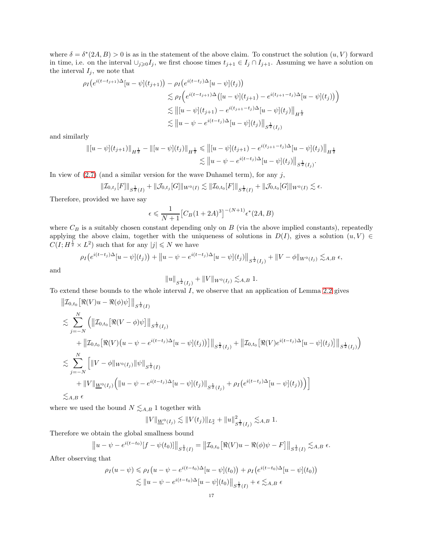where  $\delta = \delta^*(2A, B) > 0$  is as in the statement of the above claim. To construct the solution  $(u, V)$  forward in time, i.e. on the interval  $\cup_{j\geqslant 0}I_j$ , we first choose times  $t_{j+1}\in I_j\cap I_{j+1}$ . Assuming we have a solution on the interval  $I_j$ , we note that

$$
\rho_I(e^{i(t-t_{j+1})\Delta}[u-\psi](t_{j+1})) - \rho_I(e^{i(t-t_j)\Delta}[u-\psi](t_j))
$$
  
\n
$$
\lesssim \rho_I\Big(e^{i(t-t_{j+1})\Delta}([u-\psi](t_{j+1}) - e^{i(t_{j+1}-t_j)\Delta}[u-\psi](t_j))\Big)
$$
  
\n
$$
\lesssim ||[u-\psi](t_{j+1}) - e^{i(t_{j+1}-t_j)\Delta}[u-\psi](t_j)||_{H^{\frac{1}{2}}}
$$
  
\n
$$
\lesssim ||u-\psi - e^{i(t-t_j)\Delta}[u-\psi](t_j)||_{H^{\frac{1}{2}}(I_j)}
$$

and similarly

$$
\begin{aligned} \left\| [u - \psi](t_{j+1}) \right\|_{H^{\frac{1}{2}}} - \left\| [u - \psi](t_j) \right\|_{H^{\frac{1}{2}}} &\leq \left\| [u - \psi](t_{j+1}) - e^{i(t_{j+1} - t_j)\Delta} [u - \psi](t_j) \right\|_{H^{\frac{1}{2}}} \\ &\lesssim \left\| u - \psi - e^{i(t - t_j)\Delta} [u - \psi](t_j) \right\|_{S^{\frac{1}{2}}(I_j)}. \end{aligned}
$$

In view of  $(2.7)$  (and a similar version for the wave Duhamel term), for any j,

$$
\|\mathcal{I}_{0,t_j}[F]\|_{S^{\frac{1}{2}}(I)} + \|\mathcal{J}_{0,t_j}[G]\|_{W^0(I)} \lesssim \|\mathcal{I}_{0,t_0}[F]\|_{S^{\frac{1}{2}}(I)} + \|\mathcal{J}_{0,t_0}[G]\|_{W^0(I)} \lesssim \epsilon.
$$

Therefore, provided we have say

$$
\epsilon \leqslant \frac{1}{N+1} \big[ C_B (1+2A)^3 \big]^{-(N+1)} \epsilon^*(2A, B)
$$

where  $C_B$  is a suitably chosen constant depending only on  $B$  (via the above implied constants), repeatedly applying the above claim, together with the uniqueness of solutions in  $D(I)$ , gives a solution  $(u, V) \in$  $C(I; H^{\frac{1}{2}} \times L^2)$  such that for any  $|j| \leq N$  we have

$$
\rho_I(e^{i(t-t_j)\Delta}[u-\psi](t_j)) + \|u-\psi-e^{i(t-t_j)\Delta}[u-\psi](t_j)\|_{S^{\frac{1}{2}}(I_j)} + \|V-\phi\|_{W^0(I_j)} \lesssim_{A,B} \epsilon,
$$

and

$$
||u||_{S^{\frac{1}{2}}(I_j)} + ||V||_{W^0(I_j)} \lesssim_{A,B} 1.
$$

To extend these bounds to the whole interval  $I$ , we observe that an application of Lemma [2.2](#page-10-2) gives

$$
\| \mathcal{I}_{0,t_0} \left[ \Re(V) u - \Re(\phi) \psi \right] \|_{S^{\frac{1}{2}}(I)} \n\lesssim \sum_{j=-N}^{N} \left( \left\| \mathcal{I}_{0,t_0} \left[ \Re(V - \phi) \psi \right] \right\|_{S^{\frac{1}{2}}(I_j)} \n+ \left\| \mathcal{I}_{0,t_0} \left[ \Re(V) (u - \psi - e^{i(t-t_j)\Delta} [u - \psi](t_j)) \right] \right\|_{S^{\frac{1}{2}}(I_j)} + \left\| \mathcal{I}_{0,t_0} \left[ \Re(V) e^{i(t-t_j)\Delta} [u - \psi](t_j) \right] \right\|_{S^{\frac{1}{2}}(I_j)} \right) \n\lesssim \sum_{j=-N}^{N} \left[ \left\| V - \phi \right\|_{W^0(I_j)} \left\| \psi \right\|_{S^{\frac{1}{2}}(I)} \n+ \left\| V \right\|_{\underline{W}^0(I_j)} \left( \left\| u - \psi - e^{i(t-t_j)\Delta} [u - \psi](t_j) \right\|_{S^{\frac{1}{2}}(I_j)} + \rho_I \left( e^{i(t-t_j)\Delta} [u - \psi](t_j) \right) \right) \right] \n\lesssim_{A,B} \epsilon
$$

where we used the bound  $N \lesssim_{A,B} 1$  together with

$$
||V||_{\underline{W}^{0}(I_j)} \lesssim ||V(t_j)||_{L_x^2} + ||u||_{S^{\frac{1}{2}}(I_j)}^2 \lesssim_{A,B} 1.
$$

Therefore we obtain the global smallness bound

$$
||u - \psi - e^{i(t - t_0)}[f - \psi(t_0)]||_{S^{\frac{1}{2}}(I)} = ||\mathcal{I}_{0,t_0}[\Re(V)u - \Re(\phi)\psi - F]||_{S^{\frac{1}{2}}(I)} \lesssim_{A,B} \epsilon.
$$

After observing that

$$
\rho_I(u - \psi) \leq \rho_I(u - \psi - e^{i(t - t_0)\Delta}[u - \psi](t_0)) + \rho_I(e^{i(t - t_0)\Delta}[u - \psi](t_0))
$$
  

$$
\lesssim ||u - \psi - e^{i(t - t_0)\Delta}[u - \psi](t_0)||_{S^{\frac{1}{2}}(I)} + \epsilon \lesssim_{A,B} \epsilon
$$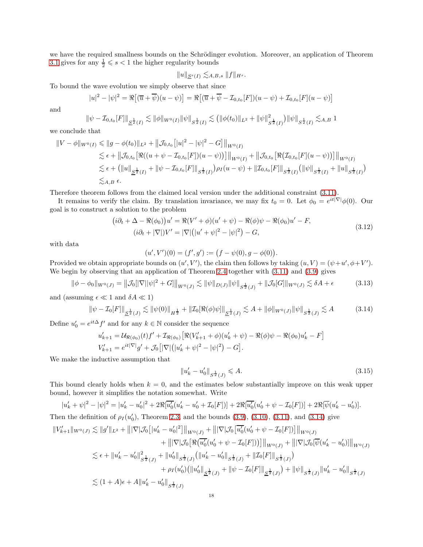we have the required smallness bounds on the Schrödinger evolution. Moreover, an application of Theorem [3.1](#page-12-5) gives for any  $\frac{1}{2} \leqslant s < 1$  the higher regularity bounds

$$
||u||_{S^{s}(I)} \lesssim_{A,B,s} ||f||_{H^{s}}.
$$

To bound the wave evolution we simply observe that since

$$
|u|^2 - |\psi|^2 = \Re[(\overline{u} + \overline{\psi})(u - \psi)] = \Re[(\overline{u} + \overline{\psi} - \mathcal{I}_{0,t_0}[F])(u - \psi) + \mathcal{I}_{0,t_0}[F](u - \psi)]
$$

and

$$
\|\psi-\mathcal{I}_{0,t_0}[F]\|_{\underline{S}^{\frac{1}{2}}(I)} \lesssim \|\phi\|_{W^0(I)} \|\psi\|_{S^{\frac{1}{2}}(I)} \lesssim \big(\|\phi(t_0)\|_{L^2} + \|\psi\|_{S^{\frac{1}{2}}(I)}^2\big)\|\psi\|_{S^{\frac{1}{2}}(I)} \lesssim_{A,B} 1
$$

we conclude that

$$
\|V - \phi\|_{W^{0}(I)} \le \|g - \phi(t_0)\|_{L^{2}} + \|\mathcal{J}_{0,t_0}[|u|^2 - |\psi|^2 - G]\|_{W^{0}(I)}
$$
  
\n
$$
\lesssim \epsilon + \|\mathcal{J}_{0,t_0}[\Re((u + \psi - \mathcal{I}_{0,t_0}[F])(u - \psi))]\|_{W^{0}(I)} + \|\mathcal{J}_{0,t_0}[\Re(\mathcal{I}_{0,t_0}[F](u - \psi))]\|_{W^{0}(I)}
$$
  
\n
$$
\lesssim \epsilon + (\|u\|_{\mathcal{L}^{\frac{1}{2}}(I)} + \|\psi - \mathcal{I}_{0,t_0}[F]\|_{S^{\frac{1}{2}}(I)})\rho_I(u - \psi) + \|\mathcal{I}_{0,t_0}[F]\|_{S^{\frac{1}{2}}(I)}(\|\psi\|_{S^{\frac{1}{2}}(I)} + \|u\|_{S^{\frac{1}{2}}(I)})
$$
  
\n
$$
\lesssim_{A,B} \epsilon.
$$

Therefore theorem follows from the claimed local version under the additional constraint [\(3.11\)](#page-15-3).

It remains to verify the claim. By translation invariance, we may fix  $t_0 = 0$ . Let  $\phi_0 = e^{it|\nabla|}\phi(0)$ . Our goal is to construct a solution to the problem

$$
(i\partial_t + \Delta - \Re(\phi_0))u' = \Re(V' + \phi)(u' + \psi) - \Re(\phi)\psi - \Re(\phi_0)u' - F,
$$
  
\n
$$
(i\partial_t + |\nabla|)V' = |\nabla|(|u' + \psi|^2 - |\psi|^2) - G,
$$
\n(3.12)

<span id="page-17-2"></span>with data

$$
(u',V')(0)=(f',g'):=(f-\psi(0),g-\phi(0)).
$$

Provided we obtain appropriate bounds on  $(u', V')$ , the claim then follows by taking  $(u, V) = (\psi + u', \phi + V')$ . We begin by observing that an application of Theorem [2.4](#page-11-1) together with  $(3.11)$  and  $(3.9)$  gives

$$
\|\phi - \phi_0\|_{W^0(J)} = \left\|\mathcal{J}_0[|\nabla||\psi|^2 + G]\right\|_{W^0(J)} \lesssim \|\psi\|_{D(J)} \|\psi\|_{S^{\frac{1}{2}}(J)} + \|\mathcal{J}_0[G]\|_{W^0(J)} \lesssim \delta A + \epsilon \tag{3.13}
$$

and (assuming  $\epsilon \ll 1$  and  $\delta A \ll 1$ )

$$
\|\psi - \mathcal{I}_0[F]\|_{\underline{S}^{\frac{1}{2}}(J)} \lesssim \|\psi(0)\|_{H^{\frac{1}{2}}} + \|\mathcal{I}_0[\Re(\phi)\psi]\|_{\underline{S}^{\frac{1}{2}}(J)} \lesssim A + \|\phi\|_{W^0(J)} \|\psi\|_{S^{\frac{1}{2}}(J)} \lesssim A \tag{3.14}
$$

Define  $u'_0 = e^{it\Delta} f'$  and for any  $k \in \mathbb{N}$  consider the sequence

$$
u'_{k+1} = \mathcal{U}_{\Re(\phi_0)}(t) f' + \mathcal{I}_{\Re(\phi_0)} [\Re(V'_{k+1} + \phi)(u'_k + \psi) - \Re(\phi)\psi - \Re(\phi_0)u'_k - F]
$$
  

$$
V'_{k+1} = e^{it|\nabla|}g' + \mathcal{J}_0 [|\nabla|(|u'_k + \psi|^2 - |\psi|^2) - G].
$$

We make the inductive assumption that

<span id="page-17-1"></span><span id="page-17-0"></span>
$$
||u'_k - u'_0||_{S^{\frac{1}{2}}(J)} \leq A. \tag{3.15}
$$

This bound clearly holds when  $k = 0$ , and the estimates below substantially improve on this weak upper bound, however it simplifies the notation somewhat. Write

$$
|u'_{k} + \psi|^{2} - |\psi|^{2} = |u'_{k} - u'_{0}|^{2} + 2\Re[\overline{u'_{0}}(u'_{k} - u'_{0} + \mathcal{I}_{0}[F])] + 2\Re[\overline{u'_{0}}(u'_{0} + \psi - \mathcal{I}_{0}[F])] + 2\Re[\overline{\psi}(u'_{k} - u'_{0})].
$$
  
Then the definition of  $\rho_{I}(u'_{0})$ , Theorem 2.3, and the bounds (3.9), (3.10), (3.11), and (3.14) give

$$
\|V'_{k+1}\|_{W^{0}(J)} \lesssim \|g'\|_{L^{2}} + \||\nabla |\mathcal{J}_{0}[\|u'_{k} - u'_{0}|^{2}]\|_{W^{0}(J)} + \||\nabla |\mathcal{J}_{0}[\overline{u'_{0}}(u'_{0} + \psi - \mathcal{I}_{0}[F])]\|_{W^{0}(J)} \n+ \||\nabla |\mathcal{J}_{0}[\Re(\overline{u'_{0}}(u'_{0} + \psi - \mathcal{I}_{0}[F]))]\|_{W^{0}(J)} + \||\nabla |\mathcal{J}_{0}[\overline{\psi}(u'_{k} - u'_{0})]\|_{W^{0}(J)} \n\lesssim \epsilon + \|u'_{k} - u'_{0}\|_{S^{\frac{1}{2}}(J)}^{2} + \|u'_{0}\|_{S^{\frac{1}{2}}(J)}(\|u'_{k} - u'_{0}\|_{S^{\frac{1}{2}}(J)} + \|\mathcal{I}_{0}[F]\|_{S^{\frac{1}{2}}(J)}) \n+ \rho_{I}(u'_{0})(\|u'_{0}\|_{S^{\frac{1}{2}}(J)} + \|\psi - \mathcal{I}_{0}[F]\|_{S^{\frac{1}{2}}(J)}) + \|\psi\|_{S^{\frac{1}{2}}(J)}\|u'_{k} - u'_{0}\|_{S^{\frac{1}{2}}(J)} \n\lesssim (1 + A)\epsilon + A\|u'_{k} - u'_{0}\|_{S^{\frac{1}{2}}(J)}
$$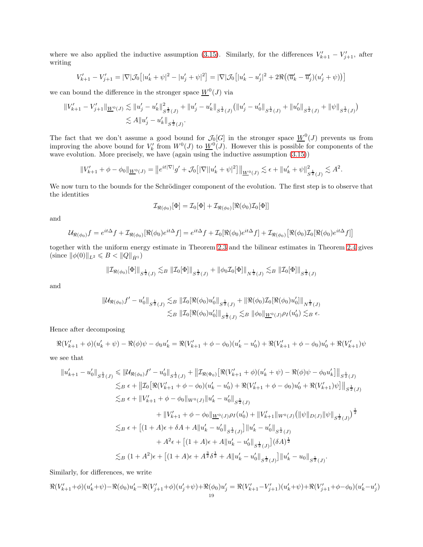where we also applied the inductive assumption [\(3.15\)](#page-17-1). Similarly, for the differences  $V'_{k+1} - V'_{j+1}$ , after writing

$$
V'_{k+1} - V'_{j+1} = |\nabla |\mathcal{J}_0[|u'_k + \psi|^2 - |u'_j + \psi|^2] = |\nabla |\mathcal{J}_0[|u'_k - u'_j|^2 + 2\Re((\overline{u}'_k - \overline{u}'_j)(u'_j + \psi))]
$$

we can bound the difference in the stronger space  $\underline{W}^0(J)$  via

$$
||V'_{k+1} - V'_{j+1}||_{\underline{W}^0(J)} \lesssim ||u'_j - u'_k||^2_{S^{\frac{1}{2}}(J)} + ||u'_j - u'_k||_{S^{\frac{1}{2}}(J)} (||u'_j - u'_0||_{S^{\frac{1}{2}}(J)} + ||u'_0||_{S^{\frac{1}{2}}(J)} + ||\psi||_{S^{\frac{1}{2}}(J)})
$$
  

$$
\lesssim A||u'_j - u'_k||_{S^{\frac{1}{2}}(J)}.
$$

The fact that we don't assume a good bound for  $\mathcal{J}_0[G]$  in the stronger space  $\underline{W}^0(J)$  prevents us from improving the above bound for  $V'_k$  from  $W^0(J)$  to  $\underline{W}^0(J)$ . However this is possible for components of the wave evolution. More precisely, we have (again using the inductive assumption [\(3.15\)](#page-17-1))

$$
||V'_{k+1} + \phi - \phi_0||_{\underline{W}^0(J)} = ||e^{it|\nabla|}g' + \mathcal{J}_0\big[|\nabla||u'_k + \psi|^2\big]||_{\underline{W}^0(J)} \lesssim \epsilon + ||u'_k + \psi||^2_{S^{\frac{1}{2}}(J)} \lesssim A^2.
$$

We now turn to the bounds for the Schrödinger component of the evolution. The first step is to observe that the identities

$$
\mathcal{I}_{\Re(\phi_0)}[\Phi] = \mathcal{I}_0[\Phi] + \mathcal{I}_{\Re(\phi_0)}[\Re(\phi_0)\mathcal{I}_0[\Phi]]
$$

and

$$
\mathcal{U}_{\Re(\phi_0)}f = e^{it\Delta}f + \mathcal{I}_{\Re(\phi_0)}[\Re(\phi_0)e^{it\Delta}f] = e^{it\Delta}f + \mathcal{I}_0[\Re(\phi_0)e^{it\Delta}f] + \mathcal{I}_{\Re(\phi_0)}[\Re(\phi_0)\mathcal{I}_0[\Re(\phi_0)e^{it\Delta}f]]
$$

together with the uniform energy estimate in Theorem [2.3](#page-11-0) and the bilinear estimates in Theorem [2.4](#page-11-1) gives (since  $\|\phi(0)\|_{L^2} \leq B < \|Q\|_{\dot{H}^1}$ )

$$
\|\mathcal{I}_{\Re(\phi_0)}[\Phi]\|_{S^{\frac{1}{2}}(J)} \lesssim_B \|\mathcal{I}_0[\Phi]\|_{S^{\frac{1}{2}}(J)} + \|\phi_0 \mathcal{I}_0[\Phi]\|_{N^{\frac{1}{2}}(J)} \lesssim_B \|\mathcal{I}_0[\Phi]\|_{S^{\frac{1}{2}}(J)}
$$

and

$$
\| \mathcal{U}_{\Re(\phi_0)} f' - u'_0 \|_{S^{\frac{1}{2}}(J)} \lesssim_B \|\mathcal{I}_0[\Re(\phi_0) u'_0\|_{S^{\frac{1}{2}}(J)} + \|\Re(\phi_0) \mathcal{I}_0[\Re(\phi_0) u'_0]\|_{N^{\frac{1}{2}}(J)}\lesssim_B \|\mathcal{I}_0[\Re(\phi_0) u'_0]\|_{S^{\frac{1}{2}}(J)} \lesssim_B \|\phi_0\|_{\underline{W}^0(J)} \rho_I(u'_0) \lesssim_B \epsilon.
$$

Hence after decomposing

$$
\Re(V'_{k+1} + \phi)(u'_{k} + \psi) - \Re(\phi)\psi - \phi_0 u'_{k} = \Re(V'_{k+1} + \phi - \phi_0)(u'_{k} - u'_{0}) + \Re(V'_{k+1} + \phi - \phi_0)u'_{0} + \Re(V'_{k+1})\psi
$$
  
see that

we see that

$$
||u'_{k+1} - u'_{0}||_{S^{\frac{1}{2}}(J)} \le ||\mathcal{U}_{\Re(\phi_{0})}f' - u'_{0}||_{S^{\frac{1}{2}}(J)} + ||\mathcal{I}_{\Re(\Phi_{0})}[\Re(V'_{k+1} + \phi)(u'_{k} + \psi) - \Re(\phi)\psi - \phi_{0}u'_{k}]||_{S^{\frac{1}{2}}(J)}
$$
  
\n
$$
\leq_{B} \epsilon + ||\mathcal{I}_{0}[\Re(V'_{k+1} + \phi - \phi_{0})(u'_{k} - u'_{0}) + \Re(V'_{k+1} + \phi - \phi_{0})u'_{0} + \Re(V'_{k+1})\psi]||_{S^{\frac{1}{2}}(J)}
$$
  
\n
$$
\leq_{B} \epsilon + ||V'_{k+1} + \phi - \phi_{0}||_{W^{0}(J)}||u'_{k} - u'_{0}||_{S^{\frac{1}{2}}(J)}
$$
  
\n
$$
+ ||V'_{k+1} + \phi - \phi_{0}||_{\underline{W}^{0}(J)}\rho_{I}(u'_{0}) + ||V'_{k+1}||_{W^{0}(J)}(||\psi||_{D(J)}||\psi||_{S^{\frac{1}{2}}(J)})^{\frac{1}{2}}
$$
  
\n
$$
\leq_{B} \epsilon + [(1 + A)\epsilon + \delta A + A||u'_{k} - u'_{0}||_{S^{\frac{1}{2}}(J)}]||u'_{k} - u'_{0}||_{S^{\frac{1}{2}}(J)}
$$
  
\n
$$
+ A^{2}\epsilon + [(1 + A)\epsilon + A||u'_{k} - u'_{0}||_{S^{\frac{1}{2}}(J)}](\delta A)^{\frac{1}{2}}
$$
  
\n
$$
\leq_{B} (1 + A^{2})\epsilon + [(1 + A)\epsilon + A^{\frac{3}{2}}\delta^{\frac{1}{2}} + A||u'_{k} - u'_{0}||_{S^{\frac{1}{2}}(J)}]||u'_{k} - u_{0}||_{S^{\frac{1}{2}}(J)}.
$$

Similarly, for differences, we write

$$
\Re(V'_{k+1}+\phi)(u'_k+\psi)-\Re(\phi_0)u'_k-\Re(V'_{j+1}+\phi)(u'_j+\psi)+\Re(\phi_0)u'_j=\Re(V'_{k+1}-V'_{j+1})(u'_k+\psi)+\Re(V'_{j+1}+\phi-\phi_0)(u'_k-u'_j)+\Re(\phi_0)u'_k-\Re(\phi_0)u'_j=\Re(\phi_0)u'_k-\Re(\phi_0)u'_j
$$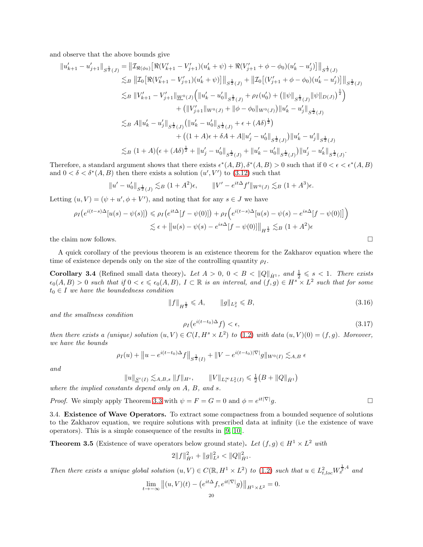and observe that the above bounds give

$$
||u'_{k+1} - u'_{j+1}||_{S^{\frac{1}{2}}(J)} = ||\mathcal{I}_{\Re(\phi_0)}[\Re(V'_{k+1} - V'_{j+1})(u'_{k} + \psi) + \Re(V'_{j+1} + \phi - \phi_0)(u'_{k} - u'_{j})]||_{S^{\frac{1}{2}}(J)}
$$
  
\n
$$
\lesssim_B ||\mathcal{I}_0[\Re(V'_{k+1} - V'_{j+1})(u'_{k} + \psi)]||_{S^{\frac{1}{2}}(J)} + ||\mathcal{I}_0[(V'_{j+1} + \phi - \phi_0)(u'_{k} - u'_{j})]||_{S^{\frac{1}{2}}(J)}
$$
  
\n
$$
\lesssim_B ||V'_{k+1} - V'_{j+1}||_{\underline{W}^0(J)} (||u'_{k} - u'_{0}||_{S^{\frac{1}{2}}(J)} + \rho_I(u'_{0}) + (||\psi||_{S^{\frac{1}{2}}(J)} ||\psi||_{D(J)})^{\frac{1}{2}})
$$
  
\n
$$
+ (||V'_{j+1}||_{W^0(J)} + ||\phi - \phi_0||_{W^0(J)}) ||u'_{k} - u'_{j}||_{S^{\frac{1}{2}}(J)}
$$
  
\n
$$
\lesssim_B A ||u'_{k} - u'_{j}||_{S^{\frac{1}{2}}(J)} (||u'_{k} - u'_{0}||_{S^{\frac{1}{2}}(J)} + \epsilon + (A\delta)^{\frac{1}{2}})
$$
  
\n
$$
+ ((1 + A)\epsilon + \delta A + A ||u'_{j} - u'_{0}||_{S^{\frac{1}{2}}(J)}) ||u'_{k} - u'_{j}||_{S^{\frac{1}{2}}(J)}
$$
  
\n
$$
\lesssim_B (1 + A)(\epsilon + (A\delta)^{\frac{1}{2}} + ||u'_{j} - u'_{0}||_{S^{\frac{1}{2}}(J)} + ||u'_{k} - u'_{0}||_{S^{\frac{1}{2}}(J)}) ||u'_{j} - u'_{k}||_{S^{\frac{1}{2}}(J)}.
$$

Therefore, a standard argument shows that there exists  $\epsilon^*(A, B), \delta^*(A, B) > 0$  such that if  $0 < \epsilon < \epsilon^*(A, B)$ and  $0 < \delta < \delta^*(A, B)$  then there exists a solution  $(u', V')$  to  $(3.12)$  such that

$$
||u' - u'_0||_{S^{\frac{1}{2}}(J)} \lesssim_B (1 + A^2)\epsilon, \qquad ||V' - e^{it\Delta} f'||_{W^0(J)} \lesssim_B (1 + A^3)\epsilon.
$$

Letting  $(u, V) = (\psi + u', \phi + V')$ , and noting that for any  $s \in J$  we have

$$
\rho_I\big(e^{i(t-s)\Delta}[u(s)-\psi(s)]\big) \le \rho_I\big(e^{it\Delta}[f-\psi(0)]\big) + \rho_I\big(e^{i(t-s)\Delta}[u(s)-\psi(s)-e^{is\Delta}[f-\psi(0)]]\big) \n\lesssim \epsilon + ||u(s)-\psi(s)-e^{is\Delta}[f-\psi(0)]||_{H^{\frac{1}{2}}} \lesssim_B (1+A^2)\epsilon
$$

the claim now follows.  $\Box$ 

A quick corollary of the previous theorem is an existence theorem for the Zakharov equation where the time of existence depends only on the size of the controlling quantity  $\rho_I$ .

<span id="page-19-0"></span>**Corollary 3.4** (Refined small data theory). Let  $A > 0$ ,  $0 < B < ||Q||_{\dot{H}^1}$ , and  $\frac{1}{2} \leq s < 1$ . There exists  $\epsilon_0(A,B) > 0$  such that if  $0 < \epsilon \leqslant \epsilon_0(A,B)$ ,  $I \subset \mathbb{R}$  is an interval, and  $(f,g) \in H^s \times L^2$  such that for some  $t_0 \in I$  *we have the boundedness condition* 

$$
||f||_{H^{\frac{1}{2}}} \leqslant A, \qquad ||g||_{L^2_x} \leqslant B,\tag{3.16}
$$

*and the smallness condition*

$$
\rho_I\left(e^{i(t-t_0)\Delta}f\right) < \epsilon,\tag{3.17}
$$

*then there exists a (unique) solution*  $(u, V) \in C(I, H^s \times L^2)$  *to* [\(1.2\)](#page-0-0) *with data*  $(u, V)(0) = (f, g)$ *. Moreover, we have the bounds*

$$
\rho_I(u) + \|u - e^{i(t - t_0)\Delta} f\|_{S^{\frac{1}{2}}(I)} + \|V - e^{i(t - t_0)|\nabla|} g\|_{W^0(I)} \lesssim_{A,B} \epsilon
$$

*and*

$$
||u||_{\underline{S}^{s}(I)} \lesssim_{A,B,s} ||f||_{H^{s}}, \qquad ||V||_{L_{t}^{\infty}L_{x}^{2}(I)} \leq \frac{1}{2}(B+||Q||_{\dot{H}^{1}})
$$

*where the implied constants depend only on* A*,* B*, and* s*.*

*Proof.* We simply apply Theorem [3.3](#page-15-4) with  $\psi = F = G = 0$  and  $\phi = e^{it|\nabla|}g$ .

3.4. Existence of Wave Operators. To extract some compactness from a bounded sequence of solutions to the Zakharov equation, we require solutions with prescribed data at infinity (i.e the existence of wave operators). This is a simple consequence of the results in [\[9,](#page-39-10) [10\]](#page-39-11).

<span id="page-19-1"></span>**Theorem 3.5** (Existence of wave operators below ground state). Let  $(f, g) \in H^1 \times L^2$  with

$$
2||f||_{\dot{H}^1}^2 + ||g||_{L^2}^2 < ||Q||_{\dot{H}^1}^2.
$$

*Then there exists a unique global solution*  $(u, V) \in C(\mathbb{R}, H^1 \times L^2)$  *to* [\(1.2\)](#page-0-0) *such that*  $u \in L^2_{t, loc} W_x^{\frac{1}{2}, 4}$  *and* 

$$
\lim_{t \to -\infty} \left\| (u, V)(t) - \left( e^{it\Delta} f, e^{it|\nabla|} g \right) \right\|_{H^1 \times L^2} = 0.
$$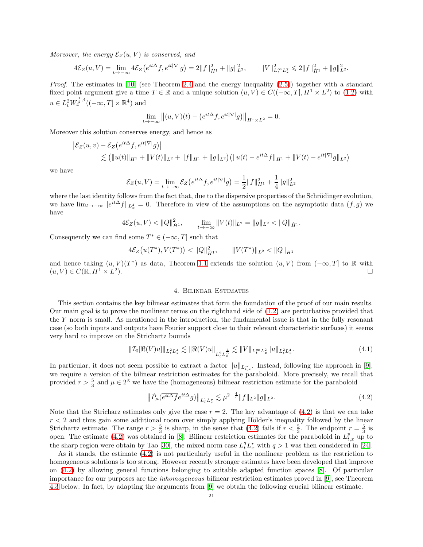*Moreover, the energy*  $\mathcal{E}_Z(u, V)$  *is conserved, and* 

$$
4\mathcal{E}_Z(u,V) = \lim_{t \to -\infty} 4\mathcal{E}_Z(e^{it\Delta}f, e^{it|\nabla|}g) = 2||f||_{\dot{H}^1}^2 + ||g||_{L^2}^2, \qquad ||V||_{L_t^\infty L_x^2}^2 \leq 2||f||_{\dot{H}^1}^2 + ||g||_{L^2}^2.
$$

*Proof.* The estimates in [\[10\]](#page-39-11) (see Theorem [2.4](#page-11-1) and the energy inequality [\(2.5\)](#page-9-1)) together with a standard fixed point argument give a time  $T \in \mathbb{R}$  and a unique solution  $(u, V) \in C((-\infty, T], H^1 \times L^2)$  to [\(1.2\)](#page-0-0) with  $u \in L^2_t W_x^{\frac{1}{2},4}((-\infty,T] \times \mathbb{R}^4)$  and

$$
\lim_{t \to -\infty} \left\| (u, V)(t) - \left( e^{it\Delta} f, e^{it|\nabla|} g \right) \right\|_{H^1 \times L^2} = 0.
$$

Moreover this solution conserves energy, and hence as

$$
\begin{aligned} \left| \mathcal{E}_Z(u,v) - \mathcal{E}_Z(e^{it\Delta}f,e^{it|\nabla|}g) \right| \\ &\lesssim \left( \|u(t)\|_{H^1} + \|V(t)\|_{L^2} + \|f\|_{H^1} + \|g\|_{L^2} \right) \left( \|u(t) - e^{it\Delta}f\|_{H^1} + \|V(t) - e^{it|\nabla|}g\|_{L^2} \right) \end{aligned}
$$

we have

$$
\mathcal{E}_Z(u, V) = \lim_{t \to -\infty} \mathcal{E}_Z(e^{it\Delta} f, e^{it|\nabla|} g) = \frac{1}{2} ||f||_{H^1}^2 + \frac{1}{4} ||g||_{L^2}^2
$$

where the last identity follows from the fact that, due to the dispersive properties of the Schrödinger evolution, we have  $\lim_{t\to-\infty} \|e^{it\Delta}f\|_{L_x^4} = 0$ . Therefore in view of the assumptions on the asymptotic data  $(f, g)$  we have

$$
4\mathcal{E}_Z(u,V) < ||Q||_{\dot{H}^1}^2, \qquad \lim_{t \to -\infty} ||V(t)||_{L^2} = ||g||_{L^2} < ||Q||_{\dot{H}^1}.
$$

Consequently we can find some  $T^* \in (-\infty, T]$  such that

$$
4\mathcal{E}_Z(u(T^*), V(T^*)) < ||Q||_{\dot{H}^1}^2, \qquad ||V(T^*)||_{L^2} < ||Q||_{\dot{H}^1}
$$

and hence taking  $(u, V)(T^*)$  as data, Theorem [1.1](#page-1-1) extends the solution  $(u, V)$  from  $(-\infty, T]$  to R with  $(u, V) \in C(\mathbb{R}, H^1 \times L^2)$ ). The contract of the contract of  $\Box$ 

#### 4. Bilinear Estimates

<span id="page-20-0"></span>This section contains the key bilinear estimates that form the foundation of the proof of our main results. Our main goal is to prove the nonlinear terms on the righthand side of [\(1.2\)](#page-0-0) are perturbative provided that the Y norm is small. As mentioned in the introduction, the fundamental issue is that in the fully resonant case (so both inputs and outputs have Fourier support close to their relevant characteristic surfaces) it seems very hard to improve on the Strichartz bounds

$$
\| \mathcal{I}_0[\Re(V)u] \|_{L_t^2 L_x^4} \lesssim \|\Re(V)u\|_{L_t^2 L_x^{\frac{4}{3}}} \lesssim \|V\|_{L_t^\infty L_x^2} \|u\|_{L_t^2 L_x^4}.
$$
\n(4.1)

In particular, it does not seem possible to extract a factor  $||u||_{L^{\infty}_{t,x}}$ . Instead, following the approach in [\[9\]](#page-39-10), we require a version of the bilinear restriction estimates for the paraboloid. More precisely, we recall that provided  $r > \frac{5}{3}$  and  $\mu \in 2^{\mathbb{Z}}$  we have the (homogeneous) bilinear restriction estimate for the paraboloid

<span id="page-20-1"></span>
$$
\|\dot{P}_{\mu}(\overline{e^{it\Delta}f}e^{it\Delta}g)\|_{L_t^1 L_x^r} \lesssim \mu^{2-\frac{4}{r}} \|f\|_{L^2} \|g\|_{L^2}.
$$
\n(4.2)

Note that the Stricharz estimates only give the case  $r = 2$ . The key advantage of [\(4.2\)](#page-20-1) is that we can take  $r < 2$  and thus gain some additional room over simply applying Hölder's inequality followed by the linear Strichartz estimate. The range  $r > \frac{5}{3}$  is sharp, in the sense that [\(4.2\)](#page-20-1) fails if  $r < \frac{5}{3}$ . The endpoint  $r = \frac{5}{3}$  is open. The estimate [\(4.2\)](#page-20-1) was obtained in [\[8\]](#page-39-15). Bilinear restriction estimates for the paraboloid in  $L_{t,x}^p$  up to the sharp region were obtain by Tao [\[30\]](#page-40-14), the mixed norm case  $L_t^q L_x^r$  with  $q > 1$  was then considered in [\[24\]](#page-40-16).

As it stands, the estimate [\(4.2\)](#page-20-1) is not particularly useful in the nonlinear problem as the restriction to homogeneous solutions is too strong. However recently stronger estimates have been developed that improve on [\(4.2\)](#page-20-1) by allowing general functions belonging to suitable adapted function spaces [\[8\]](#page-39-15). Of particular importance for our purposes are the *inhomogeneous* bilinear restriction estimates proved in [\[9\]](#page-39-10), see Theorem [4.3](#page-21-1) below. In fact, by adapting the arguments from [\[9\]](#page-39-10) we obtain the following crucial bilinear estimate.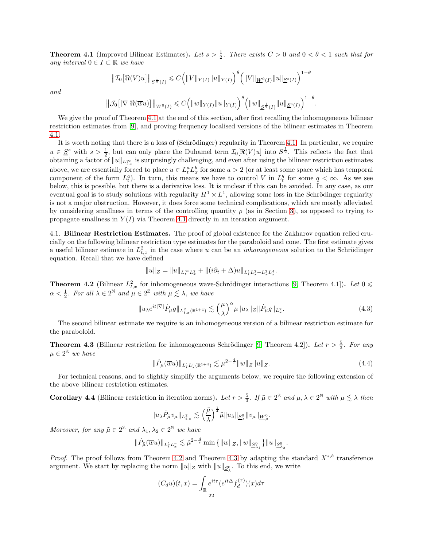<span id="page-21-0"></span>**Theorem 4.1** (Improved Bilinear Estimates). Let  $s > \frac{1}{2}$ . There exists  $C > 0$  and  $0 < \theta < 1$  such that for *any interval*  $0 ∈ I ⊂ ℝ$  *we have* 

$$
\left\| \mathcal{I}_0\big[\Re(V)u\big] \right\|_{S^{\frac{1}{2}}(I)} \leqslant C \Big(\|V\|_{Y(I)}\|u\|_{Y(I)}\Big)^{\theta} \Big(\|V\|_{\underline{W}^0(I)}\|u\|_{\underline{S}^s(I)}\Big)^{1-\theta}
$$

*and*

$$
\left\|\mathcal{J}_0\big[|\nabla|\Re(\overline{w}u)\big]\right\|_{W^0(I)} \leqslant C\Big(\|w\|_{Y(I)}\|u\|_{Y(I)}\Big)^\theta\Big(\|w\|_{\underline{S}^{\frac{1}{2}}(I)}\|u\|_{\underline{S}^s(I)}\Big)^{1-\theta}.
$$

We give the proof of Theorem [4.1](#page-21-0) at the end of this section, after first recalling the inhomogeneous bilinear restriction estimates from [\[9\]](#page-39-10), and proving frequency localised versions of the bilinear estimates in Theorem [4.1.](#page-21-0)

It is worth noting that there is a loss of (Schrödinger) regularity in Theorem [4.1.](#page-21-0) In particular, we require  $u \in \underline{S}^s$  with  $s > \frac{1}{2}$ , but can only place the Duhamel term  $\mathcal{I}_0[\Re(V)u]$  into  $S^{\frac{1}{2}}$ . This reflects the fact that  $\frac{d}{dx} \left\{ \frac{d}{dx} \right\}$  with  $\frac{d}{dx} \leq \frac{d}{dx}$ , but can only place the Dunamer term  $\mathcal{L}_0[x(v) a]$  models. This reflects the fact that above, we are essentially forced to place  $u \in L_t^a L_x^b$  for some  $a > 2$  (or at least some space which has temporal component of the form  $L_t^a$ ). In turn, this means we have to control V in  $L_t^q$  for some  $q < \infty$ . As we see below, this is possible, but there is a derivative loss. It is unclear if this can be avoided. In any case, as our eventual goal is to study solutions with regularity  $H^1 \times L^1$ , allowing some loss in the Schrödinger regularity is not a major obstruction. However, it does force some technical complications, which are mostly alleviated by considering smallness in terms of the controlling quantity  $\rho$  (as in Section [3\)](#page-12-0), as opposed to trying to propagate smallness in  $Y(I)$  via Theorem [4.1](#page-21-0) directly in an iteration argument.

4.1. Bilinear Restriction Estimates. The proof of global existence for the Zakharov equation relied crucially on the following bilinear restriction type estimates for the paraboloid and cone. The first estimate gives a useful bilinear estimate in  $L_{t,x}^2$  in the case where u can be an *inhomogeneous* solution to the Schrödinger equation. Recall that we have defined

$$
||u||_Z = ||u||_{L_t^{\infty}L_x^2} + ||(i\partial_t + \Delta)u||_{L_t^1L_x^2 + L_x^2L_x^4}.
$$

<span id="page-21-2"></span>**Theorem 4.2** (Bilinear  $L_{t,x}^2$  for inhomogeneous wave-Schrödinger interactions [\[9,](#page-39-10) Theorem 4.1]). Let  $0 \leq$  $\alpha < \frac{1}{2}$ . For all  $\lambda \in 2^{\mathbb{N}}$  and  $\mu \in 2^{\mathbb{Z}}$  with  $\mu \lesssim \lambda$ , we have

$$
||u_{\lambda}e^{it|\nabla|}\dot{P}_{\mu}g||_{L_{t,x}^{2}(\mathbb{R}^{1+4})} \lesssim \left(\frac{\mu}{\lambda}\right)^{\alpha} \mu ||u_{\lambda}||_{Z} ||\dot{P}_{\mu}g||_{L_{x}^{2}}.
$$
\n(4.3)

The second bilinear estimate we require is an inhomogeneous version of a bilinear restriction estimate for the paraboloid.

<span id="page-21-1"></span>**Theorem 4.3** (Bilinear restriction for inhomogeneous Schrödinger [\[9,](#page-39-10) Theorem 4.2]). Let  $r > \frac{5}{3}$ . For any  $\mu \in 2^{\mathbb{Z}}$  we have

$$
\|\dot{P}_{\mu}(\overline{w}u)\|_{L_t^1 L_x^r(\mathbb{R}^{1+4})} \lesssim \mu^{2-\frac{4}{r}} \|w\|_{Z} \|u\|_{Z}.
$$
\n(4.4)

For technical reasons, and to slightly simplify the arguments below, we require the following extension of the above bilinear restriction estimates.

<span id="page-21-3"></span>**Corollary 4.4** (Bilinear restriction in iteration norms). Let  $r > \frac{5}{3}$ . If  $\tilde{\mu} \in 2^{\mathbb{Z}}$  and  $\mu, \lambda \in 2^{\mathbb{N}}$  with  $\mu \lesssim \lambda$  then

$$
||u_{\lambda} \dot{P}_{\tilde{\mu}} v_{\mu}||_{L^2_{t,x}} \lesssim \left(\frac{\tilde{\mu}}{\lambda}\right)^{\frac{1}{4}} \tilde{\mu}||u_{\lambda}||_{\underline{S}^0_{\lambda}} ||v_{\mu}||_{\underline{W}^0_{\mu}}.
$$

*Moreover, for any*  $\tilde{\mu} \in 2^{\mathbb{Z}}$  and  $\lambda_1, \lambda_2 \in 2^{\mathbb{N}}$  we have

$$
\|\dot{P}_{\tilde{\mu}}(\overline{w}u)\|_{L^1_tL^r_x} \lesssim \tilde{\mu}^{2-\frac{4}{r}}\min\left\{\|w\|_Z, \|w\|_{\underline{S}^0_{\lambda_1}}\right\}\|u\|_{\underline{S}^0_{\lambda_2}}.
$$

*Proof.* The proof follows from Theorem [4.2](#page-21-2) and Theorem [4.3](#page-21-1) by adapting the standard  $X^{s,b}$  transference argument. We start by replacing the norm  $||u||_Z$  with  $||u||_{\underline{S}^0_\lambda}$ . To this end, we write

$$
(C_d u)(t, x) = \int_{\mathbb{R}} e^{it\tau} (e^{it\Delta} f_d^{(\tau)}) (x) d\tau
$$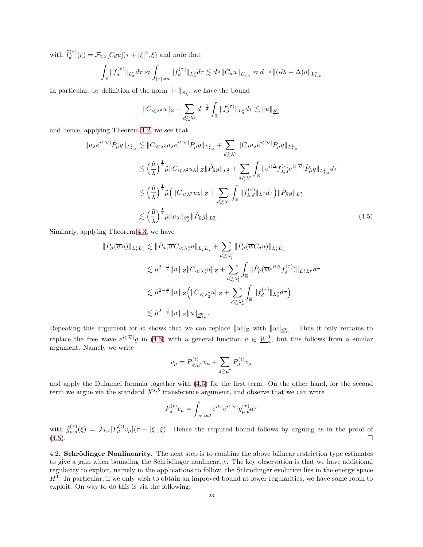with  $\hat{f}_d^{(\tau)}(\xi) = \mathcal{F}_{t,x}[C_d u](\tau + |\xi|^2, \xi)$  and note that

$$
\int_{\mathbb{R}} \|f_d^{(\tau)}\|_{L_x^2} d\tau \approx \int_{|\tau| \approx d} \|f_d^{(\tau)}\|_{L_x^2} d\tau \lesssim d^{\frac{1}{2}} \|C_d u\|_{L_{t,x}^2} \approx d^{-\frac{1}{2}} \|(i\partial_t + \Delta)u\|_{L_{t,x}^2}
$$

In particular, by definition of the norm  $\|\cdot\|_{\underline{S}_{\lambda}^{0}}$ , we have the bound

$$
||C_{\ll \lambda^2} u||_Z + \sum_{d \gtrsim \lambda^2} d^{-\frac{1}{2}} \int_{\mathbb{R}} ||f_d^{(\tau)}||_{L_x^2} d\tau \lesssim ||u||_{\underline{S}_{\lambda}^0}
$$

and hence, applying Theorem [4.2,](#page-21-2) we see that

$$
\|u_{\lambda}e^{it|\nabla|}\dot{P}_{\tilde{\mu}}g\|_{L_{t,x}^{2}} \lesssim \|C_{\ll \lambda^{2}}u_{\lambda}e^{it|\nabla|}\dot{P}_{\tilde{\mu}}g\|_{L_{t,x}^{2}} + \sum_{d \gtrsim \lambda^{2}} \|C_{d}u_{\lambda}e^{it|\nabla|}\dot{P}_{\tilde{\mu}}g\|_{L_{t,x}^{2}}
$$
  

$$
\lesssim \left(\frac{\tilde{\mu}}{\lambda}\right)^{\frac{1}{4}}\tilde{\mu}\|C_{\ll \lambda^{2}}u_{\lambda}\|_{Z}\|\dot{P}_{\tilde{\mu}}g\|_{L_{x}^{2}} + \sum_{d \gtrsim \lambda^{2}}\int_{\mathbb{R}}\|e^{it\Delta}f_{\lambda,d}^{(\tau)}e^{it|\nabla|}\dot{P}_{\tilde{\mu}}g\|_{L_{t,x}^{2}}d\tau
$$
  

$$
\lesssim \left(\frac{\tilde{\mu}}{\lambda}\right)^{\frac{1}{4}}\tilde{\mu}\left(\|C_{\ll \lambda^{2}}u_{\lambda}\|_{Z} + \sum_{d \gtrsim \lambda^{2}}\int_{\mathbb{R}}\|f_{\lambda,d}^{(\tau)}\|_{L_{x}^{2}}d\tau\right)\|\dot{P}_{\tilde{\mu}}g\|_{L_{x}^{2}}
$$
  

$$
\lesssim \left(\frac{\tilde{\mu}}{\lambda}\right)^{\frac{1}{4}}\tilde{\mu}\|u_{\lambda}\|_{\underline{S}_{\lambda}^{0}}\|\dot{P}_{\tilde{\mu}}g\|_{L_{x}^{2}}.
$$
 (4.5)

Similarly, applying Theorem [4.3,](#page-21-1) we have

$$
\begin{aligned}\n\|\dot{P}_{\tilde{\mu}}(\overline{w}u)\|_{L^1_t L^r_x} &\lesssim \|\dot{P}_{\tilde{\mu}}(\overline{w}C_{\ll \lambda_2^2}u\|_{L^1_t L^r_x} + \sum_{d \gtrsim \lambda_2^2} \|\dot{P}_{\tilde{\mu}}(\overline{w}C_d u)\|_{L^1_t L^r_x} \\
&\lesssim \tilde{\mu}^{2-\frac{4}{r}}\|w\|_{Z}\|C_{\ll \lambda_2^2}u\|_{Z} + \sum_{d \gtrsim \lambda_2^2} \int_{\mathbb{R}} \|\dot{P}_{\tilde{\mu}}(\overline{w}e^{it\Delta}f_d^{(\tau)})\|_{L^1_t L^r_x} d\tau \\
&\lesssim \tilde{\mu}^{2-\frac{4}{r}}\|w\|_{Z}\Big(\|C_{\ll \lambda_2^2}u\|_{Z} + \sum_{d \gtrsim \lambda_2^2} \int_{\mathbb{R}} \|f_d^{(\tau)}\|_{L^2_x} d\tau\Big) \\
&\lesssim \tilde{\mu}^{2-\frac{4}{r}}\|w\|_{Z}\|u\|_{\underline{S}^0_{\lambda_2}}.\n\end{aligned}
$$

Repeating this argument for w shows that we can replace  $||w||_Z$  with  $||w||_{\mathcal{S}_{\lambda_1}^0}$ . Thus it only remains to replace the free wave  $e^{it|\nabla|}g$  in [\(4.5\)](#page-22-0) with a general function  $v \in \underline{W}_{\mu}^0$ , but this follows from a similar argument. Namely we write

<span id="page-22-0"></span>
$$
v_{\mu} = P_{\ll \mu^2}^{(t)} v_{\mu} + \sum_{d \gtrsim \mu^2} P_d^{(t)} v_{\mu}
$$

and apply the Duhamel formula together with [\(4.5\)](#page-22-0) for the first term. On the other hand, for the second term we argue via the standard  $X^{s,b}$  transference argument, and observe that we can write

$$
P_d^{(t)}v_\mu = \int_{|\tau| \approx d} e^{it\tau} e^{it|\nabla|} g_{\mu,d}^{(\tau)} d\tau
$$

with  $\widehat{g}_{\mu,d}^{(\tau)}(\xi) = \mathcal{F}_{t,x}[P_d^{(t)}]$  $\partial_d^{(t)} v_\mu$   $(\tau + |\xi|, \xi)$ . Hence the required bound follows by arguing as in the proof of  $(4.5)$ .

4.2. Schrödinger Nonlinearity. The next step is to combine the above bilinear restriction type estimates to give a gain when bounding the Schrödinger nonlinearity. The key observation is that we have additional regularity to exploit, namely in the applications to follow, the Schrödinger evolution lies in the energy space  $H<sup>1</sup>$ . In particular, if we only wish to obtain an improved bound at lower regularities, we have some room to exploit. On way to do this is via the following.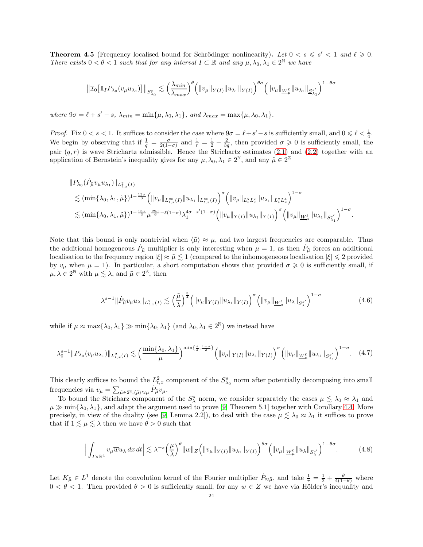<span id="page-23-2"></span>**Theorem 4.5** (Frequency localised bound for Schrödinger nonlinearity). Let  $0 < s \le s' < 1$  and  $\ell \ge 0$ . *There exists*  $0 < \theta < 1$  *such that for any interval*  $I \subset \mathbb{R}$  *and any*  $\mu, \lambda_0, \lambda_1 \in 2^{\mathbb{N}}$  *we have* 

$$
\left\| \mathcal{I}_0\big[\mathbb{1}_I P_{\lambda_0}(v_\mu u_{\lambda_1})\big] \right\|_{S^s_{\lambda_0}} \lesssim \left(\frac{\lambda_{min}}{\lambda_{max}}\right)^\theta \left( \|v_\mu\|_{Y(I)} \|u_{\lambda_1}\|_{Y(I)} \right)^{\theta \sigma} \left( \|v_\mu\|_{\underline{W}^\ell_\mu} \|u_{\lambda_1}\|_{\underline{S}^{s'}_{\lambda_1}} \right)^{1-\theta \sigma}
$$

*where*  $9\sigma = \ell + s' - s$ ,  $\lambda_{min} = \min{\mu, \lambda_0, \lambda_1}$ , and  $\lambda_{max} = \max{\mu, \lambda_0, \lambda_1}$ .

*Proof.* Fix  $0 < s < 1$ . It suffices to consider the case where  $9\sigma = \ell + s' - s$  is sufficiently small, and  $0 \le \ell < \frac{1}{4}$ . We begin by observing that if  $\frac{1}{q} = \frac{\sigma}{2(1-\sigma)}$  and  $\frac{1}{r} = \frac{1}{2} - \frac{2}{3q}$ , then provided  $\sigma \geq 0$  is sufficiently small, the pair  $(q, r)$  is wave Strichartz admissible. Hence the Strichartz estimates [\(2.1\)](#page-8-1) and [\(2.2\)](#page-8-0) together with an application of Bernstein's inequality gives for any  $\mu, \lambda_0, \lambda_1 \in 2^{\mathbb{N}},$  and any  $\tilde{\mu} \in 2^{\mathbb{Z}}$ 

$$
\label{eq:estim} \begin{split} & \| P_{\lambda_0} ( \dot{P}_{\tilde{\mu}} v_{\mu} u_{\lambda_1} ) \|_{L_{t,x}^2(I)} \\ & \lesssim (\min\{ \lambda_0, \lambda_1, \tilde{\mu} \})^{1-\frac{13\sigma}{3}} \Big( \| v_{\mu} \|_{L_{t,x}^{\infty}(I)} \| u_{\lambda_1} \|_{L_{t,x}^{\infty}(I)} \Big)^{\sigma} \Big( \| v_{\mu} \|_{L_{t}^{q} L_{x}^{r}} \| u_{\lambda_1} \|_{L_{t}^{2} L_{x}^{4}} \Big)^{1-\sigma} \\ & \lesssim (\min\{ \lambda_0, \lambda_1, \tilde{\mu} \})^{1-\frac{13\sigma}{3}} \mu^{\frac{29\sigma}{6} - \ell(1-\sigma)} \lambda_1^{4\sigma - s'(1-\sigma)} \Big( \| v_{\mu} \|_{Y(I)} \| u_{\lambda_1} \|_{Y(I)} \Big)^{\sigma} \Big( \| v_{\mu} \|_{\underline{W}_{\mu}^{\ell}} \| u_{\lambda_1} \|_{S_{\lambda_1}^{s'}} \Big)^{1-\sigma} . \end{split}
$$

Note that this bound is only nontrivial when  $\langle \tilde{\mu} \rangle \approx \mu$ , and two largest frequencies are comparable. Thus the additional homogeneous  $\dot{P}_{\mu}$  multiplier is only interesting when  $\mu = 1$ , as then  $\dot{P}_{\mu}$  forces an additional localisation to the frequency region  $|\xi| \approx \tilde{\mu} \lesssim 1$  (compared to the inhomogeneous localisation  $|\xi| \leq 2$  provided by  $v_{\mu}$  when  $\mu = 1$ ). In particular, a short computation shows that provided  $\sigma \geq 0$  is sufficiently small, if  $\mu, \lambda \in 2^{\mathbb{N}}$  with  $\mu \lesssim \lambda$ , and  $\tilde{\mu} \in 2^{\mathbb{Z}}$ , then

<span id="page-23-0"></span>
$$
\lambda^{s-1} \|\dot{P}_{\tilde{\mu}}v_{\mu}u_{\lambda}\|_{L^2_{t,x}(I)} \lesssim \left(\frac{\tilde{\mu}}{\lambda}\right)^{\frac{3}{4}} \left(\|v_{\mu}\|_{Y(I)}\|u_{\lambda_1}\|_{Y(I)}\right)^{\sigma} \left(\|v_{\mu}\|_{\underline{W}^{\ell}_{\mu}}\|u_{\lambda}\|_{S^{s'}_{\lambda}}\right)^{1-\sigma} \tag{4.6}
$$

while if  $\mu \approx \max\{\lambda_0, \lambda_1\} \gg \min\{\lambda_0, \lambda_1\}$  (and  $\lambda_0, \lambda_1 \in 2^{\mathbb{N}}$ ) we instead have

$$
\lambda_0^{s-1} \| P_{\lambda_0}(v_\mu u_{\lambda_1}) \|_{L^2_{t,x}(I)} \lesssim \left( \frac{\min\{\lambda_0, \lambda_1\}}{\mu} \right)^{\min\{\frac{s}{2}, \frac{1-s}{2}\}} \left( \|v_\mu\|_{Y(I)} \|u_{\lambda_1}\|_{Y(I)} \right)^{\sigma} \left( \|v_\mu\|_{\underline{W}^{\ell}_\mu} \|u_{\lambda_1}\|_{S^{\sigma'}_{\lambda_1}} \right)^{1-\sigma} . \tag{4.7}
$$

This clearly suffices to bound the  $L^2_{t,x}$  component of the  $S^s_{\lambda_0}$  norm after potentially decomposing into small frequencies via  $v_{\mu} = \sum_{\tilde{\mu} \in 2^{\mathbb{Z}}, \langle \tilde{\mu} \rangle \approx \mu} \dot{P}_{\tilde{\mu}} v_{\mu}$ .

To bound the Stricharz component of the  $S^s_\lambda$  norm, we consider separately the cases  $\mu \lesssim \lambda_0 \approx \lambda_1$  and  $\mu \gg \min{\{\lambda_0, \lambda_1\}}$ , and adapt the argument used to prove [\[9,](#page-39-10) Theorem 5.1] together with Corollary [4.4.](#page-21-3) More precisely, in view of the duality (see [\[9,](#page-39-10) Lemma 2.2]), to deal with the case  $\mu \lesssim \lambda_0 \approx \lambda_1$  it suffices to prove that if  $1 \lesssim \mu \lesssim \lambda$  then we have  $\theta > 0$  such that

<span id="page-23-1"></span>
$$
\Big| \int_{I \times \mathbb{R}^4} v_{\mu} \overline{w} u_{\lambda} \, dx \, dt \Big| \lesssim \lambda^{-s} \Big( \frac{\mu}{\lambda} \Big)^{\theta} \|w\|_Z \Big( \|v_{\mu}\|_{Y(I)} \|u_{\lambda_1}\|_{Y(I)} \Big)^{\theta \sigma} \Big( \|v_{\mu}\|_{\underline{W}^{\ell}_{\mu}} \|u_{\lambda}\|_{S^s_{\lambda}} \Big)^{1-\theta \sigma} . \tag{4.8}
$$

Let  $K_{\tilde{\mu}} \in L^1$  denote the convolution kernel of the Fourier multiplier  $\dot{P}_{\approx \tilde{\mu}}$ , and take  $\frac{1}{r} = \frac{1}{2} + \frac{\theta}{4(1-\theta)}$  where  $0 < \theta < 1$ . Then provided  $\theta > 0$  is sufficiently small, for any  $w \in Z$  we have via Hölder's inequality and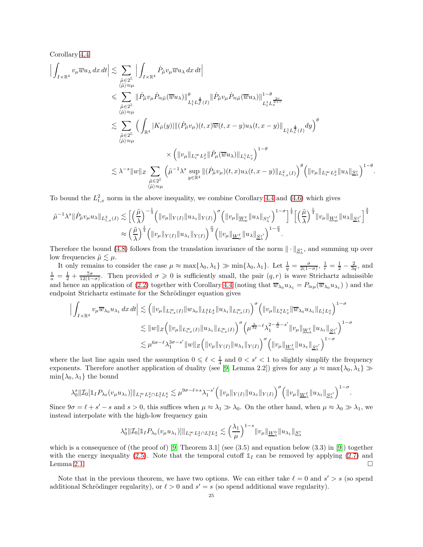Corollary [4.4](#page-21-3)

$$
\begin{split} \Big|\int_{I\times\mathbb{R}^4} v_\mu \overline{w} u_\lambda\,dx\,dt \Big| &\lesssim \sum_{\substack{\tilde{\mu}\in 2^{\mathbb{Z}}\\ \langle \tilde{\mu}\rangle\simeq \mu}} \Big|\int_{I\times\mathbb{R}^4} \dot{P}_{\tilde{\mu}} v_\mu \dot{P}_{\approx \tilde{\mu}}(\overline{w} u_\lambda) \|^{\theta}_{L^1_t L^{\frac{4}{3}}_x(I)} \|\dot{P}_{\tilde{\mu}} v_\mu \dot{P}_{\approx \tilde{\mu}}(\overline{w} u_\lambda)\|^{1-\theta}_{L^1_t L^{\frac{2r}{3+r}}_x} \\ &\lesssim \sum_{\substack{\tilde{\mu}\in 2^{\mathbb{Z}}\\ \langle \tilde{\mu}\rangle\simeq \mu}} \Big(\int_{\mathbb{R}^4} |K_{\tilde{\mu}}(y)| \|(\dot{P}_{\tilde{\mu}} v_\mu)(t,x)\overline{w}(t,x-y) u_\lambda(t,x-y)\|_{L^1_t L^{\frac{4}{3}}_x(I)} dy\Big)^{\theta} \\ &\times \Big(\|v_\mu\|_{L^\infty_t L^2_x} \|\dot{P}_{\mu}(\overline{w} u_\lambda)\|_{L^1_t L^r_x}\Big)^{1-\theta} \\ &\lesssim \lambda^{-s} \|w\|_Z \sum_{\substack{\tilde{\mu}\in 2^{\mathbb{Z}}\\ \langle \tilde{\mu}\rangle\simeq \mu}} \Big(\tilde{\mu}^{-1}\lambda^{s}\sup_{y\in \mathbb{R}^4} \|(\dot{P}_{\tilde{\mu}} v_\mu)(t,x) u_\lambda(t,x-y)\|_{L^2_{t,x}(I)}\Big)^{\theta} \Big(\|v_\mu\|_{L^\infty_t L^2_x} \|u_\lambda\|_{\underline{S}^s_\lambda}\Big)^{1-\theta}. \end{split}
$$

To bound the  $L^2_{t,x}$  norm in the above inequality, we combine Corollary [4.4](#page-21-3) and [\(4.6\)](#page-23-0) which gives

$$
\tilde{\mu}^{-1}\lambda^{s}\|\dot{P}_{\tilde{\mu}}v_{\mu}u_{\lambda}\|_{L^{2}_{t,x}(I)} \lesssim \Big[\Big(\frac{\tilde{\mu}}{\lambda}\Big)^{-\frac{1}{4}} \Big(\|v_{\mu}\|_{Y(I)}\|u_{\lambda_{1}}\|_{Y(I)}\Big)^{\sigma}\Big(\|v_{\mu}\|_{\underline{W}^{\ell}_{\mu}}\|u_{\lambda}\|_{S^{s'}_{\lambda}}\Big)^{1-\sigma}\Big]^{\frac{1}{4}}\Big[\Big(\frac{\tilde{\mu}}{\lambda}\Big)^{\frac{1}{4}}\|v_{\mu}\|_{\underline{W}^{\ell}_{\mu}}\|u_{\lambda}\|_{\underline{S}^{s'}_{\lambda}}\Big]^{\frac{3}{4}} \\ \approx \Big(\frac{\tilde{\mu}}{\lambda}\Big)^{\frac{1}{4}} \Big(\|v_{\mu}\|_{Y(I)}\|u_{\lambda_{1}}\|_{Y(I)}\Big)^{\frac{\sigma}{4}} \Big(\|v_{\mu}\|_{\underline{W}^{\ell}_{\mu}}\|u_{\lambda}\|_{\underline{S}^{s'}_{\lambda}}\Big)^{1-\frac{\sigma}{4}}.
$$

Therefore the bound [\(4.8\)](#page-23-1) follows from the translation invariance of the norm  $\|\cdot\|_{\mathcal{S}_\lambda^s}$ , and summing up over low frequencies  $\tilde{\mu} \lesssim \mu$ .

It only remains to consider the case  $\mu \approx \max\{\lambda_0, \lambda_1\} \gg \min\{\lambda_0, \lambda_1\}$ . Let  $\frac{1}{q} = \frac{\sigma}{2(1-\sigma)}$ ,  $\frac{1}{r} = \frac{1}{2} - \frac{2}{3q}$ , and  $\frac{1}{a} = \frac{1}{2} + \frac{7\sigma}{12(1-\sigma)}$ . Then provided  $\sigma \geq 0$  is sufficiently small, the pair  $(q, r)$  is wave Strichartz admissible and hence an application of [\(2.2\)](#page-8-0) together with Corollary [4.4](#page-21-3) (noting that  $\overline{w}_{\lambda_0}u_{\lambda_1} = P_{\approx \mu}(\overline{w}_{\lambda_0}u_{\lambda_1})$ ) and the endpoint Strichartz estimate for the Schrödinger equation gives

$$
\Big| \int_{I \times \mathbb{R}^4} v_{\mu} \overline{w}_{\lambda_0} u_{\lambda_1} dx dt \Big| \lesssim \Big( \|v_{\mu}\|_{L^{\infty}_{t,x}(I)} \|w_{\lambda_0}\|_{L^{2}_{t}L^{4}_{x}} \|u_{\lambda_1}\|_{L^{\infty}_{t,x}(I)} \Big)^{\sigma} \Big( \|v_{\mu}\|_{L^q_t L^r_x} \|\overline{w}_{\lambda_0} u_{\lambda_1}\|_{L^1_t L^a_x} \Big)^{1-\sigma} \lesssim \|w\|_{Z} \Big( \|v_{\mu}\|_{L^{\infty}_{t,x}(I)} \|u_{\lambda_1}\|_{L^{\infty}_{t,x}(I)} \Big)^{\sigma} \Big( \mu^{\frac{5}{3q}-\ell} \lambda_1^{2-\frac{4}{d}-s'} \|v_{\mu}\|_{\underline{W}^{\ell}_{\lambda}} \|u_{\lambda_1}\|_{\underline{S}^{s'}_{\lambda}} \Big)^{1-\sigma} \lesssim \mu^{6\sigma-\ell} \lambda_1^{3\sigma-s'} \|w\|_{Z} \Big( \|v_{\mu}\|_{Y(I)} \|u_{\lambda_1}\|_{Y(I)} \Big)^{\sigma} \Big( \|v_{\mu}\|_{\underline{W}^{\ell}_{\lambda}} \|u_{\lambda_1}\|_{\underline{S}^{s'}_{\lambda}} \Big)^{1-\sigma}
$$

where the last line again used the assumption  $0 \leq \ell \leq \frac{1}{4}$  and  $0 \leq s' \leq 1$  to slightly simplify the frequency exponents. Therefore another application of duality (see [\[9,](#page-39-10) Lemma 2.2]) gives for any  $\mu \approx \max\{\lambda_0, \lambda_1\} \gg$  $\min\{\lambda_0, \lambda_1\}$  the bound

$$
\lambda_0^s \| \mathcal{I}_0[\mathbb{1}_I P_{\lambda_0}(v_\mu u_{\lambda_1})] \|_{L^\infty_t L^2_x \cap L^2_t L^4_x} \lesssim \mu^{9\sigma - \ell + s} \lambda_1^{-s'} \Big( \|v_\mu\|_{Y(I)} \|u_{\lambda_1}\|_{Y(I)} \Big)^\sigma \Big( \|v_\mu\|_{\underline{W}^\ell_\lambda} \|u_{\lambda_1}\|_{\underline{S}^{s'}_\lambda} \Big)^{1-\sigma}.
$$

Since  $9\sigma = \ell + s' - s$  and  $s > 0$ , this suffices when  $\mu \approx \lambda_1 \gg \lambda_0$ . On the other hand, when  $\mu \approx \lambda_0 \gg \lambda_1$ , we instead interpolate with the high-low frequency gain

$$
\lambda_0^s \| \mathcal{I}_0[\mathbb{1}_I P_{\lambda_0}(v_\mu u_{\lambda_1})] \|_{L^\infty_t L^2_x \cap L^2_t L^4_x} \lesssim \left(\frac{\lambda_1}{\mu}\right)^{1-s} \|v_\mu\|_{\underline{W}^0_\lambda} \|u_{\lambda_1}\|_{\underline{S}^s_\lambda}
$$

which is a consequence of (the proof of) [\[9,](#page-39-10) Theorem 3.1] (see  $(3.5)$  and equation below  $(3.3)$  in [\[9\]](#page-39-10)) together with the energy inequality [\(2.5\)](#page-9-1). Note that the temporal cutoff  $\mathbb{1}_I$  can be removed by applying [\(2.7\)](#page-10-0) and Lemma [2.1.](#page-10-1)  $\Box$ 

Note that in the previous theorem, we have two options. We can either take  $\ell = 0$  and  $s' > s$  (so spend additional Schrödinger regularity), or  $\ell > 0$  and  $s' = s$  (so spend additional wave regularity).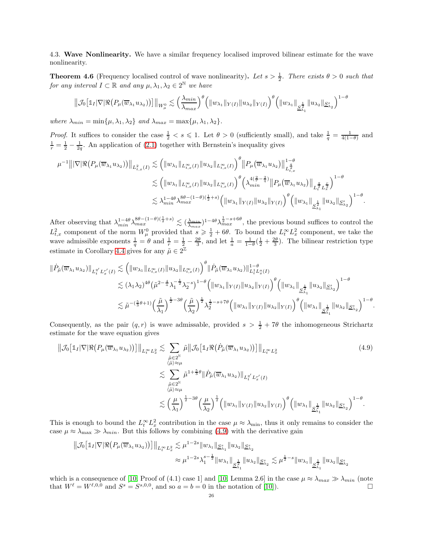4.3. Wave Nonlinearity. We have a similar frequency localised improved bilinear estimate for the wave nonlinearity.

**Theorem 4.6** (Frequency localised control of wave nonlinearity). Let  $s > \frac{1}{2}$ . There exists  $\theta > 0$  such that *for any interval*  $I \subset \mathbb{R}$  *and any*  $\mu, \lambda_1, \lambda_2 \in 2^{\mathbb{N}}$  *we have* 

$$
\|\mathcal{J}_0\big[\mathbb{1}_I|\nabla|\Re\big(P_\mu(\overline{w}_{\lambda_1}u_{\lambda_2})\big)\big]\|_{W_\mu^0}\lesssim \Big(\frac{\lambda_{min}}{\lambda_{max}}\Big)^{\theta}\Big(\|w_{\lambda_1}\|_{Y(I)}\|u_{\lambda_2}\|_{Y(I)}\Big)^{\theta}\Big(\|w_{\lambda_1}\|_{\underline{S}_{\lambda_1}^{\frac{1}{2}}}\|u_{\lambda_2}\|_{\underline{S}_{\lambda_2}^s}\Big)^{1-\theta}
$$

*where*  $\lambda_{min} = \min{\{\mu, \lambda_1, \lambda_2\}}$  *and*  $\lambda_{max} = \max{\{\mu, \lambda_1, \lambda_2\}}$ .

*Proof.* It suffices to consider the case  $\frac{1}{2} < s \leq 1$ . Let  $\theta > 0$  (sufficiently small), and take  $\frac{1}{q} = \frac{1}{4(1-\theta)}$  and  $\frac{1}{r} = \frac{1}{2} - \frac{1}{2q}$ . An application of [\(2.1\)](#page-8-1) together with Bernstein's inequality gives

$$
\mu^{-1} \|\nabla |\Re(P_{\mu}(\overline{w}_{\lambda_{1}} u_{\lambda_{2}}))\|_{L_{t,x}^{2}(I)} \lesssim \left( \|w_{\lambda_{1}}\|_{L_{t,x}^{\infty}(I)} \|u_{\lambda_{2}}\|_{L_{t,x}^{\infty}(I)} \right)^{\theta} \|P_{\mu}(\overline{w}_{\lambda_{1}} u_{\lambda_{2}})\|_{L_{t,x}^{\frac{q}{2}}}^{1-\theta} \n\lesssim \left( \|w_{\lambda_{1}}\|_{L_{t,x}^{\infty}(I)} \|u_{\lambda_{2}}\|_{L_{t,x}^{\infty}(I)} \right)^{\theta} \left( \lambda_{\min}^{4(\frac{2}{r}-\frac{2}{q})} \|P_{\mu}(\overline{w}_{\lambda_{1}} u_{\lambda_{2}})\|_{L_{t,x}^{\frac{q}{2}} L_{x}^{\frac{r}{2}}} \right)^{1-\theta} \n\lesssim \lambda_{\min}^{1-4\theta} \lambda_{\max}^{8\theta-(1-\theta)(\frac{1}{2}+s)} \left( \|w_{\lambda_{1}}\|_{Y(I)} \|u_{\lambda_{2}}\|_{Y(I)} \right)^{\theta} \left( \|w_{\lambda_{1}}\|_{\frac{2}{3}\lambda_{1}} \|u_{\lambda_{2}}\|_{\mathcal{S}_{\lambda_{2}}} \right)^{1-\theta}.
$$

After observing that  $\lambda_{min}^{1-4\theta} \lambda_{max}^{8\theta-(1-\theta)(\frac{1}{2}+s)} \lesssim (\frac{\lambda_{min}}{\lambda_{max}})^{1-4\theta} \lambda_{max}^{\frac{1}{2}-s+6\theta}$ , the previous bound suffices to control the  $L_{t,x}^2$  component of the norm  $W_\mu^0$  provided that  $s \geq \frac{1}{2} + 6\theta$ . To bound the  $L_t^{\infty} L_x^2$  component, we take the wave admissible exponents  $\frac{1}{q} = \theta$  and  $\frac{1}{r} = \frac{1}{2} - \frac{2\theta}{3}$ , and let  $\frac{1}{a} = \frac{1}{1-\theta}(\frac{1}{2} + \frac{2\theta}{3})$ . The bilinear restriction type estimate in Corollary [4.4](#page-21-3) gives for any  $\tilde{\mu} \in 2^{\mathbb{Z}}$ 

$$
\begin{split} \|\dot{P}_{\tilde{\mu}}(\overline{w}_{\lambda_1}u_{\lambda_2})\|_{L_t^{q'}L_x^{r'}(I)} &\lesssim \left(\|w_{\lambda_1}\|_{L_{t,x}^{\infty}(I)}\|u_{\lambda_2}\|_{L_{t,x}^{\infty}(I)}\right)^{\theta}\|\dot{P}_{\tilde{\mu}}(\overline{w}_{\lambda_1}u_{\lambda_2})\|_{L_t^1L_x^{\alpha}(I)}^{1-\theta} \\ &\lesssim (\lambda_1\lambda_2)^{4\theta}\left(\tilde{\mu}^{2-\frac{4}{a}}\lambda_1^{-\frac{1}{2}}\lambda_2^{-s}\right)^{1-\theta}\left(\|w_{\lambda_1}\|_{Y(I)}\|u_{\lambda_2}\|_{Y(I)}\right)^{\theta}\left(\|w_{\lambda_1}\|_{\underline{S}_{\lambda_1}^{\frac{1}{2}}}\|u_{\lambda_2}\|_{\underline{S}_{\lambda_2}^s}\right)^{1-\theta} \\ &\lesssim \tilde{\mu}^{-(\frac{5}{3}\theta+1)}\left(\frac{\tilde{\mu}}{\lambda_1}\right)^{\frac{1}{2}-3\theta}\left(\frac{\tilde{\mu}}{\lambda_2}\right)^{\frac{1}{2}}\lambda_2^{\frac{1}{2}-s+7\theta}\left(\|w_{\lambda_1}\|_{Y(I)}\|u_{\lambda_2}\|_{Y(I)}\right)^{\theta}\left(\|w_{\lambda_1}\|_{\underline{S}_{\lambda_1}^{\frac{1}{2}}}\|u_{\lambda_2}\|_{\underline{S}_{\lambda_2}^s}\right)^{1-\theta}. \end{split}
$$

Consequently, as the pair  $(q, r)$  is wave admissable, provided  $s > \frac{1}{2} + 7\theta$  the inhomogeneous Strichartz estimate for the wave equation gives

<span id="page-25-0"></span>
$$
\|\mathcal{J}_0\left[\mathbb{1}_I|\nabla|\Re(P_\mu(\overline{w}_{\lambda_1}u_{\lambda_2}))\right]\|_{L_t^\infty L_x^2} \lesssim \sum_{\substack{\tilde{\mu}\in2^{\mathbb{N}}\\(\tilde{\mu})\approx\mu}} \tilde{\mu}\|\mathcal{J}_0\left[\mathbb{1}_I\Re(\dot{P}_{\tilde{\mu}}(\overline{w}_{\lambda_1}u_{\lambda_2}))\right]\|_{L_t^\infty L_x^2}
$$
\n
$$
\lesssim \sum_{\substack{\tilde{\mu}\in2^{\mathbb{N}}\\(\tilde{\mu})\approx\mu}} \tilde{\mu}^{1+\frac{5}{3}\theta}\|\dot{P}_{\tilde{\mu}}(\overline{w}_{\lambda_1}u_{\lambda_2})\|_{L_t^{q'}L_x^{r'}(I)}
$$
\n
$$
\lesssim \left(\frac{\mu}{\lambda_1}\right)^{\frac{1}{2}-3\theta}\left(\frac{\mu}{\lambda_2}\right)^{\frac{1}{2}}\left(\|w_{\lambda_1}\|_{Y(I)}\|u_{\lambda_2}\|_{Y(I)}\right)^{\theta}\left(\|w_{\lambda_1}\|_{\frac{1}{2\lambda_1}}\|u_{\lambda_2}\|_{\mathcal{S}_{\lambda_2}^*}\right)^{1-\theta}.
$$
\n(4.9)

This is enough to bound the  $L_t^{\infty} L_x^2$  contribution in the case  $\mu \approx \lambda_{\min}$ , thus it only remains to consider the case  $\mu \approx \lambda_{\text{max}} \gg \lambda_{\text{min}}$ . But this follows by combining [\(4.9\)](#page-25-0) with the derivative gain

$$
\|\mathcal{J}_0[\mathbb{1}_I|\nabla|\Re(P_\mu(\overline{w}_{\lambda_1}u_{\lambda_2}))]\|_{L_t^\infty L_x^2} \lesssim \mu^{1-2s} \|w_{\lambda_1}\|_{\underline{S}^s_{\lambda_1}} \|u_{\lambda_2}\|_{\underline{S}^s_{\lambda_2}}\approx \mu^{1-2s}\lambda_1^{s-\frac{1}{2}} \|w_{\lambda_1}\|_{\underline{S}^{\frac{1}{2}}_{\lambda_1}} \|u_{\lambda_2}\|_{\underline{S}^s_{\lambda_2}} \lesssim \mu^{\frac{1}{2}-s} \|w_{\lambda_1}\|_{\underline{S}^{\frac{1}{2}}_{\lambda_1}} \|u_{\lambda_2}\|_{\underline{S}^s_{\lambda_2}}
$$

which is a consequence of [\[10,](#page-39-11) Proof of (4.1) case 1] and [10, Lemma 2.6] in the case  $\mu \approx \lambda_{max} \gg \lambda_{min}$  (note that  $W^{\ell} = W^{\ell,0,0}$  and  $S^s = S^{s,0,0}$ , and so  $a = b = 0$  in the notation of [\[10\]](#page-39-11)).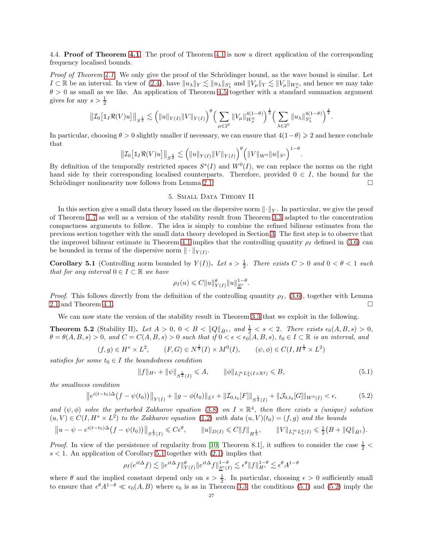4.4. **Proof of Theorem [4.1.](#page-21-0)** The proof of Theorem [4.1](#page-21-0) is now a direct application of the corresponding frequency localised bounds.

*Proof of Theorem [4.1.](#page-21-0)* We only give the proof of the Schrödinger bound, as the wave bound is similar. Let  $I \subset \mathbb{R}$  be an interval. In view of [\(2.4\)](#page-9-0), have  $||u_\lambda||_Y \lesssim ||u_\lambda||_{S^s_\lambda}$  and  $||V_\mu||_Y \lesssim ||V_\mu||_{W_\mu^0}$ , and hence we may take  $\theta > 0$  as small as we like. An application of Theorem [4.5](#page-23-2) together with a standard summation argument gives for any  $s > \frac{1}{2}$ 

$$
\left\| \mathcal{I}_0\big[\mathbb{1}_I \Re(V)u\big] \right\|_{S^{\frac{1}{2}}} \lesssim \left( \|u\|_{Y(I)} \|V\|_{Y(I)} \right)^{\theta} \left( \sum_{\mu \in 2^{\mathbb{N}}} \|V_{\mu}\|_{W_{\mu}^{0}}^{4(1-\theta)} \right)^{\frac{1}{2}} \left( \sum_{\lambda \in 2^{\mathbb{N}}} \|u_{\lambda}\|_{S_{\lambda}^{s}}^{4(1-\theta)} \right)^{\frac{1}{2}}.
$$

In particular, choosing  $\theta > 0$  slightly smaller if necessary, we can ensure that  $4(1-\theta) \geq 2$  and hence conclude that

$$
\|\mathcal{I}_0\big[\mathbb{1}_I\Re(V)u\big]\|_{S^{\frac{1}{2}}} \lesssim \Big(\|u\|_{Y(I)}\|V\|_{Y(I)}\Big)^\theta \Big(\|V\|_{W^0}\|u\|_{S^s}\Big)^{1-\theta}.
$$

By definition of the temporally restricted spaces  $S^s(I)$  and  $W^0(I)$ , we can replace the norms on the right hand side by their corresponding localised counterparts. Therefore, provided  $0 \in I$ , the bound for the Schrödinger nonlinearity now follows from Lemma [2.1.](#page-10-1)  $\Box$ 

## 5. Small Data Theory II

<span id="page-26-1"></span>In this section give a small data theory based on the dispersive norm  $\lVert \cdot \rVert_Y$ . In particular, we give the proof of Theorem [1.7](#page-4-0) as well as a version of the stability result from Theorem [3.3](#page-15-4) adapted to the concentration compactness arguments to follow. The idea is simply to combine the refined bilinear estimates from the previous section together with the small data theory developed in Section [3.](#page-12-0) The first step is to observe that the improved bilinear estimate in Theorem [4.1](#page-21-0) implies that the controlling quantity  $\rho_I$  defined in [\(3.6\)](#page-14-0) can be bounded in terms of the dispersive norm  $\|\cdot\|_{Y(I)}$ .

<span id="page-26-2"></span>**Corollary 5.1** (Controlling norm bounded by  $Y(I)$ ). Let  $s > \frac{1}{2}$ . There exists  $C > 0$  and  $0 < \theta < 1$  such *that for any interval*  $0 \in I \subset \mathbb{R}$  *we have* 

$$
\rho_I(u) \leqslant C \|u\|_{Y(I)}^{\theta} \|u\|_{S^s}^{1-\theta}.
$$

*Proof.* This follows directly from the definition of the controlling quantity  $\rho_I$ , [\(3.6\)](#page-14-0), together with Lemma [2.1](#page-10-1) and Theorem [4.1.](#page-21-0)  $\Box$ 

We can now state the version of the stability result in Theorem [3.3](#page-15-4) that we exploit in the following.

<span id="page-26-0"></span>**Theorem 5.2** (Stability II). Let  $A > 0$ ,  $0 < B < ||Q||_{\dot{H}^1}$ , and  $\frac{1}{2} < s < 2$ . There exists  $\epsilon_0(A, B, s) > 0$ ,  $\theta = \theta(A, B, s) > 0$ , and  $C = C(A, B, s) > 0$  such that if  $0 < \epsilon < \epsilon_0(A, B, s)$ ,  $t_0 \in I \subset \mathbb{R}$  is an interval, and

$$
(f,g) \in H^s \times L^2
$$
,  $(F,G) \in N^{\frac{1}{2}}(I) \times M^0(I)$ ,  $(\psi, \phi) \in C(I, H^{\frac{1}{2}} \times L^2)$ 

*satisfies for some*  $t_0 \in I$  *the boundedness condition* 

<span id="page-26-3"></span>
$$
||f||_{H^s} + ||\psi||_{S^{\frac{1}{2}}(I)} \leq A, \qquad ||\phi||_{L_t^\infty L_x^2(I \times \mathbb{R}^4)} \leq B,
$$
\n(5.1)

*the smallness condition*

<span id="page-26-4"></span>
$$
\left\|e^{i(t-t_0)\Delta}(f-\psi(t_0))\right\|_{Y(I)} + \|g-\phi(t_0)\|_{L^2} + \|T_{0,t_0}[F]\|_{S^{\frac{1}{2}}(I)} + \|\mathcal{J}_{0,t_0}[G]\|_{W^0(I)} < \epsilon,\tag{5.2}
$$

and  $(\psi, \phi)$  solve the perturbed Zakharov equation [\(3.8\)](#page-15-0) on  $I \times \mathbb{R}^4$ , then there exists a (unique) solution  $(u, V) \in C(I, H<sup>s</sup> \times L<sup>2</sup>)$  *to the Zakharov equation* [\(1.2\)](#page-0-0) *with data*  $(u, V)(t_0) = (f, g)$  *and the bounds* 

$$
||u - \psi - e^{i(t - t_0)\Delta} (f - \psi(t_0))||_{S^{\frac{1}{2}}(I)} \leq C\epsilon^{\theta}, \qquad ||u||_{D(I)} \leq C||f||_{H^{\frac{1}{2}}}, \qquad ||V||_{L_t^{\infty}L_x^2(I)} \leq \frac{1}{2}(B + ||Q||_{\dot{H}^1}).
$$

*Proof.* In view of the persistence of regularity from [\[10,](#page-39-11) Theorem 8.1], it suffices to consider the case  $\frac{1}{2}$  <  $s < 1$ . An application of Corollary [5.1](#page-26-2) together with  $(2.1)$  implies that

$$
\rho_I(e^{it\Delta}f) \lesssim \|e^{it\Delta}f\|^{\theta}_{Y(I)}\|e^{it\Delta}f\|^{1-\theta}_{\underline{S}^s(I)} \lesssim \epsilon^{\theta}\|f\|^{1-\theta}_{H^s} \lesssim \epsilon^{\theta}A^{1-\theta}
$$

where  $\theta$  and the implied constant depend only on  $s > \frac{1}{2}$ . In particular, choosing  $\epsilon > 0$  sufficiently small to ensure that  $\epsilon^{\theta} A^{1-\theta} \ll \epsilon_0(A, B)$  where  $\epsilon_0$  is as in Theorem [3.3,](#page-15-4) the conditions [\(5.1\)](#page-26-3) and [\(5.2\)](#page-26-4) imply the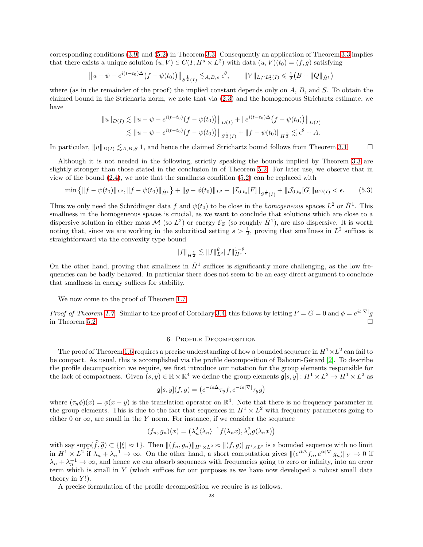corresponding conditions [\(3.9\)](#page-15-1) and [\(5.2\)](#page-26-4) in Theorem [3.3.](#page-15-4) Consequently an application of Theorem [3.3](#page-15-4) implies that there exists a unique solution  $(u, V) \in C(I; H^s \times L^2)$  with data  $(u, V)(t_0) = (f, g)$  satisfying

$$
||u - \psi - e^{i(t - t_0)\Delta} (f - \psi(t_0))||_{S^{\frac{1}{2}}(I)} \lesssim_{A,B,s} \epsilon^{\theta}, \qquad ||V||_{L_t^{\infty} L_x^2(I)} \leq \frac{1}{2} (B + ||Q||_{\dot{H}^1})
$$

where (as in the remainder of the proof) the implied constant depends only on  $A$ ,  $B$ , and  $S$ . To obtain the claimed bound in the Strichartz norm, we note that via [\(2.3\)](#page-9-2) and the homogeneous Strichartz estimate, we have

$$
||u||_{D(I)} \lesssim ||u - \psi - e^{i(t - t_0)}(f - \psi(t_0))||_{D(I)} + ||e^{i(t - t_0)\Delta}(f - \psi(t_0))||_{D(I)}
$$
  

$$
\lesssim ||u - \psi - e^{i(t - t_0)}(f - \psi(t_0))||_{S^{\frac{1}{2}}(I)} + ||f - \psi(t_0)||_{H^{\frac{1}{2}}} \lesssim \epsilon^{\theta} + A.
$$

In particular,  $||u||_{D(I)} \lesssim_{A,B,S} 1$ , and hence the claimed Strichartz bound follows from Theorem [3.1.](#page-12-5)

Although it is not needed in the following, strictly speaking the bounds implied by Theorem [3.3](#page-15-4) are slightly stronger than those stated in the conclusion in of Theorem [5.2.](#page-26-0) For later use, we observe that in view of the bound  $(2.4)$ , we note that the smallness condition  $(5.2)$  can be replaced with

<span id="page-27-1"></span>
$$
\min\left\{\|f-\psi(t_0)\|_{L^2},\|f-\psi(t_0)\|_{\dot{H}^1}\right\}+\|g-\phi(t_0)\|_{L^2}+\|T_{0,t_0}[F]\|_{S^{\frac{1}{2}}(I)}+\|\mathcal{J}_{0,t_0}[G]\|_{W^0(I)}<\epsilon.\tag{5.3}
$$

Thus we only need the Schrödinger data f and  $\psi(t_0)$  to be close in the *homogeneous* spaces  $L^2$  or  $\dot{H}^1$ . This smallness in the homogeneous spaces is crucial, as we want to conclude that solutions which are close to a dispersive solution in either mass  $\mathcal{M}$  (so  $L^2$ ) or energy  $\mathcal{E}_Z$  (so roughly  $\dot{H}^1$ ), are also dispersive. It is worth noting that, since we are working in the subcritical setting  $s > \frac{1}{2}$ , proving that smallness in  $L^2$  suffices is straightforward via the convexity type bound

$$
||f||_{H^{\frac{1}{2}}} \lesssim ||f||_{L^2}^{\theta} ||f||_{H^s}^{1-\theta}.
$$

On the other hand, proving that smallness in  $\dot{H}^1$  suffices is significantly more challenging, as the low frequencies can be badly behaved. In particular there does not seem to be an easy direct argument to conclude that smallness in energy suffices for stability.

We now come to the proof of Theorem [1.7.](#page-4-0)

<span id="page-27-0"></span>*Proof of Theorem [1.7.](#page-4-0)* Similar to the proof of Corollary [3.4,](#page-19-0) this follows by letting  $F = G = 0$  and  $\phi = e^{it|\nabla|}g$ in Theorem [5.2.](#page-26-0)  $\Box$ 

## 6. Profile Decomposition

The proof of Theorem [1.6](#page-3-0) requires a precise understanding of how a bounded sequence in  $H^1 \times L^2$  can fail to be compact. As usual, this is accomplished via the profile decomposition of Bahouri-Gérard [\[2\]](#page-39-14). To describe the profile decomposition we require, we first introduce our notation for the group elements responsible for the lack of compactness. Given  $(s, y) \in \mathbb{R} \times \mathbb{R}^4$  we define the group elements  $\mathfrak{g}[s, y]: H^1 \times L^2 \to H^1 \times L^2$  as

$$
\mathfrak{g}[s,y](f,g) = \left(e^{-is\Delta}\tau_y f, e^{-is|\nabla|}\tau_y g\right)
$$

where  $(\tau_y \phi)(x) = \phi(x - y)$  is the translation operator on  $\mathbb{R}^4$ . Note that there is no frequency parameter in the group elements. This is due to the fact that sequences in  $H^1 \times L^2$  with frequency parameters going to either 0 or  $\infty$ , are small in the Y norm. For instance, if we consider the sequence

$$
(f_n, g_n)(x) = \left(\lambda_n^2 \langle \lambda_n \rangle^{-1} f(\lambda_n x), \lambda_n^2 g(\lambda_n x)\right)
$$

with say supp $(\widehat{f},\widehat{g}) \subset \{|\xi| \approx 1\}$ . Then  $\|(f_n, g_n)\|_{H^1 \times L^2} \approx \|(f, g)\|_{H^1 \times L^2}$  is a bounded sequence with no limit in  $H^1 \times L^2$  if  $\lambda_n + \lambda_n^{-1} \to \infty$ . On the other hand, a short computation gives  $\|(e^{it\Delta} f_n, e^{it|\nabla|} g_n)\|_Y \to 0$  if  $\lambda_n + \lambda_n^{-1} \to \infty$ , and hence we can absorb sequences with frequencies going to zero or infinity, into an error term which is small in Y (which suffices for our purposes as we have now developed a robust small data theory in  $Y!$ ).

A precise formulation of the profile decomposition we require is as follows.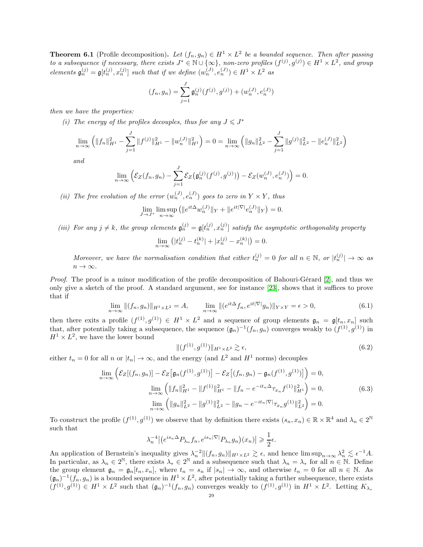<span id="page-28-2"></span>**Theorem 6.1** (Profile decomposition). Let  $(f_n, g_n) \in H^1 \times L^2$  be a bounded sequence. Then after passing *to a subsequence if necessary, there exists*  $J^* \in \mathbb{N} \cup \{\infty\}$ , non-zero profiles  $(f^{(j)}, g^{(j)}) \in H^1 \times L^2$ , and group elements  $\mathfrak{g}_n^{(j)} = \mathfrak{g}[t_n^{(j)}, x_n^{(j)}]$  such that if we define  $(w_n^{(J)}, e_n^{(J)}) \in H^1 \times L^2$  as

$$
(f_n, g_n) = \sum_{j=1}^J \mathfrak{g}_n^{(j)}(f^{(j)}, g^{(j)}) + (w_n^{(J)}, e_n^{(J)})
$$

*then we have the properties:*

*(i)* The energy of the profiles decouples, thus for any  $J \leq J^*$ 

$$
\lim_{n \to \infty} \left( \|f_n\|_{H^1}^2 - \sum_{j=1}^J \|f^{(j)}\|_{H^1}^2 - \|w_n^{(J)}\|_{H^1}^2 \right) = 0 = \lim_{n \to \infty} \left( \|g_n\|_{L^2}^2 - \sum_{j=1}^J \|g^{(j)}\|_{L^2}^2 - \|e_n^{(J)}\|_{L^2}^2 \right)
$$

*and*

$$
\lim_{n \to \infty} \left( \mathcal{E}_Z(f_n, g_n) - \sum_{j=1}^J \mathcal{E}_Z\big(g_n^{(j)}(f^{(j)}, g^{(j)})\big) - \mathcal{E}_Z(w_n^{(J)}, e_n^{(J)}) \right) = 0.
$$

(*ii*) The free evolution of the error  $(w_n^{(J)}, e_n^{(J)})$  goes to zero in  $Y \times Y$ *, thus* 

$$
\lim_{J \to J^*} \limsup_{n \to \infty} (||e^{it\Delta} w_n^{(J)}||_Y + ||e^{it|\nabla|} e_n^{(J)}||_Y) = 0.
$$

(*iii*) For any  $j \neq k$ , the group elements  $\mathfrak{g}_n^{(j)} = \mathfrak{g}[t_n^{(j)}, x_n^{(j)}]$  satisfy the asymptotic orthogonality property

$$
\lim_{n \to \infty} (|t_n^{(j)} - t_n^{(k)}| + |x_n^{(j)} - x_n^{(k)}|) = 0.
$$

*Moreover, we have the normalisation condition that either*  $t_n^{(j)} = 0$  *for all*  $n \in \mathbb{N}$ *, or*  $|t_n^{(j)}| \to \infty$  *as*  $n \to \infty$ .

*Proof.* The proof is a minor modification of the profile decomposition of Bahouri-Gérard [\[2\]](#page-39-14), and thus we only give a sketch of the proof. A standard argument, see for instance [\[23\]](#page-40-12), shows that it suffices to prove that if

$$
\lim_{n \to \infty} ||(f_n, g_n)||_{H^1 \times L^2} = A, \qquad \lim_{n \to \infty} ||(e^{it\Delta} f_n, e^{it|\nabla|} g_n)||_{Y \times Y} = \epsilon > 0,
$$
\n(6.1)

then there exits a profile  $(f^{(1)}, g^{(1)}) \in H^1 \times L^2$  and a sequence of group elements  $\mathfrak{g}_n = \mathfrak{g}[t_n, x_n]$  such that, after potentially taking a subsequence, the sequence  $(\mathfrak{g}_n)^{-1}(f_n, g_n)$  converges weakly to  $(f^{(1)}, g^{(1)})$  in  $H^1 \times L^2$ , we have the lower bound

<span id="page-28-0"></span>
$$
\| (f^{(1)}, g^{(1)}) \|_{H^1 \times L^2} \gtrsim \epsilon,
$$
\n(6.2)

either  $t_n = 0$  for all n or  $|t_n| \to \infty$ , and the energy (and  $L^2$  and  $H^1$  norms) decouples

$$
\lim_{n \to \infty} \left( \mathcal{E}_Z[(f_n, g_n)] - \mathcal{E}_Z \left[ \mathfrak{g}_n(f^{(1)}, g^{(1)}) \right] - \mathcal{E}_Z \left[ (f_n, g_n) - \mathfrak{g}_n(f^{(1)}, g^{(1)}) \right] \right) = 0,
$$
\n
$$
\lim_{n \to \infty} \left( \|f_n\|_{H^1}^2 - \|f^{(1)}\|_{H^1}^2 - \|f_n - e^{-it_n \Delta} \tau_{x_n} f^{(1)}\|_{H^1}^2 \right) = 0,
$$
\n
$$
\lim_{n \to \infty} \left( \|g_n\|_{L^2}^2 - \|g^{(1)}\|_{L^2}^2 - \|g_n - e^{-it_n |\nabla|} \tau_{x_n} g^{(1)}\|_{L^2}^2 \right) = 0.
$$
\n(6.3)

<span id="page-28-1"></span>To construct the profile  $(f^{(1)}, g^{(1)})$  we observe that by definition there exists  $(s_n, x_n) \in \mathbb{R} \times \mathbb{R}^4$  and  $\lambda_n \in 2^{\mathbb{N}}$ such that

$$
\lambda_n^{-4} \left| \left( e^{is_n \Delta} P_{\lambda_n} f_n, e^{is_n |\nabla|} P_{\lambda_n} g_n \right) (x_n) \right| \geq \frac{1}{2} \epsilon.
$$

An application of Bernstein's inequality gives  $\lambda_n^{-2} ||(f_n, g_n)||_{H^1 \times L^2} \gtrsim \epsilon$ , and hence  $\limsup_{n\to\infty} \lambda_n^2 \lesssim \epsilon^{-1}A$ . In particular, as  $\lambda_n \in 2^{\mathbb{N}}$ , there exists  $\lambda_* \in 2^{\mathbb{N}}$  and a subsequence such that  $\lambda_n = \lambda_*$  for all  $n \in \mathbb{N}$ . Define the group element  $\mathfrak{g}_n = \mathfrak{g}_n[t_n, x_n]$ , where  $t_n = s_n$  if  $|s_n| \to \infty$ , and otherwise  $t_n = 0$  for all  $n \in \mathbb{N}$ . As  $(\mathfrak{g}_n)^{-1}(f_n, g_n)$  is a bounded sequence in  $H^1 \times L^2$ , after potentially taking a further subsequence, there exists  $(f^{(1)},g^{(1)}) \in H^1 \times L^2$  such that  $(\mathfrak{g}_n)^{-1}(f_n,g_n)$  converges weakly to  $(f^{(1)},g^{(1)})$  in  $H^1 \times L^2$ . Letting  $K_{\lambda_*}$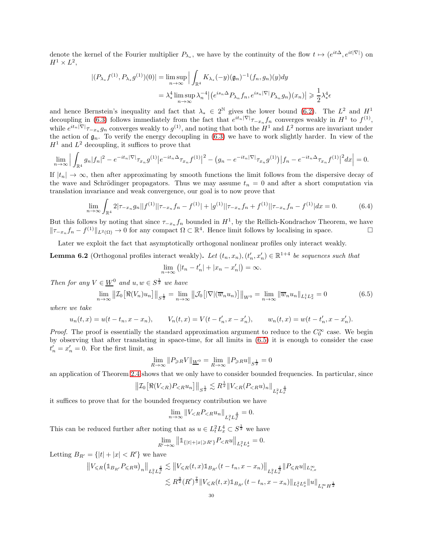denote the kernel of the Fourier multiplier  $P_{\lambda_*}$ , we have by the continuity of the flow  $t \mapsto (e^{it\Delta}, e^{it|\nabla|})$  on  $H^1\times L^2,$ 

$$
\begin{aligned} | (P_{\lambda_*} f^{(1)}, P_{\lambda_*} g^{(1)})(0) | &= \limsup_{n \to \infty} \Big| \int_{\mathbb{R}^4} K_{\lambda_*}(-y) (\mathfrak{g}_n)^{-1} (f_n, g_n)(y) dy \\ &= \lambda_*^4 \limsup_{n \to \infty} \lambda_n^{-4} \Big| \big( e^{i s_n \Delta} P_{\lambda_n} f_n, e^{i s_n |\nabla|} P_{\lambda_n} g_n \big)(x_n) \Big| \geqslant \frac{1}{2} \lambda_*^4 \epsilon \end{aligned}
$$

and hence Bernstein's inequality and fact that  $\lambda_* \in 2^{\mathbb{N}}$  gives the lower bound [\(6.2\)](#page-28-0). The  $L^2$  and  $H^1$ decoupling in [\(6.3\)](#page-28-1) follows immediately from the fact that  $e^{it_n|\nabla|}\tau_{-x_n} f_n$  converges weakly in  $H^1$  to  $f^{(1)}$ , while  $e^{it_n |\nabla|}\tau_{-x_n}g_n$  converges weakly to  $g^{(1)}$ , and noting that both the  $H^1$  and  $L^2$  norms are invariant under the action of  $\mathfrak{g}_n$ . To verify the energy decoupling in [\(6.3\)](#page-28-1) we have to work slightly harder. In view of the  $H<sup>1</sup>$  and  $L<sup>2</sup>$  decoupling, it suffices to prove that

$$
\lim_{n \to \infty} \Big| \int_{\mathbb{R}^4} g_n |f_n|^2 - e^{-it_n |\nabla|} \tau_{x_n} g^{(1)} \Big| e^{-it_n \Delta} \tau_{x_n} f^{(1)} \Big|^2 - \Big( g_n - e^{-it_n |\nabla|} \tau_{x_n} g^{(1)} \Big) \Big| f_n - e^{-it_n \Delta} \tau_{x_n} f^{(1)} \Big|^2 dx \Big| = 0.
$$

If  $|t_n| \to \infty$ , then after approximating by smooth functions the limit follows from the dispersive decay of the wave and Schrödinger propagators. Thus we may assume  $t_n = 0$  and after a short computation via translation invariance and weak convergence, our goal is to now prove that

$$
\lim_{n \to \infty} \int_{\mathbb{R}^4} 2|\tau_{-x_n} g_n||f^{(1)}||\tau_{-x_n} f_n - f^{(1)}| + |g^{(1)}||\tau_{-x_n} f_n + f^{(1)}||\tau_{-x_n} f_n - f^{(1)}| dx = 0.
$$
 (6.4)

But this follows by noting that since  $\tau_{-x_n} f_n$  bounded in  $H^1$ , by the Rellich-Kondrachov Theorem, we have  $||\tau_{-x_n} f_n - f^{(1)}||_{L^2(\Omega)} \to 0$  for any compact  $\Omega \subset \mathbb{R}^4$ . Hence limit follows by localising in space.  $\Box$ 

Later we exploit the fact that asymptotically orthogonal nonlinear profiles only interact weakly.

<span id="page-29-1"></span>**Lemma 6.2** (Orthogonal profiles interact weakly). Let  $(t_n, x_n)$ ,  $(t'_n, x'_n) \in \mathbb{R}^{1+4}$  be sequences such that  $\lim_{n \to \infty} (|t_n - t'_n| + |x_n - x'_n|) = \infty.$ 

*Then for any*  $V \in \underline{W}^0$  *and*  $u, w \in S^{\frac{1}{2}}$  *we have* 

<span id="page-29-0"></span>
$$
\lim_{n \to \infty} \left\| \mathcal{I}_0 \left[ \Re(V_n) u_n \right] \right\|_{S^{\frac{1}{2}}} = \lim_{n \to \infty} \left\| \mathcal{J}_0 \left[ |\nabla(\overline{w}_n u_n) \right] \right\|_{W^0} = \lim_{n \to \infty} \left\| \overline{w}_n u_n \right\|_{L^1_t L^2_x} = 0 \tag{6.5}
$$

*where we take*

$$
u_n(t,x) = u(t-t_n, x-x_n),
$$
  $V_n(t,x) = V(t-t'_n, x-x'_n),$   $w_n(t,x) = w(t-t'_n, x-x'_n).$ 

*Proof.* The proof is essentially the standard approximation argument to reduce to the  $C_0^{\infty}$  case. We begin by observing that after translating in space-time, for all limits in [\(6.5\)](#page-29-0) it is enough to consider the case  $t'_n = x'_n = 0$ . For the first limit, as

$$
\lim_{R\to\infty}||P_{\geqslant R}V||_{\underline{W}^0} = \lim_{R\to\infty}||P_{\geqslant R}u||_{S^{\frac{1}{2}}} = 0
$$

an application of Theorem [2.4](#page-11-1) shows that we only have to consider bounded frequencies. In particular, since

$$
\|\mathcal{I}_0[\Re(V_{\leq R})P_{\leq R}u_n]\|_{S^{\frac{1}{2}}} \lesssim R^{\frac{1}{2}}\|V_{\leq R}(P_{\leq R}u)_n\|_{L^2_tL^{\frac{4}{3}}_x}
$$

it suffices to prove that for the bounded frequency contribution we have

$$
\lim_{n \to \infty} ||V_{\leq R} P_{\leq R} u_n||_{L_t^2 L_x^{\frac{4}{3}}} = 0.
$$

This can be reduced further after noting that as  $u \in L_t^2 L_x^4 \subset S^{\frac{1}{2}}$  we have

$$
\lim_{R' \to \infty} ||\mathbb{1}_{\{|t|+|x| \ge R'\}} P_{\le R} u||_{L_t^2 L_x^4} = 0.
$$

Letting  $B_{R'} = \{|t| + |x| < R'\}$  we have

$$
\begin{aligned} \left\|V_{\leqslant R}\big(\mathbb{1}_{B_{R'}}P_{\leqslant R}u\big)_n\right\|_{L^2_tL^{\frac{4}{3}}_x}\lesssim & \left\|V_{\leqslant R}(t,x)\mathbb{1}_{B_{R'}}(t-t_n,x-x_n)\right\|_{L^2_tL^{\frac{4}{3}}_x}\|P_{\leqslant R}u\|_{L^\infty_{t,x}}\\ & \lesssim R^{\frac{3}{2}}(R')^{\frac{7}{3}}\|V_{\leqslant R}(t,x)\mathbb{1}_{B_{R'}}(t-t_n,x-x_n)\|_{L^2_tL^6_x}\|u\|_{L^\infty_tH^{\frac{1}{2}}} \end{aligned}
$$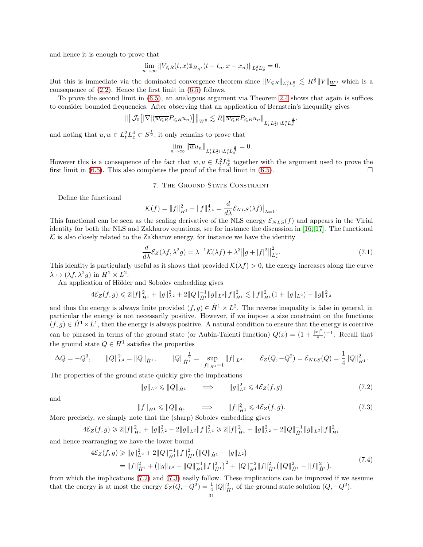and hence it is enough to prove that

$$
\lim_{n\rightarrow\infty}\|V_{\leqslant R}(t,x)1\!\!1_{B_{R'}}(t-t_n,x-x_n)\|_{L^2_tL^6_x}=0.
$$

But this is immediate via the dominated convergence theorem since  $||V_{\leq R}||_{L_t^2L_x^6} \lesssim R^{\frac{5}{6}}||V||_{\underline{W}^0}$  which is a consequence of [\(2.2\)](#page-8-0). Hence the first limit in [\(6.5\)](#page-29-0) follows.

To prove the second limit in [\(6.5\)](#page-29-0), an analogous argument via Theorem [2.4](#page-11-1) shows that again is suffices to consider bounded frequencies. After observing that an application of Bernstein's inequality gives

$$
\|\big\|\mathcal{J}_0\big[|\nabla|(\overline{w_{\leqslant R}}P_{\leqslant R}u_n)\big]\big\|_{W^0}\lesssim R\|\overline{w_{\leqslant R}}P_{\leqslant R}u_n\big\|_{L^1_tL^2_x\cap L^2_tL^{\frac{4}{3}}_x},
$$

and noting that  $u, w \in L^2_t L^4_x \subset S^{\frac{1}{2}}$ , it only remains to prove that

$$
\lim_{n \to \infty} \|\overline{w}u_n\|_{L^1_t L^2_x \cap L^2_t L^{\frac{4}{3}}_x} = 0.
$$

<span id="page-30-0"></span>However this is a consequence of the fact that  $w, u \in L^2_t L^4_x$  together with the argument used to prove the first limit in [\(6.5\)](#page-29-0). This also completes the proof of the final limit in (6.5).

## 7. THE GROUND STATE CONSTRAINT

Define the functional

$$
\mathcal{K}(f) = ||f||_{\dot{H}^1}^2 - ||f||_{L^4}^4 = \frac{d}{d\lambda} \mathcal{E}_{NLS}(\lambda f)|_{\lambda=1}.
$$

This functional can be seen as the scaling derivative of the NLS energy  $\mathcal{E}_{NLS}(f)$  and appears in the Virial identity for both the NLS and Zakharov equations, see for instance the discussion in [\[16,](#page-39-6) [17\]](#page-40-17). The functional  $K$  is also closely related to the Zakharov energy, for instance we have the identity

<span id="page-30-4"></span>
$$
\frac{d}{d\lambda} \mathcal{E}_Z(\lambda f, \lambda^2 g) = \lambda^{-1} \mathcal{K}(\lambda f) + \lambda^3 \|g + |f|^2 \|_{L_x^2}^2.
$$
\n(7.1)

This identity is particularly useful as it shows that provided  $\mathcal{K}(\lambda f) > 0$ , the energy increases along the curve  $\lambda \mapsto (\lambda f, \lambda^2 g)$  in  $\dot{H}^1 \times L^2$ .

An application of Hölder and Sobolev embedding gives

$$
4\mathcal{E}_Z(f,g) \leq 2||f||_{\dot{H}^1}^2 + ||g||_{L^2}^2 + 2||Q||_{\dot{H}^1}^{-1}||g||_{L^2}||f||_{\dot{H}^1}^2 \lesssim ||f||_{\dot{H}^1}^2(1 + ||g||_{L^2}) + ||g||_{L^2}^2
$$

and thus the energy is always finite provided  $(f, g) \in \dot{H}^1 \times L^2$ . The reverse inequality is false in general, in particular the energy is not necessarily positive. However, if we impose a size constraint on the functions  $(f,g) \in \dot{H}^1 \times L^1$ , then the energy is always positive. A natural condition to ensure that the energy is coercive can be phrased in terms of the ground state (or Aubin-Talenti function)  $Q(x) = (1 + \frac{|x|^2}{8})$  $\frac{r}{8}$ )<sup>-1</sup>. Recall that the ground state  $Q \in \dot{H}^1$  satisfies the properties

$$
\Delta Q = -Q^3, \qquad \|Q\|_{L^4}^2 = \|Q\|_{\dot{H}^1}, \qquad \|Q\|_{\dot{H}^1}^{-\frac{1}{2}} = \sup_{\|f\|_{\dot{H}^1} = 1} \|f\|_{L^4}, \qquad \mathcal{E}_Z(Q, -Q^2) = \mathcal{E}_{NLS}(Q) = \frac{1}{4} \|Q\|_{\dot{H}^1}^2.
$$

The properties of the ground state quickly give the implications

<span id="page-30-1"></span>
$$
||g||_{L^2} \le ||Q||_{\dot{H}^1} \qquad \Longrightarrow \qquad ||g||_{L^2}^2 \le 4\mathcal{E}_Z(f,g) \tag{7.2}
$$

and

<span id="page-30-2"></span>
$$
||f||_{\dot{H}^1} \le ||Q||_{\dot{H}^1} \qquad \Longrightarrow \qquad ||f||_{\dot{H}^1}^2 \le 4\mathcal{E}_Z(f,g). \tag{7.3}
$$

More precisely, we simply note that the (sharp) Sobolev embedding gives

$$
4\mathcal{E}_Z(f,g) \geq 2||f||_{\dot{H}^1}^2 + ||g||_{L^2}^2 - 2||g||_{L^2}||f||_{L^4}^2 \geq 2||f||_{\dot{H}^1}^2 + ||g||_{L^2}^2 - 2||Q||_{\dot{H}^1}^{-1}||g||_{L^2}||f||_{\dot{H}^1}^2
$$

and hence rearranging we have the lower bound

$$
4\mathcal{E}_Z(f,g) \ge ||g||_{L^2}^2 + 2||Q||_{\dot{H}^1}^{-1}||f||_{\dot{H}^1}^2 (||Q||_{\dot{H}^1} - ||g||_{L^2})
$$
  
=  $||f||_{\dot{H}^1}^2 + (||g||_{L^2} - ||Q||_{\dot{H}^1}^{-1}||f||_{\dot{H}^1}^2)^2 + ||Q||_{\dot{H}^1}^{-2}||f||_{\dot{H}^1}^2 (||Q||_{\dot{H}^1}^2 - ||f||_{\dot{H}^1}^2).$  (7.4)

<span id="page-30-3"></span>from which the implications [\(7.2\)](#page-30-1) and [\(7.3\)](#page-30-2) easily follow. These implications can be improved if we assume that the energy is at most the energy  $\mathcal{E}_Z(Q, -Q^2) = \frac{1}{4} ||Q||_{\dot{H}^1}^2$  of the ground state solution  $(Q, -Q^2)$ .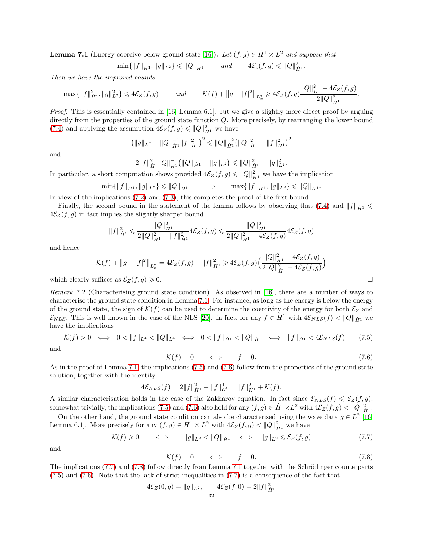<span id="page-31-1"></span>**Lemma 7.1** (Energy coercive below ground state [\[16\]](#page-39-6)). Let  $(f, g) \in \dot{H}^1 \times L^2$  and suppose that

 $\min\{\|f\|_{\dot{H}^1}, \|g\|_{L^2}\} \leqslant \|Q\|_{\dot{H}^1}$  *and*  $4\mathcal{E}_z(f,g) \leqslant \|Q\|_{\dot{H}^1}^2$ .

*Then we have the improved bounds*

$$
\max\{\|f\|_{\dot{H}^1}^2, \|g\|_{L^2}^2\} \leq 4\mathcal{E}_Z(f,g) \quad \text{and} \quad \mathcal{K}(f) + \|g + |f|^2\|_{L^2_x} \geq 4\mathcal{E}_Z(f,g) \frac{\|Q\|_{\dot{H}^1}^2 - 4\mathcal{E}_Z(f,g)}{2\|Q\|_{\dot{H}^1}^2}.
$$

*Proof.* This is essentially contained in [\[16,](#page-39-6) Lemma 6.1], but we give a slightly more direct proof by arguing directly from the properties of the ground state function Q. More precisely, by rearranging the lower bound [\(7.4\)](#page-30-3) and applying the assumption  $4\mathcal{E}_Z(f,g) \leq \|Q\|_{\dot{H}^1}^2$  we have

$$
\left(\|g\|_{L^2} - \|Q\|_{\dot{H}^1}^{-1} \|f\|_{\dot{H}^1}^2\right)^2 \leq \|Q\|_{\dot{H}^1}^{-2} \left(\|Q\|_{\dot{H}^1}^2 - \|f\|_{\dot{H}^1}^2\right)^2
$$

and

$$
2||f||_{\dot{H}^1}^2||Q||_{\dot{H}^1}^{-1} (||Q||_{\dot{H}^1} - ||g||_{L^2}) \le ||Q||_{\dot{H}^1}^2 - ||g||_{L^2}^2.
$$

In particular, a short computation shows provided  $4\mathcal{E}_Z(f,g) \leq \|Q\|_{\dot{H}^1}^2$  we have the implication

$$
\min\{\|f\|_{\dot{H}^1},\|g\|_{L^2}\} \leqslant \|Q\|_{\dot{H}^1} \qquad \Longrightarrow \qquad \max\{\|f\|_{\dot{H}^1},\|g\|_{L^2}\} \leqslant \|Q\|_{\dot{H}^1}.
$$

In view of the implications [\(7.2\)](#page-30-1) and [\(7.3\)](#page-30-2), this completes the proof of the first bound.

Finally, the second bound in the statement of the lemma follows by observing that [\(7.4\)](#page-30-3) and  $||f||_{\dot{H}^1} \leq$  $4\mathcal{E}_Z(f,g)$  in fact implies the slightly sharper bound

$$
||f||_{\dot{H}^1}^2 \leq \frac{||Q||_{\dot{H}^1}^2}{2||Q||_{\dot{H}^1}^2 - ||f||_{\dot{H}^1}^2} 4\mathcal{E}_Z(f,g) \leq \frac{||Q||_{\dot{H}^1}^2}{2||Q||_{\dot{H}^1}^2 - 4\mathcal{E}_Z(f,g)} 4\mathcal{E}_Z(f,g)
$$

and hence

$$
\mathcal{K}(f) + ||g||_{L_x^2} = 4\mathcal{E}_Z(f,g) - ||f||_{\dot{H}^1}^2 \ge 4\mathcal{E}_Z(f,g) \left( \frac{||Q||_{\dot{H}^1}^2 - 4\mathcal{E}_Z(f,g)}{2||Q||_{\dot{H}^1}^2 - 4\mathcal{E}_Z(f,g)} \right)
$$

which clearly suffices as  $\mathcal{E}_Z(f,g) \geq 0$ .

<span id="page-31-0"></span>*Remark* 7.2 (Characterising ground state condition)*.* As observed in [\[16\]](#page-39-6), there are a number of ways to characterise the ground state condition in Lemma [7.1.](#page-31-1) For instance, as long as the energy is below the energy of the ground state, the sign of  $\mathcal{K}(f)$  can be used to determine the coercivity of the energy for both  $\mathcal{E}_Z$  and  $\mathcal{E}_{NLS}$ . This is well known in the case of the NLS [\[20\]](#page-40-9). In fact, for any  $f \in \dot{H}^1$  with  $4\mathcal{E}_{NLS}(f) < ||Q||_{\dot{H}^1}$  we have the implications

<span id="page-31-2"></span>
$$
\mathcal{K}(f) > 0 \iff 0 < \|f\|_{L^4} < \|Q\|_{L^4} \iff 0 < \|f\|_{\dot{H}^1} < \|Q\|_{\dot{H}^1} \iff \|f\|_{\dot{H}^1} < 4\mathcal{E}_{NLS}(f) \tag{7.5}
$$

and

<span id="page-31-3"></span>
$$
\mathcal{K}(f) = 0 \qquad \Longleftrightarrow \qquad f = 0. \tag{7.6}
$$

As in the proof of Lemma [7.1,](#page-31-1) the implications [\(7.5\)](#page-31-2) and [\(7.6\)](#page-31-3) follow from the properties of the ground state solution, together with the identity

$$
4\mathcal{E}_{NLS}(f) = 2||f||_{\dot{H}^1}^2 - ||f||_{L^4}^4 = ||f||_{\dot{H}^1}^2 + \mathcal{K}(f).
$$

A similar characterisation holds in the case of the Zakharov equation. In fact since  $\mathcal{E}_{NLS}(f) \leq \mathcal{E}_{Z}(f,g)$ , somewhat trivially, the implications [\(7.5\)](#page-31-2) and [\(7.6\)](#page-31-3) also hold for any  $(f, g) \in \dot{H}^1 \times L^2$  with  $4\mathcal{E}_Z(f, g) < ||Q||_{\dot{H}^1}^2$ .

On the other hand, the ground state condition can also be characterised using the wave data  $g \in L^2$  [\[16,](#page-39-6) Lemma 6.1]. More precisely for any  $(f, g) \in H^1 \times L^2$  with  $4\mathcal{E}_Z(f, g) < ||Q||_{\dot{H}^1}^2$  we have

<span id="page-31-4"></span>
$$
\mathcal{K}(f) \geq 0, \qquad \Longleftrightarrow \qquad \|g\|_{L^2} < \|Q\|_{\dot{H}^1} \quad \Longleftrightarrow \quad \|g\|_{L^2} \leqslant \mathcal{E}_Z(f,g) \tag{7.7}
$$

and

<span id="page-31-5"></span>
$$
\mathcal{K}(f) = 0 \qquad \Longleftrightarrow \qquad f = 0. \tag{7.8}
$$

The implications  $(7.7)$  and  $(7.8)$  follow directly from Lemma [7.1](#page-31-1) together with the Schrödinger counterparts [\(7.5\)](#page-31-2) and [\(7.6\)](#page-31-3). Note that the lack of strict inequalities in [\(7.7\)](#page-31-4) is a consequence of the fact that

$$
4\mathcal{E}_Z(0,g) = ||g||_{L^2}, \qquad 4\mathcal{E}_Z(f,0) = 2||f||_{\dot{H}^1}^2
$$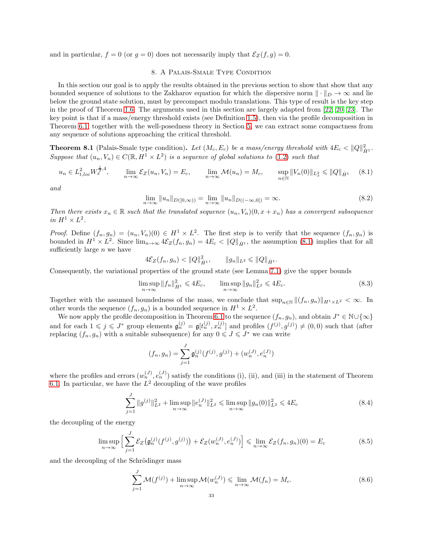<span id="page-32-0"></span>and in particular,  $f = 0$  (or  $g = 0$ ) does not necessarily imply that  $\mathcal{E}_Z(f, g) = 0$ .

## 8. A Palais-Smale Type Condition

In this section our goal is to apply the results obtained in the previous section to show that show that any bounded sequence of solutions to the Zakharov equation for which the dispersive norm  $\|\cdot\|_D \to \infty$  and lie below the ground state solution, must by precompact modulo translations. This type of result is the key step in the proof of Theorem [1.6.](#page-3-0) The arguments used in this section are largely adapted from [\[22,](#page-40-10) [20,](#page-40-9) [23\]](#page-40-12). The key point is that if a mass/energy threshold exists (see Definition [1.5\)](#page-3-1), then via the profile decomposition in Theorem [6.1,](#page-28-2) together with the well-posedness theory in Section [5,](#page-26-1) we can extract some compactness from any sequence of solutions approaching the critical threshold.

<span id="page-32-7"></span>**Theorem 8.1** (Palais-Smale type condition). Let  $(M_c, E_c)$  be a mass/energy threshold with  $4E_c < ||Q||_{\dot{H}^1}^2$ . *Suppose that*  $(u_n, V_n) \in C(\mathbb{R}, H^1 \times L^2)$  *is a sequence of global solutions to* [\(1.2\)](#page-0-0) *such that* 

<span id="page-32-1"></span>
$$
u_n \in L^2_{t,loc} W_x^{\frac{1}{2},4}, \qquad \lim_{n \to \infty} \mathcal{E}_Z(u_n, V_n) = E_c, \qquad \lim_{n \to \infty} \mathcal{M}(u_n) = M_c, \qquad \sup_{n \in \mathbb{N}} \|V_n(0)\|_{L^2_x} \le \|Q\|_{\dot{H}^1} \tag{8.1}
$$

*and*

<span id="page-32-6"></span>
$$
\lim_{n \to \infty} ||u_n||_{D([0,\infty))} = \lim_{n \to \infty} ||u_n||_{D((-\infty,0])} = \infty.
$$
\n(8.2)

*Then there exists*  $x_n \in \mathbb{R}$  *such that the translated sequence*  $(u_n, V_n)(0, x + x_n)$  *has a convergent subsequence in*  $H^1 \times L^2$ .

*Proof.* Define  $(f_n, g_n) = (u_n, V_n)(0) \in H^1 \times L^2$ . The first step is to verify that the sequence  $(f_n, g_n)$  is bounded in  $H^1 \times L^2$ . Since  $\lim_{n\to\infty} 4\mathcal{E}_Z(f_n, g_n) = 4E_c < ||Q||_{\dot{H}^1}$ , the assumption [\(8.1\)](#page-32-1) implies that for all sufficiently large  $n$  we have

$$
4\mathcal{E}_Z(f_n,g_n)<||Q||_{\dot{H}^1}^2, \qquad ||g_n||_{L^2}\leq ||Q||_{\dot{H}^1}.
$$

Consequently, the variational properties of the ground state (see Lemma [7.1\)](#page-31-1) give the upper bounds

<span id="page-32-4"></span>
$$
\limsup_{n \to \infty} \|f_n\|_{\dot{H}^1}^2 \le 4E_c, \qquad \limsup_{n \to \infty} \|g_n\|_{L^2}^2 \le 4E_c.
$$
 (8.3)

Together with the assumed boundedness of the mass, we conclude that  $\sup_{n\in\mathbb{N}}||(f_n, g_n)||_{H^1\times L^2} < \infty$ . In other words the sequence  $(f_n, g_n)$  is a bounded sequence in  $H^1 \times L^2$ .

We now apply the profile decomposition in Theorem [6.1](#page-28-2) to the sequence  $(f_n, g_n)$ , and obtain  $J^* \in \mathbb{N} \cup \{\infty\}$ and for each  $1 \leqslant j \leqslant J^*$  group elements  $\mathfrak{g}_n^{(j)} = \mathfrak{g}[t_n^{(j)}, x_n^{(j)}]$  and profiles  $(f^{(j)}, g^{(j)}) \neq (0,0)$  such that (after replacing  $(f_n, g_n)$  with a suitable subsequence) for any  $0 \leqslant J \leqslant J^*$  we can write

$$
(f_n, g_n) = \sum_{j=1}^{J} \mathfrak{g}_n^{(j)}(f^{(j)}, g^{(j)}) + (w_n^{(J)}, e_n^{(J)})
$$

where the profiles and errors  $(w_n^{(J)}, e_n^{(J)})$  satisfy the conditions (i), (ii), and (iii) in the statement of Theorem [6.1.](#page-28-2) In particular, we have the  $L^2$  decoupling of the wave profiles

<span id="page-32-2"></span>
$$
\sum_{j=1}^{J} \|g^{(j)}\|_{L^2}^2 + \limsup_{n \to \infty} \|e_n^{(J)}\|_{L^2}^2 \le \limsup_{n \to \infty} \|g_n(0)\|_{L^2}^2 \le 4E_c
$$
\n(8.4)

the decoupling of the energy

<span id="page-32-5"></span>
$$
\limsup_{n \to \infty} \Big[ \sum_{j=1}^{J} \mathcal{E}_Z \big( \mathfrak{g}_n^{(j)}(f^{(j)}, g^{(j)}) \big) + \mathcal{E}_Z(w_n^{(J)}, e_n^{(J)}) \Big] \leq \lim_{n \to \infty} \mathcal{E}_Z(f_n, g_n)(0) = E_c
$$
\n(8.5)

and the decoupling of the Schrödinger mass

<span id="page-32-3"></span>
$$
\sum_{j=1}^{J} \mathcal{M}(f^{(j)}) + \limsup_{n \to \infty} \mathcal{M}(w_n^{(J)}) \le \lim_{n \to \infty} \mathcal{M}(f_n) = M_c.
$$
\n(8.6)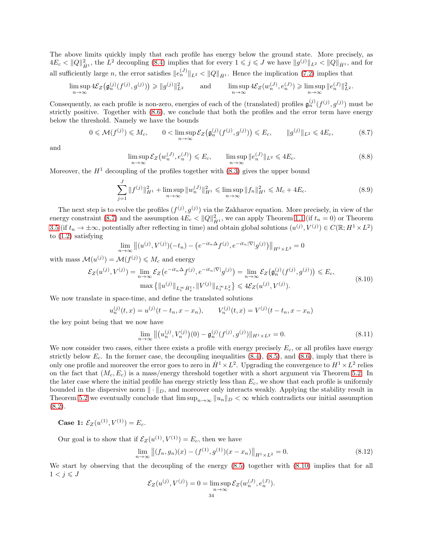The above limits quickly imply that each profile has energy below the ground state. More precisely, as  $4E_c < ||Q||_{\dot{H}^1}^2$ , the  $L^2$  decoupling [\(8.4\)](#page-32-2) implies that for every  $1 \leqslant j \leqslant J$  we have  $||g^{(j)}||_{L^2} < ||Q||_{\dot{H}^1}$ , and for all sufficiently large n, the error satisfies  $||e_n^{(J)}||_{L^2} < ||Q||_{\dot{H}^1}$ . Hence the implication [\(7.2\)](#page-30-1) implies that

$$
\limsup_{n\to\infty} 4\mathcal{E}_Z\big(\mathfrak{g}_n^{(j)}(f^{(j)},g^{(j)})\big) \geq \|g^{(j)}\|_{L^2}^2 \quad \text{and} \quad \limsup_{n\to\infty} 4\mathcal{E}_Z(w_n^{(J)},e_n^{(J)}) \geq \limsup_{n\to\infty} \|e_n^{(J)}\|_{L^2}^2.
$$

Consequently, as each profile is non-zero, energies of each of the (translated) profiles  $\mathfrak{g}_n^{(j)}(f^{(j)}, g^{(j)})$  must be strictly positive. Together with [\(8.6\)](#page-32-3), we conclude that both the profiles and the error term have energy below the threshold. Namely we have the bounds

<span id="page-33-0"></span>
$$
0 \leqslant \mathcal{M}(f^{(j)}) \leqslant M_c, \qquad 0 < \limsup_{n \to \infty} \mathcal{E}_Z\big(\mathfrak{g}_n^{(j)}(f^{(j)}, g^{(j)})\big) \leqslant E_c, \qquad \|g^{(j)}\|_{L^2} \leqslant 4E_c,\tag{8.7}
$$

and

<span id="page-33-3"></span>
$$
\limsup_{n \to \infty} \mathcal{E}_Z\big(w_n^{(J)}, e_n^{(J)}\big) \leqslant E_c, \qquad \limsup_{n \to \infty} \|e_n^{(J)}\|_{L^2} \leqslant 4E_c. \tag{8.8}
$$

Moreover, the  $H<sup>1</sup>$  decoupling of the profiles together with  $(8.3)$  gives the upper bound

<span id="page-33-4"></span>
$$
\sum_{j=1}^{J} \|f^{(j)}\|_{H^1}^2 + \limsup_{n \to \infty} \|w_n^{(J)}\|_{H^1}^2 \le \limsup_{n \to \infty} \|f_n\|_{H^1}^2 \le M_c + 4E_c.
$$
 (8.9)

The next step is to evolve the profiles  $(f^{(j)}, g^{(j)})$  via the Zakharov equation. More precisely, in view of the energy constraint [\(8.7\)](#page-33-0) and the assumption  $4E_c < ||Q||_{\dot{H}^1}^2$ , we can apply Theorem [1.1](#page-1-1) (if  $t_n = 0$ ) or Theorem [3.5](#page-19-1) (if  $t_n \to \pm \infty$ , potentially after reflecting in time) and obtain global solutions  $(u^{(j)}, V^{(j)}) \in C(\mathbb{R}; H^1 \times L^2)$ to [\(1.2\)](#page-0-0) satisfying

$$
\lim_{n \to \infty} \left\| (u^{(j)}, V^{(j)}) (-t_n) - \left( e^{-it_n \Delta} f^{(j)}, e^{-it_n |\nabla|} g^{(j)} \right) \right\|_{H^1 \times L^2} = 0
$$

with mass  $\mathcal{M}(u^{(j)}) = \mathcal{M}(f^{(j)}) \leq M_c$  and energy

$$
\mathcal{E}_Z(u^{(j)}, V^{(j)}) = \lim_{n \to \infty} \mathcal{E}_Z(e^{-it_n\Delta} f^{(j)}, e^{-it_n|\nabla|} g^{(j)}) = \lim_{n \to \infty} \mathcal{E}_Z(\mathfrak{g}_n^{(j)}(f^{(j)}, g^{(j)})) \leq E_c,
$$
  
\n
$$
\max \{ ||u^{(j)}||_{L_t^\infty \dot{H}_x^1}, ||V^{(j)}||_{L_t^\infty L_x^2} \} \leq 4\mathcal{E}_Z(u^{(j)}, V^{(j)}).
$$
\n(8.10)

<span id="page-33-1"></span>We now translate in space-time, and define the translated solutions

$$
u_n^{(j)}(t,x) = u^{(j)}(t - t_n, x - x_n), \qquad V_n^{(j)}(t,x) = V^{(j)}(t - t_n, x - x_n)
$$

the key point being that we now have

$$
\lim_{n \to \infty} \left\| \left( u_n^{(j)}, V_n^{(j)} \right) (0) - \mathfrak{g}_n^{(j)}(f^{(j)}, g^{(j)}) \right\|_{H^1 \times L^2} = 0. \tag{8.11}
$$

We now consider two cases, either there exists a profile with energy precisely  $E_c$ , or all profiles have energy strictly below  $E_c$ . In the former case, the decoupling inequalities [\(8.4\)](#page-32-2), [\(8.5\)](#page-32-5), and [\(8.6\)](#page-32-3), imply that there is only one profile and moreover the error goes to zero in  $\dot{H}^1 \times L^2$ . Upgrading the convergence to  $H^1 \times L^2$  relies on the fact that  $(M_c, E_c)$  is a mass/energy threshold together with a short argument via Theorem [5.2.](#page-26-0) In the later case where the initial profile has energy strictly less than  $E_c$ , we show that each profile is uniformly bounded in the dispersive norm  $\|\cdot\|_D$ , and moreover only interacts weakly. Applying the stability result in Theorem [5.2](#page-26-0) we eventually conclude that  $\limsup_{n\to\infty} ||u_n||_D < \infty$  which contradicts our initial assumption  $(8.2).$  $(8.2).$ 

**Case 1:**  $\mathcal{E}_Z(u^{(1)}, V^{(1)}) = E_c$ .

Our goal is to show that if  $\mathcal{E}_Z(u^{(1)}, V^{(1)}) = E_c$ , then we have

<span id="page-33-2"></span>
$$
\lim_{n \to \infty} \left\| (f_n, g_n)(x) - (f^{(1)}, g^{(1)})(x - x_n) \right\|_{H^1 \times L^2} = 0.
$$
\n(8.12)

We start by observing that the decoupling of the energy [\(8.5\)](#page-32-5) together with [\(8.10\)](#page-33-1) implies that for all  $1 < j \leqslant J$ 

$$
\mathcal{E}_Z(u^{(j)}, V^{(j)}) = 0 = \limsup_{n \to \infty} \mathcal{E}_Z(w_n^{(J)}, e_n^{(J)}).
$$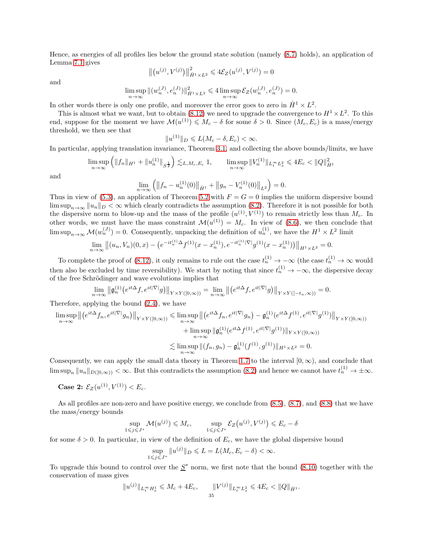Hence, as energies of all profiles lies below the ground state solution (namely [\(8.7\)](#page-33-0) holds), an application of Lemma [7.1](#page-31-1) gives

$$
\left\| (u^{(j)}, V^{(j)}) \right\|_{\dot{H}^1 \times L^2}^2 \leq 4\mathcal{E}_Z(u^{(j)}, V^{(j)}) = 0
$$

and

$$
\limsup_{n\to\infty} \|(w_n^{(J)},e_n^{(J)})\|_{\dot{H}^1\times L^2}^2\leqslant 4\limsup_{n\to\infty}\mathcal{E}_Z(w_n^{(J)},e_n^{(J)})=0.
$$

In other words there is only one profile, and moreover the error goes to zero in  $\dot{H}^1 \times L^2$ .

This is almost what we want, but to obtain [\(8.12\)](#page-33-2) we need to upgrade the convergence to  $H^1 \times L^2$ . To this end, suppose for the moment we have  $\mathcal{M}(u^{(1)}) \leqslant M_c - \delta$  for some  $\delta > 0$ . Since  $(M_c, E_c)$  is a mass/energy threshold, we then see that

$$
||u^{(1)}||_D \leqslant L(M_c - \delta, E_c) < \infty.
$$

In particular, applying translation invariance, Theorem [3.1,](#page-12-5) and collecting the above bounds/limits, we have

$$
\limsup_{n \to \infty} \left( \|f_n\|_{H^1} + \|u_n^{(1)}\|_{S^{\frac{1}{2}}} \right) \lesssim_{L, M_c, E_c} 1, \qquad \limsup_{n \to \infty} \|V_n^{(1)}\|_{L_t^\infty L_x^2} \leq 4E_c < \|Q\|_{\dot{H}^1}^2
$$

and

$$
\lim_{n \to \infty} \left( \left\| f_n - u_n^{(1)}(0) \right\|_{\dot{H}^1} + \left\| g_n - V_n^{(1)}(0) \right\|_{L^2} \right) = 0.
$$

Thus in view of [\(5.3\)](#page-27-1), an application of Theorem [5.2](#page-26-0) with  $F = G = 0$  implies the uniform dispersive bound  $\limsup_{n\to\infty} ||u_n||_D < \infty$  which clearly contradicts the assumption [\(8.2\)](#page-32-6). Therefore it is not possible for both the dispersive norm to blow-up and the mass of the profile  $(u^{(1)}, V^{(1)})$  to remain strictly less than  $M_c$ . In other words, we must have the mass constraint  $\mathcal{M}(u^{(1)}) = M_c$ . In view of [\(8.6\)](#page-32-3), we then conclude that  $\limsup_{n\to\infty} \mathcal{M}(w_n^{(J)}) = 0.$  Consequently, unpacking the definition of  $u_n^{(1)}$ , we have the  $H^1 \times L^2$  limit

$$
\lim_{n \to \infty} \left\| (u_n, V_n)(0, x) - \left( e^{-it_n^{(1)}} \Delta f^{(1)}(x - x_n^{(1)}), e^{-it_n^{(1)}|\nabla|} g^{(1)}(x - x_n^{(1)}) \right) \right\|_{H^1 \times L^2} = 0.
$$

To complete the proof of [\(8.12\)](#page-33-2), it only remains to rule out the case  $t_n^{(1)} \to -\infty$  (the case  $t_n^{(1)} \to \infty$  would then also be excluded by time reversibility). We start by noting that since  $t_n^{(1)} \to -\infty$ , the dispersive decay of the free Schrödinger and wave evolutions implies that

$$
\lim_{n\to\infty} \left\| \mathfrak{g}_{n}^{(1)} \big(e^{it\Delta} f, e^{it|\nabla|} g\big) \right\|_{Y\times Y([0,\infty))} = \lim_{n\to\infty} \left\| \big(e^{it\Delta} f, e^{it|\nabla|} g\big) \right\|_{Y\times Y([-t_n,\infty))} = 0.
$$

Therefore, applying the bound [\(2.4\)](#page-9-0), we have

$$
\limsup_{n \to \infty} \left\| \left( e^{it\Delta} f_n, e^{it|\nabla|} g_n \right) \right\|_{Y \times Y([0,\infty))} \le \limsup_{n \to \infty} \left\| \left( e^{it\Delta} f_n, e^{it|\nabla|} g_n \right) - \mathfrak{g}_n^{(1)} (e^{it\Delta} f^{(1)}, e^{it|\nabla|} g^{(1)}) \right\|_{Y \times Y([0,\infty))}
$$
\n
$$
+ \limsup_{n \to \infty} \left\| \mathfrak{g}_n^{(1)} (e^{it\Delta} f^{(1)}, e^{it|\nabla|} g^{(1)}) \right\|_{Y \times Y([0,\infty))}
$$
\n
$$
\lesssim \limsup_{n \to \infty} \left\| (f_n, g_n) - \mathfrak{g}_n^{(1)} (f^{(1)}, g^{(1)}) \right\|_{H^1 \times L^2} = 0.
$$

Consequently, we can apply the small data theory in Theorem [1.7](#page-4-0) to the interval  $[0, \infty)$ , and conclude that  $\limsup_n \|u_n\|_{D([0,\infty))} < \infty$ . But this contradicts the assumption  $(8.2)$  and hence we cannot have  $t_n^{(1)} \to \pm \infty$ .

Case 2:  $\mathcal{E}_Z(u^{(1)}, V^{(1)}) < E_c$ .

As all profiles are non-zero and have positive energy, we conclude from  $(8.5)$ ,  $(8.7)$ , and  $(8.8)$  that we have the mass/energy bounds

$$
\sup_{1 \leq j \leq J^*} \mathcal{M}(u^{(j)}) \leq M_c, \qquad \sup_{1 \leq j \leq J^*} \mathcal{E}_Z(u^{(j)}, V^{(j)}) \leq E_c - \delta
$$

for some  $\delta > 0$ . In particular, in view of the definition of  $E_c$ , we have the global dispersive bound

$$
\sup_{1 \leq j \leq J^*} \|u^{(j)}\|_D \leq L = L(M_c, E_c - \delta) < \infty.
$$

To upgrade this bound to control over the  $S^s$  norm, we first note that the bound [\(8.10\)](#page-33-1) together with the conservation of mass gives

$$
||u^{(j)}||_{L_t^{\infty}H_x^1} \leqslant M_c + 4E_c, \qquad ||V^{(j)}||_{L_t^{\infty}L_x^2} \leqslant 4E_c < ||Q||_{\dot{H}^1}.
$$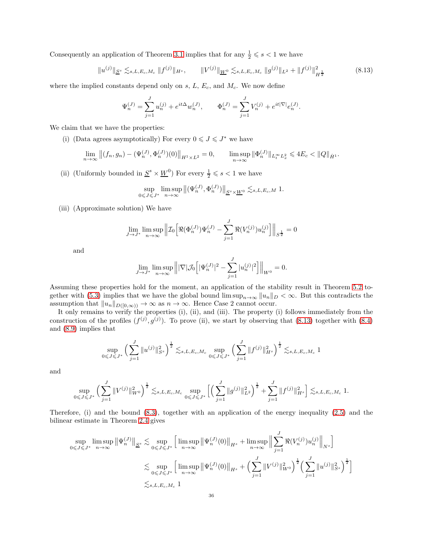Consequently an application of Theorem [3.1](#page-12-5) implies that for any  $\frac{1}{2} \leqslant s < 1$  we have

<span id="page-35-0"></span>
$$
||u^{(j)}||_{\underline{S}^s} \lesssim_{s,L,E_c,M_c} ||f^{(j)}||_{H^s}, \qquad ||V^{(j)}||_{\underline{W}^0} \lesssim_{s,L,E_c,M_c} ||g^{(j)}||_{L^2} + ||f^{(j)}||_{H^{\frac{1}{2}}}^2
$$
(8.13)

where the implied constants depend only on  $s$ ,  $L$ ,  $E_c$ , and  $M_c$ . We now define

$$
\Psi_n^{(J)} = \sum_{j=1}^J u_n^{(j)} + e^{it\Delta} w_n^{(J)}, \qquad \Phi_n^{(J)} = \sum_{j=1}^J V_n^{(j)} + e^{it|\nabla|} e_n^{(J)}.
$$

We claim that we have the properties:

(i) (Data agrees asymptotically) For every  $0 \leqslant J \leqslant J^*$  we have

$$
\lim_{n \to \infty} \left\| (f_n, g_n) - (\Psi_n^{(J)}, \Phi_n^{(J)}) (0) \right\|_{H^1 \times L^2} = 0, \qquad \limsup_{n \to \infty} \|\Phi_n^{(J)}\|_{L_t^\infty L_x^2} \leq 4E_c < \|Q\|_{\dot{H}^1}.
$$

(ii) (Uniformly bounded in  $\underline{S}^s \times \underline{W}^0$ ) For every  $\frac{1}{2} \leqslant s < 1$  we have

$$
\sup_{0\leqslant J\leqslant J^*}\limsup_{n\to\infty}\big\|(\Psi_n^{(J)},\Phi_n^{(J)})\big\|_{\underline{S}^s\times \underline{W}^0}\lesssim_{s,L,E_c,M}1.
$$

(iii) (Approximate solution) We have

$$
\lim_{J \to J^*} \limsup_{n \to \infty} \left\| \mathcal{I}_0 \left[ \Re(\Phi_n^{(J)}) \Psi_n^{(J)} - \sum_{j=1}^J \Re(V_n^{(j)}) u_n^{(j)} \right] \right\|_{S^{\frac{1}{2}}} = 0
$$

and

$$
\lim_{J \to J^*} \limsup_{n \to \infty} || |\nabla |\mathcal{J}_0 \left[ |\Psi_n^{(J)}|^2 - \sum_{j=1}^J |u_n^{(j)}|^2 \right] ||_{W^0} = 0.
$$

Assuming these properties hold for the moment, an application of the stability result in Theorem [5.2](#page-26-0) to-gether with [\(5.3\)](#page-27-1) implies that we have the global bound  $\limsup_{n\to\infty} ||u_n||_D < \infty$ . But this contradicts the assumption that  $||u_n||_{D([0,\infty))} \to \infty$  as  $n \to \infty$ . Hence Case 2 cannot occur.

It only remains to verify the properties (i), (ii), and (iii). The property (i) follows immediately from the construction of the profiles  $(f^{(j)}, g^{(j)})$ . To prove (ii), we start by observing that [\(8.13\)](#page-35-0) together with [\(8.4\)](#page-32-2) and [\(8.9\)](#page-33-4) implies that

$$
\sup_{0 \leq J \leq J^*} \left( \sum_{j=1}^J \| u^{(j)} \|_{S^s}^2 \right)^{\frac{1}{2}} \lesssim_{s, L, E_c, M_c} \sup_{0 \leq J \leq J^*} \left( \sum_{j=1}^J \| f^{(j)} \|_{H^s}^2 \right)^{\frac{1}{2}} \lesssim_{s, L, E_c, M_c} 1
$$

and

$$
\sup_{0 \leq J \leq J^*} \Big( \sum_{j=1}^J \| V^{(j)} \|_{W^0}^2 \Big)^{\frac{1}{2}} \lesssim_{s,L,E_c,M_c} \sup_{0 \leq J \leq J^*} \Big[ \Big( \sum_{j=1}^J \| g^{(j)} \|_{L^2}^2 \Big)^{\frac{1}{2}} + \sum_{j=1}^J \| f^{(j)} \|_{H^s}^2 \Big] \lesssim_{s,L,E_c,M_c} 1.
$$

Therefore, (i) and the bound [\(8.3\)](#page-32-4), together with an application of the energy inequality [\(2.5\)](#page-9-1) and the bilinear estimate in Theorem [2.4](#page-11-1) gives

$$
\sup_{0 \leq J \leq J^*} \limsup_{n \to \infty} \left\| \Psi_n^{(J)} \right\|_{\underline{S}^s} \lesssim \sup_{0 \leq J \leq J^*} \left[ \limsup_{n \to \infty} \left\| \Psi_n^{(J)}(0) \right\|_{H^s} + \limsup_{n \to \infty} \left\| \sum_{j=1}^J \Re(V_n^{(j)}) u_n^{(j)} \right\|_{N^s} \right]
$$
  

$$
\lesssim \sup_{0 \leq J \leq J^*} \left[ \limsup_{n \to \infty} \left\| \Psi_n^{(J)}(0) \right\|_{H^s} + \left( \sum_{j=1}^J \| V^{(j)} \|_{W^0}^2 \right)^{\frac{1}{2}} \left( \sum_{j=1}^J \| u^{(j)} \|_{S^s}^2 \right)^{\frac{1}{2}} \right]
$$
  

$$
\lesssim_{s, L, E_c, M_c} 1
$$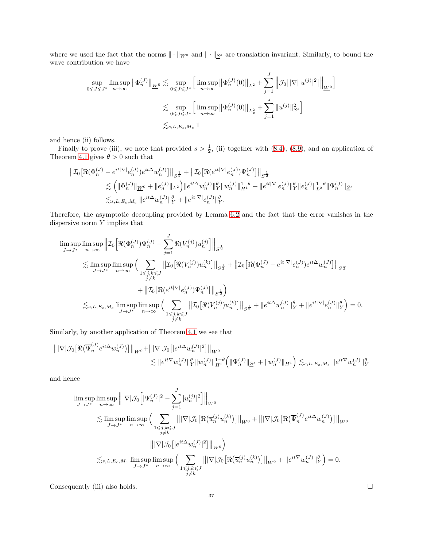where we used the fact that the norms  $\|\cdot\|_{W^0}$  and  $\|\cdot\|_{\underline{S}^s}$  are translation invariant. Similarly, to bound the wave contribution we have

$$
\sup_{0 \leq J \leq J^*} \limsup_{n \to \infty} \left\| \Phi_n^{(J)} \right\|_{\underline{W}^0} \lesssim \sup_{0 \leq J \leq J^*} \left[ \limsup_{n \to \infty} \left\| \Phi_n^{(J)}(0) \right\|_{L^2} + \sum_{j=1}^J \left\| \mathcal{J}_0 \left[ |\nabla ||u^{(j)}|^2 \right] \right\|_{\underline{W}^0} \right]
$$
  

$$
\lesssim \sup_{0 \leq J \leq J^*} \left[ \limsup_{n \to \infty} \left\| \Phi_n^{(J)}(0) \right\|_{L^2_x} + \sum_{j=1}^J \left\| u^{(j)} \right\|_{S^s}^2 \right]
$$
  

$$
\lesssim_{s, L, E_c, M_c} 1
$$

and hence (ii) follows.

Finally to prove (iii), we note that provided  $s > \frac{1}{2}$ , (ii) together with [\(8.4\)](#page-32-2), [\(8.9\)](#page-33-4), and an application of Theorem [4.1](#page-21-0) gives  $\theta > 0$  such that

$$
\label{eq:3.10} \begin{split} \left\| \mathcal{I}_0 \left[ \Re(\Phi_n^{(J)} - e^{it|\nabla|} e_n^{(J)}) e^{it\Delta} w_n^{(J)} \right] \right\|_{S^{\frac{1}{2}}} + \left\| \mathcal{I}_0 \left[ \Re(e^{it|\nabla|} e_n^{(J)}) \Psi_n^{(J)} \right] \right\|_{S^{\frac{1}{2}}} \\ \lesssim & \left( \|\Phi_n^{(J)}\|_{\underline{W}^0} + \|e_n^{(J)}\|_{L^2} \right) \left\| e^{it\Delta} w_n^{(J)} \right\|_Y^{\theta} \left\| w_n^{(J)} \right\|_{H^1}^{1-\theta} + \|e^{it|\nabla|} e_n^{(J)} \|\mathbf{P}_Y \|\mathbf{P}_n^{(J)} \|\mathbf{P}_Z^{1-\theta} \| \Psi_n^{(J)} \|\mathbf{P}_Z^{1-\theta} \\ \lesssim_{s, L, E_c, M_c} \|e^{it\Delta} w_n^{(J)} \|^{\theta}_Y + \|e^{it|\nabla|} e_n^{(J)} \|^{\theta}_Y. \end{split}
$$

Therefore, the asymptotic decoupling provided by Lemma [6.2](#page-29-1) and the fact that the error vanishes in the dispersive norm  $Y$  implies that

$$
\begin{split} \limsup_{J\rightarrow J^*}\limsup_{n\rightarrow\infty}\Big\|\mathcal{I}_0\Big[\Re(\Phi_n^{(J)})\Psi_n^{(J)}-\sum_{j=1}^J\Re(V_n^{(j)})u_n^{(j)}\Big]\Big\|_{S^{\frac{1}{2}}}\\ \lesssim \limsup_{J\rightarrow J^*}\limsup_{n\rightarrow\infty}\Big(\sum_{\substack{1\leqslant j,k\leqslant J\\ j\neq k}}\big\|\mathcal{I}_0\big[\Re(V_n^{(j)})u_n^{(k)}\big]\big\|_{S^{\frac{1}{2}}}+\big\|\mathcal{I}_0\big[\Re(\Phi_n^{(J)}-e^{it|\nabla|}e_n^{(J)})e^{it\Delta}w_n^{(J)}\big]\big\|_{S^{\frac{1}{2}}}\\ &\qquad\qquad+\big\|\mathcal{I}_0\big[\Re(e^{it|\nabla|}e_n^{(J)})\Psi_n^{(J)}\big]\big\|_{S^{\frac{1}{2}}}\Big)\\ \lesssim_{s,L,E_c,M_c}\limsup_{J\rightarrow J^*}\limsup_{n\rightarrow\infty}\Big(\sum_{\substack{1\leqslant j,k\leqslant J\\ j\neq k}}\big\|\mathcal{I}_0\big[\Re(V_n^{(j)})u_n^{(k)}\big]\big\|_{S^{\frac{1}{2}}}+\|e^{it\Delta}w_n^{(J)}\|_{Y}^{\theta}+\|e^{it|\nabla|}e_n^{(J)}\|_{Y}^{\theta}\Big)=0. \end{split}
$$

Similarly, by another application of Theorem [4.1](#page-21-0) we see that

$$
\begin{aligned} \left\| |\nabla |\mathcal{J}_0\big[ \Re\big( \overline{\Psi}_n^{(J)} e^{it\Delta} w_n^{(J)} \big) \big] \right\|_{W^0} + \left\| |\nabla |\mathcal{J}_0\big[ |e^{it\Delta} w_n^{(J)}|^2 \big] \right\|_{W^0} \\ &\lesssim \| e^{it\nabla} w_n^{(J)} \|^{\theta}_{Y} \| w_n^{(J)} \|_{H^1}^{1-\theta} \Big( \| \Psi_n^{(J)} \|_{\underline{S}^s} + \| w_n^{(J)} \|_{H^1} \Big) \lesssim_{s, L, E_c, M_c} \| e^{it\nabla} w_n^{(J)} \|_{Y}^{\theta} \end{aligned}
$$

and hence

$$
\limsup_{J \to J^*} \limsup_{n \to \infty} \left\| |\nabla |\mathcal{J}_0 \left[ |\Psi_n^{(J)}|^2 - \sum_{j=1}^J |u_n^{(j)}|^2 \right] \right\|_{W^0}
$$
\n
$$
\lesssim \limsup_{J \to J^*} \limsup_{n \to \infty} \left( \sum_{\substack{1 \le j,k \le J \\ j \ne k}} \| |\nabla |\mathcal{J}_0 \left[ \Re \left( \overline{u}_n^{(j)} u_n^{(k)} \right) \right] \|_{W^0} + \| |\nabla |\mathcal{J}_0 \left[ \Re \left( \overline{\Psi}_n^{(J)} e^{it\Delta} w_n^{(J)} \right) \right] \|_{W^0}
$$
\n
$$
\le s, L, E_c, M_c \limsup_{J \to J^*} \limsup_{n \to \infty} \left( \sum_{\substack{1 \le j,k \le J \\ j \ne k}} \| |\nabla |\mathcal{J}_0 \left[ \Re \left( \overline{u}_n^{(j)} u_n^{(k)} \right) \right] \|_{W^0} + \| e^{it\nabla} w_n^{(J)} \|_Y^{\theta} \right) = 0.
$$

Consequently (iii) also holds.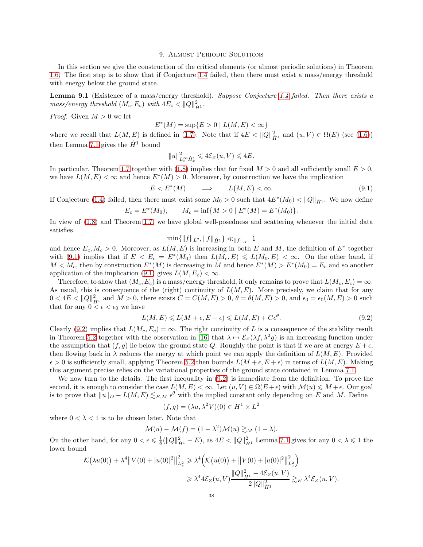#### 9. Almost Periodic Solutions

<span id="page-37-1"></span>In this section we give the construction of the critical elements (or almost periodic solutions) in Theorem [1.6.](#page-3-0) The first step is to show that if Conjecture [1.4](#page-2-1) failed, then there must exist a mass/energy threshold with energy below the ground state.

<span id="page-37-0"></span>Lemma 9.1 (Existence of a mass/energy threshold). *Suppose Conjecture [1.4](#page-2-1) failed. Then there exists a*  $mass/energy$  threshold  $(M_c, E_c)$  with  $4E_c < ||Q||_{\dot{H}^1}^2$ .

*Proof.* Given  $M > 0$  we let

$$
E^*(M) = \sup\{E > 0 \mid L(M, E) < \infty\}
$$

where we recall that  $L(M, E)$  is defined in [\(1.7\)](#page-3-2). Note that if  $4E < ||Q||_{\dot{H}^{1}}^{2}$  and  $(u, V) \in \Omega(E)$  (see [\(1.6\)](#page-3-3)) then Lemma [7.1](#page-31-1) gives the  $\dot{H}^1$  bound

$$
||u||_{L_t^{\infty}\dot{H}_x^1}^2 \leq 4\mathcal{E}_Z(u,V) \leq 4E.
$$

In particular, Theorem [1.7](#page-4-0) together with [\(1.8\)](#page-4-1) implies that for fixed  $M > 0$  and all sufficiently small  $E > 0$ , we have  $L(M, E) < \infty$  and hence  $E^*(M) > 0$ . Moreover, by construction we have the implication

<span id="page-37-2"></span>
$$
E < E^*(M) \qquad \Longrightarrow \qquad L(M, E) < \infty. \tag{9.1}
$$

If Conjecture [\(1.4\)](#page-2-1) failed, then there must exist some  $M_0 > 0$  such that  $4E^*(M_0) < ||Q||_{\dot{H}^1}$ . We now define

$$
E_c = E^*(M_0), \qquad M_c = \inf\{M > 0 \mid E^*(M) = E^*(M_0)\}.
$$

In view of [\(1.8\)](#page-4-1) and Theorem [1.7,](#page-4-0) we have global well-posedness and scattering whenever the initial data satisfies

$$
\min\{\|f\|_{L^2},\|f\|_{\dot{H}^1}\}\ll_{\|f\|_{H^1}} 1
$$

and hence  $E_c, M_c > 0$ . Moreover, as  $L(M, E)$  is increasing in both E and M, the definition of  $E^*$  together with [\(9.1\)](#page-37-2) implies that if  $E < E_c = E^*(M_0)$  then  $L(M_c, E) \le L(M_0, E) < \infty$ . On the other hand, if  $M < M_c$ , then by construction  $E^*(M)$  is decreasing in M and hence  $E^*(M) > E^*(M_0) = E_c$  and so another application of the implication [\(9.1\)](#page-37-2) gives  $L(M, E_c) < \infty$ .

Therefore, to show that  $(M_c, E_c)$  is a mass/energy threshold, it only remains to prove that  $L(M_c, E_c) = \infty$ . As usual, this is consequence of the (right) continuity of  $L(M, E)$ . More precisely, we claim that for any  $0 < 4E < ||Q||_{\dot{H}^1}^2$  and  $M > 0$ , there exists  $C = C(M, E) > 0$ ,  $\theta = \theta(M, E) > 0$ , and  $\epsilon_0 = \epsilon_0(M, E) > 0$  such that for any  $0 \leq \epsilon \leq \epsilon_0$  we have

<span id="page-37-3"></span>
$$
L(M, E) \le L(M + \epsilon, E + \epsilon) \le L(M, E) + C\epsilon^{\theta}.
$$
\n
$$
(9.2)
$$

Clearly [\(9.2\)](#page-37-3) implies that  $L(M_c, E_c) = \infty$ . The right continuity of L is a consequence of the stability result in Theorem [5.2](#page-26-0) together with the observation in [\[16\]](#page-39-6) that  $\lambda \mapsto \mathcal{E}_Z(\lambda f, \lambda^2 g)$  is an increasing function under the assumption that  $(f, g)$  lie below the ground state Q. Roughly the point is that if we are at energy  $E + \epsilon$ , then flowing back in  $\lambda$  reduces the energy at which point we can apply the definition of  $L(M, E)$ . Provided  $\epsilon > 0$  is sufficiently small, applying Theorem [5.2](#page-26-0) then bounds  $L(M + \epsilon, E + \epsilon)$  in terms of  $L(M, E)$ . Making this argument precise relies on the variational properties of the ground state contained in Lemma [7.1.](#page-31-1)

We now turn to the details. The first inequality in [\(9.2\)](#page-37-3) is immediate from the definition. To prove the second, it is enough to consider the case  $L(M, E) < \infty$ . Let  $(u, V) \in \Omega(E + \epsilon)$  with  $\mathcal{M}(u) \leq M + \epsilon$ . Our goal is to prove that  $||u||_D - L(M, E) \lesssim_{E,M} \epsilon^{\theta}$  with the implied constant only depending on E and M. Define

$$
(f,g) = (\lambda u, \lambda^2 V)(0) \in H^1 \times L^2
$$

where  $0 < \lambda < 1$  is to be chosen later. Note that

$$
\mathcal{M}(u) - \mathcal{M}(f) = (1 - \lambda^2)\mathcal{M}(u) \gtrsim_M (1 - \lambda).
$$

On the other hand, for any  $0 < \epsilon \leq \frac{1}{8}(\|Q\|_{\dot{H}^1}^2 - E)$ , as  $4E < \|Q\|_{\dot{H}^1}^2$  Lemma [7.1](#page-31-1) gives for any  $0 < \lambda \leq 1$  the lower bound

$$
\mathcal{K}(\lambda u(0)) + \lambda^4 \|V(0) + |u(0)|^2\|_{L_x^2}^2 \ge \lambda^4 \Big(\mathcal{K}(u(0)) + \|V(0) + |u(0)|^2\|_{L_x^2}^2\Big) \\
\ge \lambda^4 4\mathcal{E}_Z(u, V) \frac{\|Q\|_{\dot{H}^1}^2 - 4\mathcal{E}_Z(u, V)}{2\|Q\|_{\dot{H}^1}^2} \gtrsim_{E} \lambda^4 \mathcal{E}_Z(u, V).
$$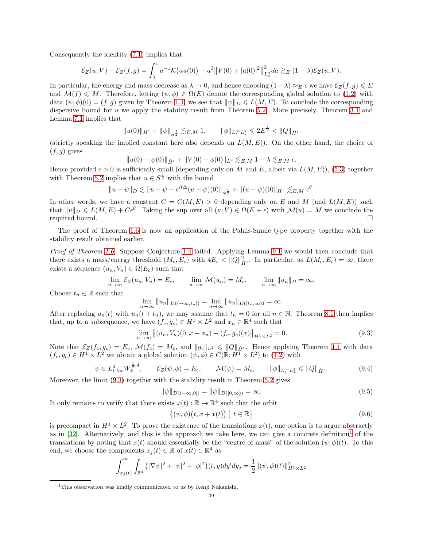Consequently the identity [\(7.1\)](#page-30-4) implies that

$$
\mathcal{E}_Z(u,V) - \mathcal{E}_Z(f,g) = \int_{\lambda}^1 a^{-1} \mathcal{K}\big(au(0)\big) + a^3 \big\|V(0) + |u(0)|^2\big\|_{L_x^2}^2 da \gtrsim_E (1-\lambda)\mathcal{E}_Z(u,V).
$$

In particular, the energy and mass decrease as  $\lambda \to 0$ , and hence choosing  $(1-\lambda) \approx_E \epsilon$  we have  $\mathcal{E}_Z(f,g) \leq E$ and  $\mathcal{M}(f) \leq M$ . Therefore, letting  $(\psi, \phi) \in \Omega(E)$  denote the corresponding global solution to [\(1.2\)](#page-0-0) with data  $(\psi, \phi)(0) = (f, g)$  given by Theorem [1.1,](#page-1-1) we see that  $\|\psi\|_{D} \le L(M, E)$ . To conclude the corresponding dispersive bound for  $u$  we apply the stability result from Theorem [5.2.](#page-26-0) More precisely, Theorem [3.1](#page-12-5) and Lemma [7.1](#page-31-1) implies that

$$
||u(0)||_{H^1} + ||\psi||_{S^{\frac{1}{2}}} \lesssim_{E,M} 1, \qquad ||\phi||_{L_t^{\infty} L_x^2} \leq 2E^{\frac{1}{2}} < ||Q||_{\dot{H}^1}
$$

(strictly speaking the implied constant here also depends on  $L(M, E)$ ). On the other hand, the choice of  $(f, g)$  gives

$$
||u(0) - \psi(0)||_{\dot{H}^1} + ||V(0) - \phi(0)||_{L^2} \lesssim_{E,M} 1 - \lambda \lesssim_{E,M} \epsilon.
$$

Hence provided  $\epsilon > 0$  is sufficiently small (depending only on M and E, albeit via  $L(M, E)$ ), [\(5.3\)](#page-27-1) together with Theorem [5.2](#page-26-0) implies that  $u \in S^{\frac{1}{2}}$  with the bound

$$
||u - \psi||_D \lesssim ||u - \psi - e^{it\Delta}(u - \psi)(0)||_{S^{\frac{1}{2}}} + ||(u - \psi)(0)||_{H^1} \lesssim_{E,M} \epsilon^{\theta}.
$$

In other words, we have a constant  $C = C(M, E) > 0$  depending only on E and M (and  $L(M, E)$ ) such that  $||u||_D \le L(M, E) + C\epsilon^{\theta}$ . Taking the sup over all  $(u, V) \in \Omega(E + \epsilon)$  with  $\mathcal{M}(u) = M$  we conclude the required bound.

The proof of Theorem [1.6](#page-3-0) is now an application of the Palais-Smale type property together with the stability result obtained earlier.

*Proof of Theorem [1.6.](#page-3-0)* Suppose Conjecture [1.4](#page-2-1) failed. Applying Lemma [9.1](#page-37-0) we would then conclude that there exists a mass/energy threshold  $(M_c, E_c)$  with  $4E_c < ||Q||_{\dot{H}^1}^2$ . In particular, as  $L(M_c, E_c) = \infty$ , there exists a sequence  $(u_n, V_n) \in \Omega(E_c)$  such that

$$
\lim_{n \to \infty} \mathcal{E}_Z(u_n, V_n) = E_c, \qquad \lim_{n \to \infty} \mathcal{M}(u_n) = M_c, \qquad \lim_{n \to \infty} \|u_n\|_D = \infty.
$$

Choose  $t_n \in \mathbb{R}$  such that

$$
\lim_{n\to\infty}||u_n||_{D((-\infty,t_n])}=\lim_{n\to\infty}||u_n||_{D([t_n,\infty))}=\infty.
$$

After replacing  $u_n(t)$  with  $u_n(t + t_n)$ , we may assume that  $t_n = 0$  for all  $n \in \mathbb{N}$ . Theorem [8.1](#page-32-7) then implies that, up to a subsequence, we have  $(f_c, g_c) \in H^1 \times L^2$  and  $x_n \in \mathbb{R}^4$  such that

<span id="page-38-0"></span>
$$
\lim_{n \to \infty} \left\| (u_n, V_n)(0, x + x_n) - (f_c, g_c)(x) \right\|_{H^1 \times L^2} = 0.
$$
\n(9.3)

Note that  $\mathcal{E}_Z(f_c, g_c) = E_c$ ,  $\mathcal{M}(f_c) = M_c$ , and  $||g_c||_{L^2} \le ||Q||_{\dot{H}^1}$ . Hence applying Theorem [1.1](#page-1-1) with data  $(f_c, g_c) \in H^1 \times L^2$  we obtain a global solution  $(\psi, \phi) \in C(\mathbb{R}; H^1 \times L^2)$  to  $(1.2)$  with

<span id="page-38-3"></span>
$$
\psi \in L^2_{t,loc} W_x^{\frac{1}{2},4}, \qquad \mathcal{E}_Z(\psi,\phi) = E_c, \qquad \mathcal{M}(\psi) = M_c, \qquad \|\phi\|_{L^{\infty}_t L^2_x} \leq \|Q\|_{\dot{H}^1}.
$$
 (9.4)

Moreover, the limit [\(9.3\)](#page-38-0) together with the stability result in Theorem [5.2](#page-26-0) gives

<span id="page-38-4"></span>
$$
\|\psi\|_{D((-\infty,0])} = \|\psi\|_{D([0,\infty))} = \infty.
$$
\n(9.5)

It only remains to verify that there exists  $x(t) : \mathbb{R} \to \mathbb{R}^4$  such that the orbit

<span id="page-38-2"></span>
$$
\{(\psi,\phi)(t,x+x(t)) \mid t \in \mathbb{R}\}\tag{9.6}
$$

is precompact in  $H^1 \times L^2$ . To prove the existence of the translations  $x(t)$ , one option is to argue abstractly as in  $[32]$ . Alternatively, and this is the approach we take here, we can give a concrete definition<sup>[1](#page-38-1)</sup> of the translations by noting that  $x(t)$  should essentially be the "centre of mass" of the solution  $(\psi, \phi)(t)$ . To this end, we choose the components  $x_j(t) \in \mathbb{R}$  of  $x(t) \in \mathbb{R}^4$  as

$$
\int_{x_j(t)}^{\infty} \int_{\mathbb{R}^3} (|\nabla \psi|^2 + |\psi|^2 + |\phi|^2)(t, y) dy' dy_j = \frac{1}{2} ||(\psi, \phi)(t)||_{H^1 \times L^2}^2
$$

<span id="page-38-1"></span><sup>&</sup>lt;sup>1</sup>This observation was kindly communicated to us by Kenji Nakanishi.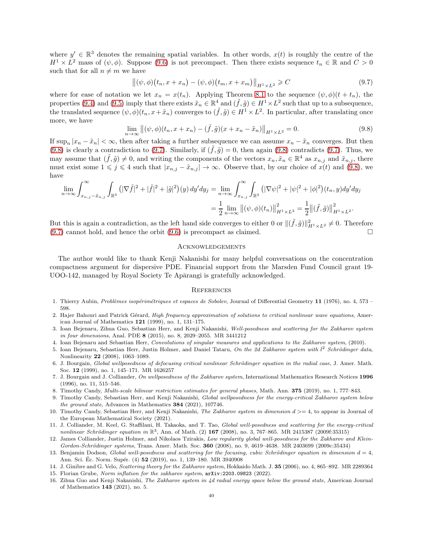where  $y' \in \mathbb{R}^3$  denotes the remaining spatial variables. In other words,  $x(t)$  is roughly the centre of the  $H^1 \times L^2$  mass of  $(\psi, \phi)$ . Suppose [\(9.6\)](#page-38-2) is not precompact. Then there exists sequence  $t_n \in \mathbb{R}$  and  $C > 0$ such that for all  $n \neq m$  we have

<span id="page-39-17"></span>
$$
\left\| (\psi, \phi)(t_n, x + x_n) - (\psi, \phi)(t_m, x + x_m) \right\|_{H^1 \times L^2} \geqslant C \tag{9.7}
$$

where for ease of notation we let  $x_n = x(t_n)$ . Applying Theorem [8.1](#page-32-7) to the sequence  $(\psi, \phi)(t + t_n)$ , the properties [\(9.4\)](#page-38-3) and [\(9.5\)](#page-38-4) imply that there exists  $\tilde{x}_n \in \mathbb{R}^4$  and  $(\tilde{f}, \tilde{g}) \in H^1 \times L^2$  such that up to a subsequence, the translated sequence  $(\psi, \phi)(t_n, x + \tilde{x}_n)$  converges to  $(\tilde{f}, \tilde{g}) \in H^1 \times L^2$ . In particular, after translating once more, we have

<span id="page-39-16"></span>
$$
\lim_{n \to \infty} ||(\psi, \phi)(t_n, x + x_n) - (\tilde{f}, \tilde{g})(x + x_n - \tilde{x}_n)||_{H^1 \times L^2} = 0.
$$
\n(9.8)

If  $\sup_n |x_n - \tilde{x}_n| < \infty$ , then after taking a further subsequence we can assume  $x_n - \tilde{x}_n$  converges. But then [\(9.8\)](#page-39-16) is clearly a contradiction to [\(9.7\)](#page-39-17). Similarly, if  $(\tilde{f}, \tilde{g}) = 0$ , then again [\(9.8\)](#page-39-16) contradicts (9.7). Thus, we may assume that  $(\tilde{f}, \tilde{g}) \neq 0$ , and writing the components of the vectors  $x_n, \tilde{x}_n \in \mathbb{R}^4$  as  $x_{n,j}$  and  $\tilde{x}_{n,j}$ , there must exist some  $1 \leq j \leq 4$  such that  $|x_{n,j} - \tilde{x}_{n,j}| \to \infty$ . Observe that, by our choice of  $x(t)$  and [\(9.8\)](#page-39-16), we have

$$
\lim_{n \to \infty} \int_{x_{n,j} - \tilde{x}_{n,j}}^{\infty} \int_{\mathbb{R}^3} (|\nabla \tilde{f}|^2 + |\tilde{f}|^2 + |\tilde{g}|^2)(y) \, dy'dy_j = \lim_{n \to \infty} \int_{x_{n,j}}^{\infty} \int_{\mathbb{R}^3} (|\nabla \psi|^2 + |\psi|^2 + |\phi|^2)(t_n, y) dy'dy_j
$$
\n
$$
= \frac{1}{2} \lim_{n \to \infty} ||(\psi, \phi)(t_n)||^2_{H^1 \times L^2} = \frac{1}{2} ||(\tilde{f}, \tilde{g})||^2_{H^1 \times L^2}.
$$

But this is again a contradiction, as the left hand side converges to either 0 or  $\|(\tilde{f}, \tilde{g})\|_{H^1 \times L^2}^2 \neq 0$ . Therefore  $(9.7)$  cannot hold, and hence the orbit  $(9.6)$  is precompact as claimed.

## **ACKNOWLEDGEMENTS**

The author would like to thank Kenji Nakanishi for many helpful conversations on the concentration compactness argument for dispersive PDE. Financial support from the Marsden Fund Council grant 19- UOO-142, managed by Royal Society Te Aparangi is gratefully acknowledged.

#### **REFERENCES**

- <span id="page-39-14"></span><span id="page-39-8"></span>1. Thierry Aubin, Problèmes isopérimétriques et espaces de Sobolev, Journal of Differential Geometry 11 (1976), no. 4, 573 – 598.
- 2. Hajer Bahouri and Patrick Gérard, High frequency approximation of solutions to critical nonlinear wave equations, American Journal of Mathematics 121 (1999), no. 1, 131–175.
- <span id="page-39-2"></span>3. Ioan Bejenaru, Zihua Guo, Sebastian Herr, and Kenji Nakanishi, Well-posedness and scattering for the Zakharov system in four dimensions, Anal. PDE 8 (2015), no. 8, 2029–2055. MR 3441212
- <span id="page-39-3"></span><span id="page-39-1"></span>4. Ioan Bejenaru and Sebastian Herr, Convolutions of singular measures and applications to the Zakharov system, (2010).
- 5. Ioan Bejenaru, Sebastian Herr, Justin Holmer, and Daniel Tataru, On the 2d Zakharov system with  $l^2$  Schrödinger data, Nonlinearity 22 (2008), 1063–1089.
- <span id="page-39-12"></span>6. J. Bourgain, Global wellposedness of defocusing critical nonlinear Schrödinger equation in the radial case, J. Amer. Math. Soc. 12 (1999), no. 1, 145–171. MR 1626257
- <span id="page-39-0"></span>7. J. Bourgain and J. Colliander, On wellposedness of the Zakharov system, International Mathematics Research Notices 1996 (1996), no. 11, 515–546.
- <span id="page-39-15"></span><span id="page-39-10"></span>8. Timothy Candy, Multi-scale bilinear restriction estimates for general phases, Math. Ann. 375 (2019), no. 1, 777–843.
- Timothy Candy, Sebastian Herr, and Kenji Nakanishi, Global wellposedness for the energy-critical Zakharov system below the ground state, Advances in Mathematics 384 (2021), 107746.
- <span id="page-39-11"></span>10. Timothy Candy, Sebastian Herr, and Kenji Nakanishi, The Zakharov system in dimension  $d \geq 4$ , to appear in Journal of the European Mathematical Society (2021).
- <span id="page-39-13"></span>11. J. Colliander, M. Keel, G. Staffilani, H. Takaoka, and T. Tao, Global well-posedness and scattering for the energy-critical nonlinear Schrödinger equation in  $\mathbb{R}^3$ , Ann. of Math. (2) 167 (2008), no. 3, 767–865. MR 2415387 (2009f:35315)
- <span id="page-39-4"></span>12. James Colliander, Justin Holmer, and Nikolaos Tzirakis, Low regularity global well-posedness for the Zakharov and Klein-Gordon-Schrödinger systems, Trans. Amer. Math. Soc. 360 (2008), no. 9, 4619–4638. MR 2403699 (2009c:35434)
- <span id="page-39-9"></span>13. Benjamin Dodson, Global well-posedness and scattering for the focusing, cubic Schrödinger equation in dimension  $d = 4$ , Ann. Sci. Éc. Norm. Supér. (4) **52** (2019), no. 1, 139–180. MR 3940908
- <span id="page-39-7"></span><span id="page-39-5"></span>14. J. Ginibre and G. Velo, Scattering theory for the Zakharov system, Hokkaido Math. J. 35 (2006), no. 4, 865–892. MR 2289364
- <span id="page-39-6"></span>15. Florian Grube, Norm inflation for the zakharov system, arXiv:2203.09823 (2022).
- 16. Zihua Guo and Kenji Nakanishi, The Zakharov system in 4d radial energy space below the ground state, American Journal of Mathematics 143 (2021), no. 5.